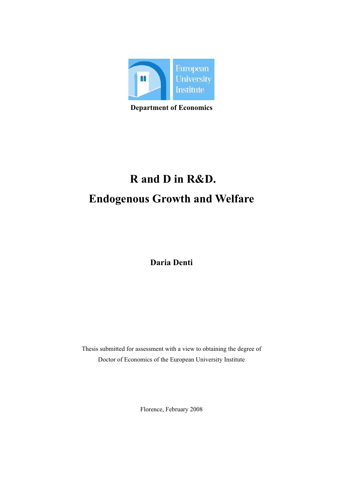

**Department of Economics**

# **R and D in R&D. Endogenous Growth and Welfare**

**Daria Denti** 

Thesis submitted for assessment with a view to obtaining the degree of Doctor of Economics of the European University Institute

Florence, February 2008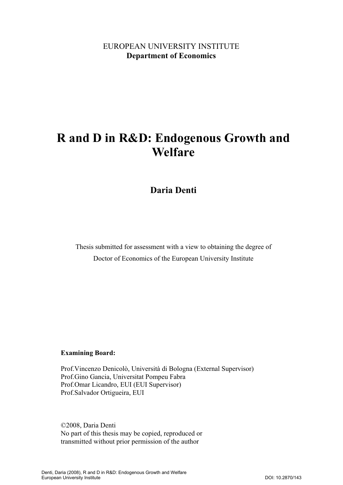### EUROPEAN UNIVERSITY INSTITUTE **Department of Economics**

# **R and D in R&D: Endogenous Growth and Welfare**

**Daria Denti** 

Thesis submitted for assessment with a view to obtaining the degree of Doctor of Economics of the European University Institute

#### **Examining Board:**

Prof.Vincenzo Denicolò, Università di Bologna (External Supervisor) Prof.Gino Gancia, Universitat Pompeu Fabra Prof.Omar Licandro, EUI (EUI Supervisor) Prof.Salvador Ortigueira, EUI

©2008, Daria Denti No part of this thesis may be copied, reproduced or transmitted without prior permission of the author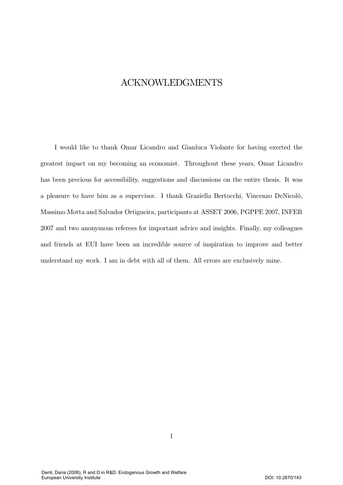### **ACKNOWLEDGMENTS**

I would like to thank Omar Licandro and Gianluca Violante for having exerted the greatest impact on my becoming an economist. Throughout these years, Omar Licandro has been precious for accessibility, suggestions and discussions on the entire thesis. It was a pleasure to have him as a supervisor. I thank Graziella Bertocchi, Vincenzo DeNicolò, Massimo Motta and Salvador Ortigueira, participants at ASSET 2006, PGPPE 2007, INFER 2007 and two anonymous referees for important advice and insights. Finally, my colleagues and friends at EUI have been an incredible source of inspiration to improve and better understand my work. I am in debt with all of them. All errors are exclusively mine.

 $\mathbf{1}$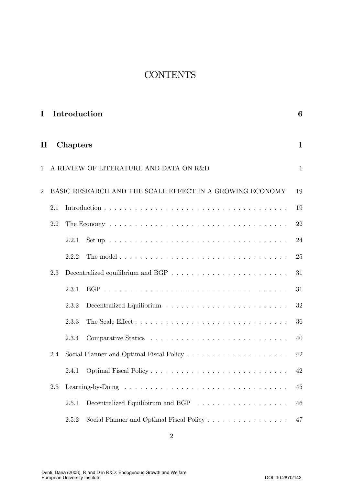# **CONTENTS**

| I              |     |          | Introduction                                                                      | 6            |
|----------------|-----|----------|-----------------------------------------------------------------------------------|--------------|
| $\rm II$       |     | Chapters |                                                                                   | $\mathbf 1$  |
| 1              |     |          | A REVIEW OF LITERATURE AND DATA ON R&D                                            | $\mathbf{1}$ |
| $\overline{2}$ |     |          | BASIC RESEARCH AND THE SCALE EFFECT IN A GROWING ECONOMY                          | 19           |
|                | 2.1 |          |                                                                                   | 19           |
|                | 2.2 |          |                                                                                   | 22           |
|                |     | 2.2.1    |                                                                                   | 24           |
|                |     | 2.2.2    | The model $\ldots \ldots \ldots \ldots \ldots \ldots \ldots \ldots \ldots \ldots$ | 25           |
|                | 2.3 |          |                                                                                   | 31           |
|                |     | 2.3.1    |                                                                                   | 31           |
|                |     | 2.3.2    |                                                                                   | 32           |
|                |     | 2.3.3    |                                                                                   | 36           |
|                |     | 2.3.4    |                                                                                   | 40           |
|                | 2.4 |          |                                                                                   | 42           |
|                |     | 2.4.1    |                                                                                   | 42           |
|                | 2.5 |          |                                                                                   | 45           |
|                |     | 2.5.1    |                                                                                   | 46           |
|                |     | 2.5.2    |                                                                                   | 47           |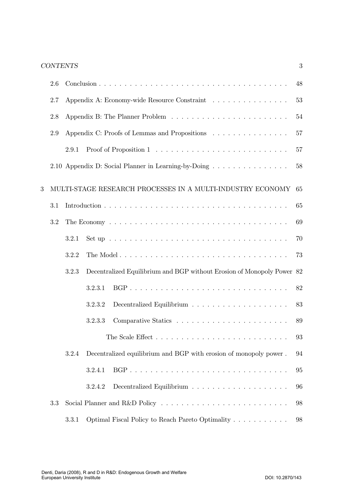|   | 2.6 |       |                                                                                              | 48 |
|---|-----|-------|----------------------------------------------------------------------------------------------|----|
|   | 2.7 |       | Appendix A: Economy-wide Resource Constraint                                                 | 53 |
|   | 2.8 |       |                                                                                              | 54 |
|   | 2.9 |       | Appendix C: Proofs of Lemmas and Propositions                                                | 57 |
|   |     | 2.9.1 |                                                                                              | 57 |
|   |     |       | 2.10 Appendix D: Social Planner in Learning-by-Doing                                         | 58 |
| 3 |     |       | MULTI-STAGE RESEARCH PROCESSES IN A MULTI-INDUSTRY ECONOMY                                   | 65 |
|   | 3.1 |       |                                                                                              | 65 |
|   | 3.2 |       |                                                                                              | 69 |
|   |     | 3.2.1 | Set up $\ldots \ldots \ldots \ldots \ldots \ldots \ldots \ldots \ldots \ldots \ldots \ldots$ | 70 |
|   |     | 3.2.2 |                                                                                              | 73 |
|   |     | 3.2.3 | Decentralized Equilibrium and BGP without Erosion of Monopoly Power 82                       |    |
|   |     |       | 3.2.3.1                                                                                      | 82 |
|   |     |       | 3.2.3.2                                                                                      | 83 |
|   |     |       | 3.2.3.3                                                                                      | 89 |
|   |     |       |                                                                                              | 93 |
|   |     | 3.2.4 | Decentralized equilibrium and BGP with erosion of monopoly power.                            | 94 |
|   |     |       | 3.2.4.1                                                                                      | 95 |
|   |     |       | 3.2.4.2                                                                                      | 96 |
|   | 3.3 |       |                                                                                              | 98 |
|   |     | 3.3.1 | Optimal Fiscal Policy to Reach Pareto Optimality                                             | 98 |

 $\overline{3}$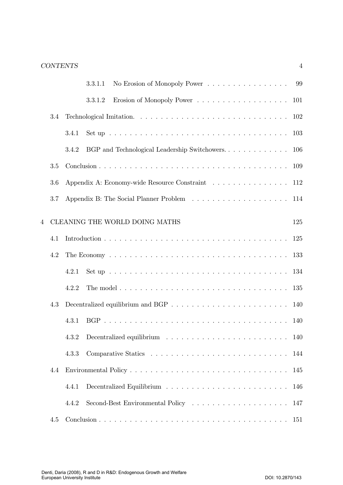|                |         | No Erosion of Monopoly Power 99<br>3.3.1.1                                                            |     |
|----------------|---------|-------------------------------------------------------------------------------------------------------|-----|
|                |         | 3.3.1.2                                                                                               | 101 |
|                | 3.4     |                                                                                                       | 102 |
|                |         | Set up $\ldots \ldots \ldots \ldots \ldots \ldots \ldots \ldots \ldots \ldots \ldots \ldots$<br>3.4.1 | 103 |
|                |         | BGP and Technological Leadership Switchowers<br>3.4.2                                                 | 106 |
|                | $3.5\,$ |                                                                                                       | 109 |
|                | 3.6     | Appendix A: Economy-wide Resource Constraint                                                          | 112 |
|                | 3.7     |                                                                                                       | 114 |
| $\overline{4}$ |         | CLEANING THE WORLD DOING MATHS                                                                        | 125 |
|                | 4.1     |                                                                                                       | 125 |
|                | 4.2     |                                                                                                       | 133 |
|                |         | Set up $\ldots \ldots \ldots \ldots \ldots \ldots \ldots \ldots \ldots \ldots \ldots$<br>4.2.1        | 134 |
|                |         | 4.2.2                                                                                                 | 135 |
|                | 4.3     | Decentralized equilibrium and BGP $\ldots \ldots \ldots \ldots \ldots \ldots \ldots \ldots$           | 140 |
|                |         | 4.3.1                                                                                                 | 140 |
|                |         | 4.3.2                                                                                                 |     |
|                |         | 4.3.3                                                                                                 | 144 |
|                | 4.4     |                                                                                                       | 145 |
|                |         | 4.4.1                                                                                                 | 146 |
|                |         | 4.4.2                                                                                                 | 147 |
|                | 4.5     |                                                                                                       | 151 |

 $\sqrt{4}$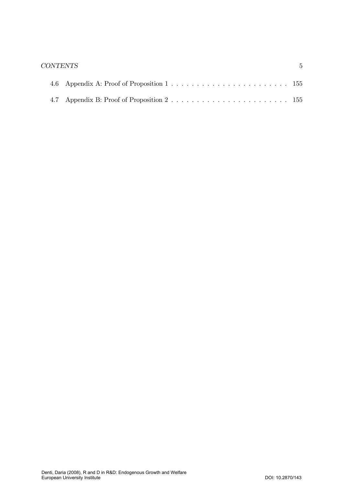#### $CONTENTS$

 $\bf 5$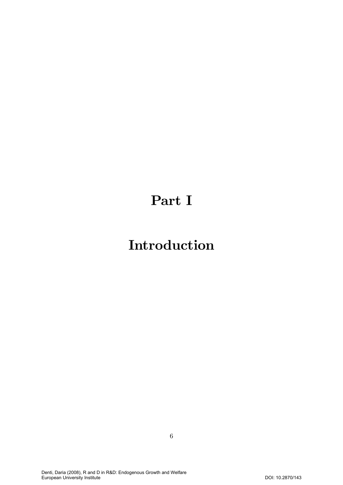# Part I

# **Introduction**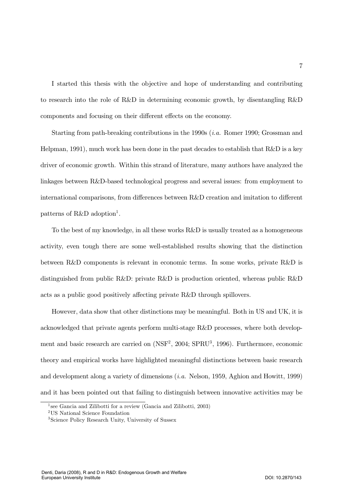I started this thesis with the objective and hope of understanding and contributing to research into the role of R&D in determining economic growth, by disentangling R&D components and focusing on their different effects on the economy.

Starting from path-breaking contributions in the 1990s  $(i.a.$  Romer 1990; Grossman and Helpman, 1991), much work has been done in the past decades to establish that  $R\&D$  is a key driver of economic growth. Within this strand of literature, many authors have analyzed the linkages between R&D-based technological progress and several issues: from employment to international comparisons, from differences between R&D creation and imitation to different patterns of  $R\&D$  adoption<sup>1</sup>.

To the best of my knowledge, in all these works R&D is usually treated as a homogeneous activity, even tough there are some well-established results showing that the distinction between R&D components is relevant in economic terms. In some works, private R&D is distinguished from public R&D: private R&D is production oriented, whereas public R&D acts as a public good positively affecting private R&D through spillovers.

However, data show that other distinctions may be meaningful. Both in US and UK, it is acknowledged that private agents perform multi-stage R&D processes, where both development and basic research are carried on (NSF<sup>2</sup>, 2004; SPRU<sup>3</sup>, 1996). Furthermore, economic theory and empirical works have highlighted meaningful distinctions between basic research and development along a variety of dimensions  $(i.a.$  Nelson, 1959, Aghion and Howitt, 1999) and it has been pointed out that failing to distinguish between innovative activities may be

<sup>&</sup>lt;sup>1</sup> see Gancia and Zilibotti for a review (Gancia and Zilibotti, 2003)

 $\rm ^2US$  National Science Foundation

<sup>&</sup>lt;sup>3</sup>Science Policy Research Unity, University of Sussex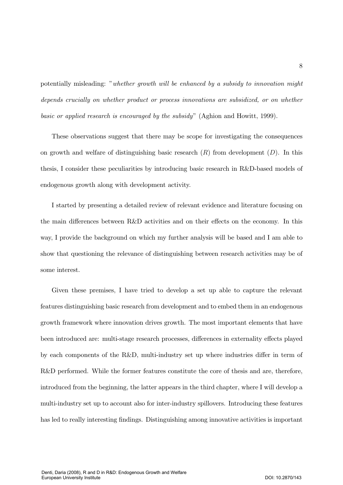potentially misleading: "whether growth will be enhanced by a subsidy to innovation might depends crucially on whether product or process innovations are subsidized, or on whether basic or applied research is encouraged by the subsidy" (Aghion and Howitt, 1999).

These observations suggest that there may be scope for investigating the consequences on growth and welfare of distinguishing basic research  $(R)$  from development  $(D)$ . In this thesis, I consider these peculiarities by introducing basic research in R&D-based models of endogenous growth along with development activity.

I started by presenting a detailed review of relevant evidence and literature focusing on the main differences between R&D activities and on their effects on the economy. In this way, I provide the background on which my further analysis will be based and I am able to show that questioning the relevance of distinguishing between research activities may be of some interest.

Given these premises, I have tried to develop a set up able to capture the relevant features distinguishing basic research from development and to embed them in an endogenous growth framework where innovation drives growth. The most important elements that have been introduced are: multi-stage research processes, differences in externality effects played by each components of the  $R\&D$ , multi-industry set up where industries differ in term of R&D performed. While the former features constitute the core of thesis and are, therefore, introduced from the beginning, the latter appears in the third chapter, where I will develop a multi-industry set up to account also for inter-industry spillovers. Introducing these features has led to really interesting findings. Distinguishing among innovative activities is important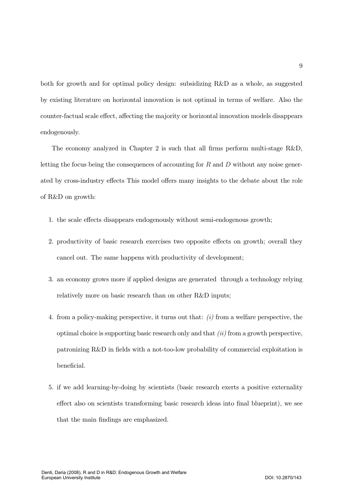both for growth and for optimal policy design: subsidizing R&D as a whole, as suggested by existing literature on horizontal innovation is not optimal in terms of welfare. Also the counter-factual scale effect, affecting the majority or horizontal innovation models disappears endogenously.

The economy analyzed in Chapter 2 is such that all firms perform multi-stage  $R\&D$ , letting the focus being the consequences of accounting for  $R$  and  $D$  without any noise generated by cross-industry effects This model offers many insights to the debate about the role of R&D on growth:

- 1. the scale effects disappears endogenously without semi-endogenous growth;
- 2. productivity of basic research exercises two opposite effects on growth; overall they cancel out. The same happens with productivity of development;
- 3. an economy grows more if applied designs are generated through a technology relying relatively more on basic research than on other R&D inputs;
- 4. from a policy-making perspective, it turns out that:  $(i)$  from a welfare perspective, the optimal choice is supporting basic research only and that  $(ii)$  from a growth perspective, patronizing R&D in fields with a not-too-low probability of commercial exploitation is beneficial.
- 5. if we add learning-by-doing by scientists (basic research exerts a positive externality effect also on scientists transforming basic research ideas into final blueprint), we see that the main findings are emphasized.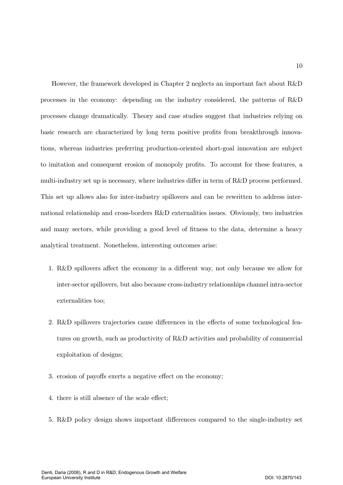However, the framework developed in Chapter 2 neglects an important fact about R&D processes in the economy: depending on the industry considered, the patterns of R&D processes change dramatically. Theory and case studies suggest that industries relying on basic research are characterized by long term positive profits from breakthrough innovations, whereas industries preferring production-oriented short-goal innovation are subject to imitation and consequent erosion of monopoly profits. To account for these features, a multi-industry set up is necessary, where industries differ in term of R&D process performed. This set up allows also for inter-industry spillovers and can be rewritten to address international relationship and cross-borders R&D externalities issues. Obviously, two industries and many sectors, while providing a good level of fitness to the data, determine a heavy analytical treatment. Nonetheless, interesting outcomes arise:

- 1. R&D spillovers affect the economy in a different way, not only because we allow for inter-sector spillovers, but also because cross-industry relationships channel intra-sector externalities too:
- 2. R&D spillovers trajectories cause differences in the effects of some technological features on growth, such as productivity of  $R&D$  activities and probability of commercial exploitation of designs;
- 3. erosion of pavoffs exerts a negative effect on the economy:
- 4. there is still absence of the scale effect:
- 5. R&D policy design shows important differences compared to the single-industry set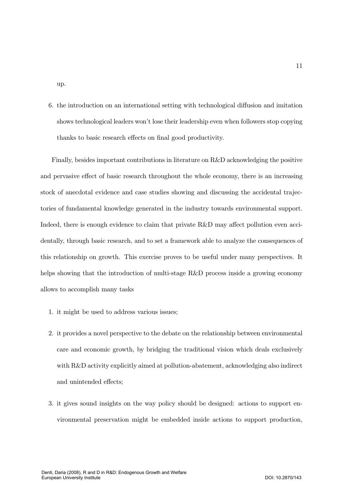up.

6. the introduction on an international setting with technological diffusion and imitation shows technological leaders won't lose their leadership even when followers stop copying thanks to basic research effects on final good productivity.

Finally, besides important contributions in literature on R&D acknowledging the positive and pervasive effect of basic research throughout the whole economy, there is an increasing stock of anecdotal evidence and case studies showing and discussing the accidental trajectories of fundamental knowledge generated in the industry towards environmental support. Indeed, there is enough evidence to claim that private  $R\&D$  may affect pollution even accidentally, through basic research, and to set a framework able to analyze the consequences of this relationship on growth. This exercise proves to be useful under many perspectives. It helps showing that the introduction of multi-stage  $R\&D$  process inside a growing economy allows to accomplish many tasks

- 1. it might be used to address various issues;
- 2. It provides a novel perspective to the debate on the relationship between environmental care and economic growth, by bridging the traditional vision which deals exclusively with R&D activity explicitly aimed at pollution-abatement, acknowledging also indirect and unintended effects:
- 3. it gives sound insights on the way policy should be designed: actions to support environmental preservation might be embedded inside actions to support production,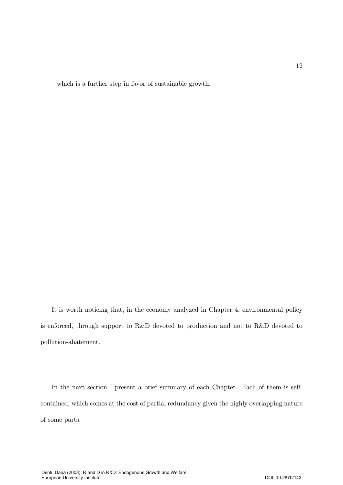which is a further step in favor of sustainable growth.

It is worth noticing that, in the economy analyzed in Chapter 4, environmental policy is enforced, through support to R&D devoted to production and not to R&D devoted to pollution-abatement.

In the next section I present a brief summary of each Chapter. Each of them is selfcontained, which comes at the cost of partial redundancy given the highly overlapping nature of some parts.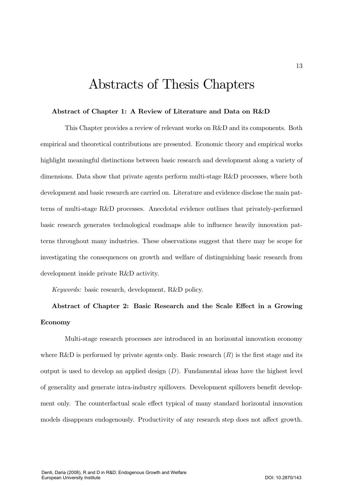# Abstracts of Thesis Chapters

#### Abstract of Chapter 1: A Review of Literature and Data on R&D

This Chapter provides a review of relevant works on R&D and its components. Both empirical and theoretical contributions are presented. Economic theory and empirical works highlight meaningful distinctions between basic research and development along a variety of dimensions. Data show that private agents perform multi-stage R&D processes, where both development and basic research are carried on. Literature and evidence disclose the main patterns of multi-stage R&D processes. Anecdotal evidence outlines that privately-performed basic research generates technological roadmaps able to influence heavily innovation patterns throughout many industries. These observations suggest that there may be scope for investigating the consequences on growth and welfare of distinguishing basic research from development inside private R&D activity.

Keywords: basic research, development, R&D policy.

## Abstract of Chapter 2: Basic Research and the Scale Effect in a Growing Economy

Multi-stage research processes are introduced in an horizontal innovation economy where R&D is performed by private agents only. Basic research  $(R)$  is the first stage and its output is used to develop an applied design  $(D)$ . Fundamental ideas have the highest level of generality and generate intra-industry spillovers. Development spillovers benefit development only. The counterfactual scale effect typical of many standard horizontal innovation models disappears endogenously. Productivity of any research step does not affect growth.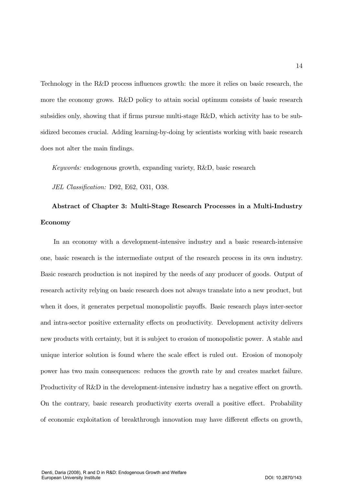Technology in the R&D process influences growth: the more it relies on basic research, the more the economy grows. R&D policy to attain social optimum consists of basic research subsidies only, showing that if firms pursue multi-stage R&D, which activity has to be subsidized becomes crucial. Adding learning-by-doing by scientists working with basic research does not alter the main findings.

*Keywords:* endogenous growth, expanding variety, R&D, basic research

JEL Classification: D92, E62, O31, O38.

## Abstract of Chapter 3: Multi-Stage Research Processes in a Multi-Industry **Economy**

In an economy with a development-intensive industry and a basic research-intensive one, basic research is the intermediate output of the research process in its own industry. Basic research production is not inspired by the needs of any producer of goods. Output of research activity relying on basic research does not always translate into a new product, but when it does, it generates perpetual monopolistic payoffs. Basic research plays inter-sector and intra-sector positive externality effects on productivity. Development activity delivers new products with certainty, but it is subject to erosion of monopolistic power. A stable and unique interior solution is found where the scale effect is ruled out. Erosion of monopoly power has two main consequences: reduces the growth rate by and creates market failure. Productivity of R&D in the development-intensive industry has a negative effect on growth. On the contrary, basic research productivity exerts overall a positive effect. Probability of economic exploitation of breakthrough innovation may have different effects on growth,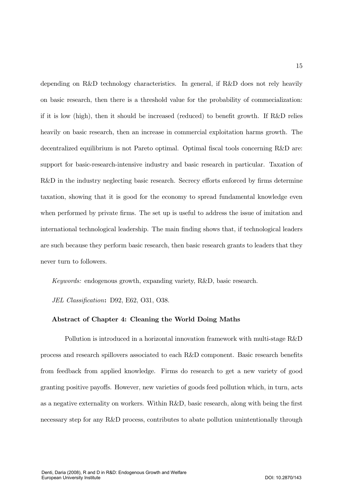depending on R&D technology characteristics. In general, if R&D does not rely heavily on basic research, then there is a threshold value for the probability of commectalization: if it is low (high), then it should be increased (reduced) to benefit growth. If  $R\&D$  relies heavily on basic research, then an increase in commercial exploitation harms growth. The decentralized equilibrium is not Pareto optimal. Optimal fiscal tools concerning R&D are: support for basic-research-intensive industry and basic research in particular. Taxation of R&D in the industry neglecting basic research. Secrecy efforts enforced by firms determine taxation, showing that it is good for the economy to spread fundamental knowledge even when performed by private firms. The set up is useful to address the issue of imitation and international technological leadership. The main finding shows that, if technological leaders are such because they perform basic research, then basic research grants to leaders that they never turn to followers.

Keywords: endogenous growth, expanding variety, R&D, basic research.

JEL Classification: D92, E62, O31, O38.

#### Abstract of Chapter 4: Cleaning the World Doing Maths

Pollution is introduced in a horizontal innovation framework with multi-stage R&D process and research spillovers associated to each R&D component. Basic research benefits from feedback from applied knowledge. Firms do research to get a new variety of good granting positive payoffs. However, new varieties of goods feed pollution which, in turn, acts as a negative externality on workers. Within  $R\&D$ , basic research, along with being the first necessary step for any R&D process, contributes to abate pollution unintentionally through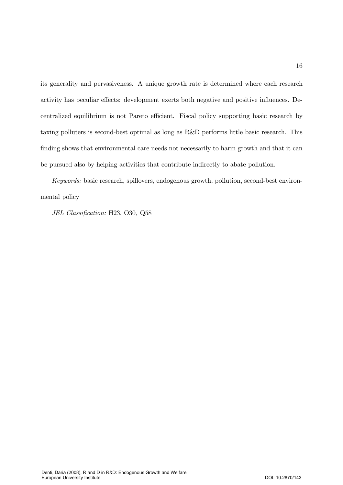its generality and pervasiveness. A unique growth rate is determined where each research activity has peculiar effects: development exerts both negative and positive influences. Decentralized equilibrium is not Pareto efficient. Fiscal policy supporting basic research by taxing polluters is second-best optimal as long as  $R&D$  performs little basic research. This finding shows that environmental care needs not necessarily to harm growth and that it can be pursued also by helping activities that contribute indirectly to abate pollution.

Keywords: basic research, spillovers, endogenous growth, pollution, second-best environmental policy

JEL Classification: H23, O30, Q58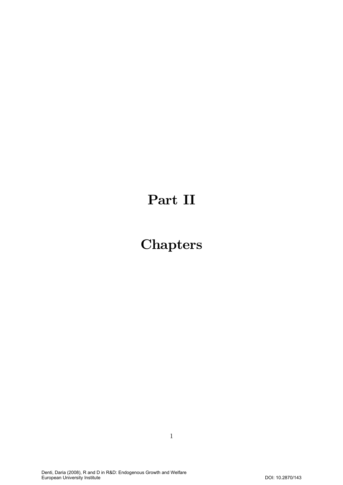# Part II

# **Chapters**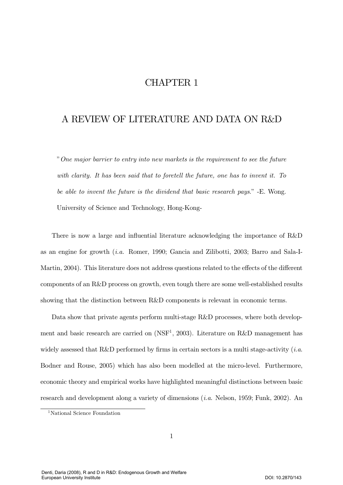## **CHAPTER 1**

### A REVIEW OF LITERATURE AND DATA ON R&D

"One major barrier to entry into new markets is the requirement to see the future with clarity. It has been said that to foretell the future, one has to invent it. To be able to invent the future is the dividend that basic research pays." -E. Wong. University of Science and Technology, Hong-Kong-

There is now a large and influential literature acknowledging the importance of R&D as an engine for growth  $(i.a.$  Romer, 1990; Gancia and Zilibotti, 2003; Barro and Sala-I-Martin, 2004). This literature does not address questions related to the effects of the different components of an R&D process on growth, even tough there are some well-established results showing that the distinction between R&D components is relevant in economic terms.

Data show that private agents perform multi-stage R&D processes, where both development and basic research are carried on (NSF<sup>1</sup>, 2003). Literature on R&D management has widely assessed that R&D performed by firms in certain sectors is a multi stage-activity  $(i.a.$ Bodner and Rouse, 2005) which has also been modelled at the micro-level. Furthermore, economic theory and empirical works have highlighted meaningful distinctions between basic research and development along a variety of dimensions  $(i.a.$  Nelson, 1959; Funk, 2002). An

<sup>&</sup>lt;sup>1</sup>National Science Foundation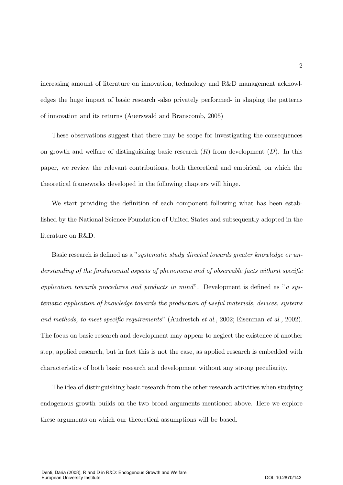increasing amount of literature on innovation, technology and R&D management acknowledges the huge impact of basic research -also privately performed- in shaping the patterns of innovation and its returns (Auerswald and Branscomb, 2005)

These observations suggest that there may be scope for investigating the consequences on growth and welfare of distinguishing basic research  $(R)$  from development  $(D)$ . In this paper, we review the relevant contributions, both theoretical and empirical, on which the theoretical frameworks developed in the following chapters will hinge.

We start providing the definition of each component following what has been established by the National Science Foundation of United States and subsequently adopted in the literature on R&D.

Basic research is defined as a "systematic study directed towards greater knowledge or understanding of the fundamental aspects of phenomena and of observable facts without specific application towards procedures and products in mind". Development is defined as "a systematic application of knowledge towards the production of useful materials, devices, systems and methods, to meet specific requirements" (Audrestch et al., 2002; Eisenman et al., 2002). The focus on basic research and development may appear to neglect the existence of another step, applied research, but in fact this is not the case, as applied research is embedded with characteristics of both basic research and development without any strong peculiarity.

The idea of distinguishing basic research from the other research activities when studying endogenous growth builds on the two broad arguments mentioned above. Here we explore these arguments on which our theoretical assumptions will be based.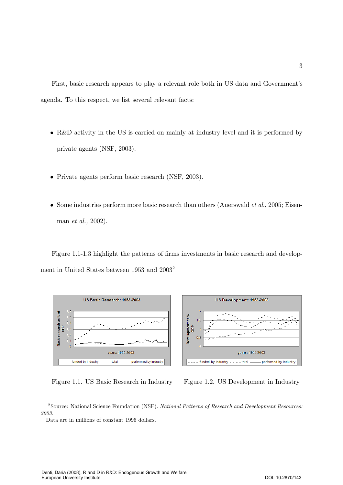First, basic research appears to play a relevant role both in US data and Government's agenda. To this respect, we list several relevant facts:

- R&D activity in the US is carried on mainly at industry level and it is performed by private agents (NSF, 2003).
- Private agents perform basic research (NSF, 2003).
- Some industries perform more basic research than others (Auerswald *et al.*, 2005; Eisenman *et al.*, 2002).

Figure 1.1-1.3 highlight the patterns of firms investments in basic research and development in United States between 1953 and 2003<sup>2</sup>



Figure 1.1. US Basic Research in Industry



<sup>&</sup>lt;sup>2</sup>Source: National Science Foundation (NSF). National Patterns of Research and Development Resources: 2003.

Data are in millions of constant 1996 dollars.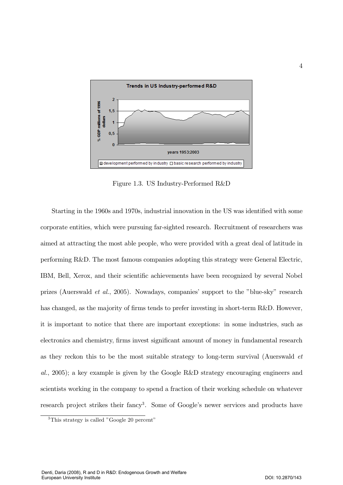

Figure 1.3. US Industry-Performed R&D

Starting in the 1960s and 1970s, industrial innovation in the US was identified with some corporate entities, which were pursuing far-sighted research. Recruitment of researchers was aimed at attracting the most able people, who were provided with a great deal of latitude in performing R&D. The most famous companies adopting this strategy were General Electric, IBM, Bell, Xerox, and their scientific achievements have been recognized by several Nobel prizes (Auerswald *et al.*, 2005). Nowadays, companies' support to the "blue-sky" research has changed, as the majority of firms tends to prefer investing in short-term R&D. However, it is important to notice that there are important exceptions: in some industries, such as electronics and chemistry, firms invest significant amount of money in fundamental research as they reckon this to be the most suitable strategy to long-term survival (Auerswald et al., 2005); a key example is given by the Google R&D strategy encouraging engineers and scientists working in the company to spend a fraction of their working schedule on whatever research project strikes their fancy<sup>3</sup>. Some of Google's newer services and products have

<sup>&</sup>lt;sup>3</sup>This strategy is called "Google 20 percent"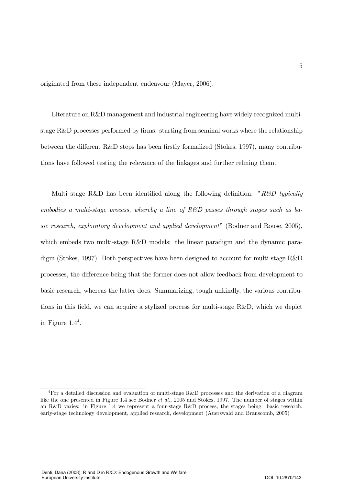originated from these independent endeavour (Mayer, 2006).

Literature on R&D management and industrial engineering have widely recognized multistage  $R\&D$  processes performed by firms: starting from seminal works where the relationship between the different R&D steps has been firstly formalized (Stokes, 1997), many contributions have followed testing the relevance of the linkages and further refining them.

Multi stage R&D has been identified along the following definition: "R&D typically embodies a multi-stage process, whereby a line of  $R\&D$  passes through stages such as basic research, exploratory development and applied development" (Bodner and Rouse, 2005), which embeds two multi-stage R&D models: the linear paradigm and the dynamic paradigm (Stokes, 1997). Both perspectives have been designed to account for multi-stage  $R&D$ processes, the difference being that the former does not allow feedback from development to basic research, whereas the latter does. Summarizing, tough unkindly, the various contributions in this field, we can acquire a stylized process for multi-stage R&D, which we depict in Figure  $1.4<sup>4</sup>$ .

<sup>&</sup>lt;sup>4</sup>For a detailed discussion and evaluation of multi-stage R&D processes and the derivation of a diagram like the one presented in Figure 1.4 see Bodner *et al.*, 2005 and Stokes, 1997. The number of stages within an R&D varies: in Figure 1.4 we represent a four-stage R&D process, the stages being: basic research, early-stage technology development, applied research, development (Auerswald and Branscomb, 2005)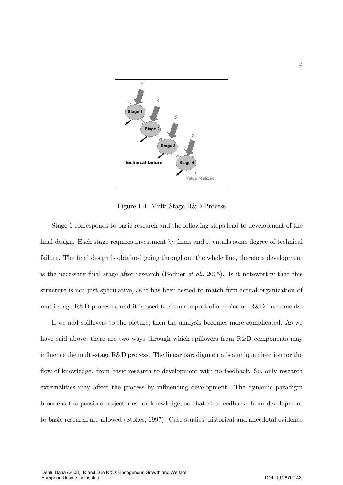

Figure 1.4. Multi-Stage R&D Process

Stage 1 corresponds to basic research and the following steps lead to development of the final design. Each stage requires investment by firms and it entails some degree of technical failure. The final design is obtained going throughout the whole line, therefore development is the necessary final stage after research (Bodner *et al.*, 2005). Is it noteworthy that this structure is not just speculative, as it has been tested to match firm actual organization of multi-stage R&D processes and it is used to simulate portfolio choice on R&D investments.

If we add spillovers to the picture, then the analysis becomes more complicated. As we have said above, there are two ways through which spillovers from R&D components may influence the multi-stage  $R\&D$  process. The linear paradigm entails a unique direction for the flow of knowledge. from basic research to development with no feedback. So, only research externalities may affect the process by influencing development. The dynamic paradigm broadens the possible trajectories for knowledge, so that also feedbacks from development to basic research are allowed (Stokes, 1997). Case studies, historical and anecdotal evidence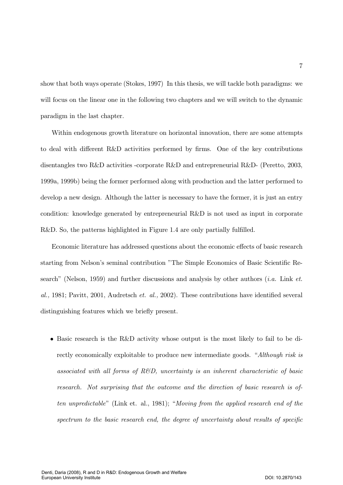show that both ways operate (Stokes, 1997) In this thesis, we will tackle both paradigms: we will focus on the linear one in the following two chapters and we will switch to the dynamic paradigm in the last chapter.

Within endogenous growth literature on horizontal innovation, there are some attempts to deal with different R&D activities performed by firms. One of the key contributions disentangles two R&D activities -corporate R&D and entrepreneurial R&D- (Peretto, 2003, 1999a, 1999b) being the former performed along with production and the latter performed to develop a new design. Although the latter is necessary to have the former, it is just an entry condition: knowledge generated by entrepreneurial R&D is not used as input in corporate R&D. So, the patterns highlighted in Figure 1.4 are only partially fulfilled.

Economic literature has addressed questions about the economic effects of basic research starting from Nelson's seminal contribution "The Simple Economics of Basic Scientific Research" (Nelson, 1959) and further discussions and analysis by other authors  $(i.a.$  Link  $et.$ al., 1981; Pavitt, 2001, Audretsch et. al., 2002). These contributions have identified several distinguishing features which we briefly present.

 $\bullet$  Basic research is the R&D activity whose output is the most likely to fail to be directly economically exploitable to produce new intermediate goods. "Although risk is associated with all forms of  $R\&D$ , uncertainty is an inherent characteristic of basic research. Not surprising that the outcome and the direction of basic research is often unpredictable" (Link et. al., 1981); "Moving from the applied research end of the spectrum to the basic research end, the degree of uncertainty about results of specific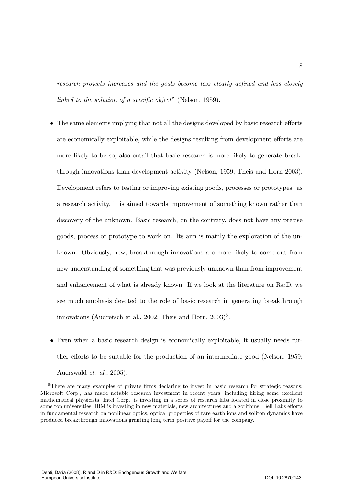research projects increases and the goals become less clearly defined and less closely linked to the solution of a specific object" (Nelson, 1959).

- The same elements implying that not all the designs developed by basic research efforts are economically exploitable, while the designs resulting from development efforts are more likely to be so, also entail that basic research is more likely to generate breakthrough innovations than development activity (Nelson, 1959; Theis and Horn 2003). Development refers to testing or improving existing goods, processes or prototypes: as a research activity, it is aimed towards improvement of something known rather than discovery of the unknown. Basic research, on the contrary, does not have any precise goods, process or prototype to work on. Its aim is mainly the exploration of the unknown. Obviously, new, breakthrough innovations are more likely to come out from new understanding of something that was previously unknown than from improvement and enhancement of what is already known. If we look at the literature on R&D, we see much emphasis devoted to the role of basic research in generating breakthrough innovations (Audretsch et al., 2002; Theis and Horn,  $2003$ <sup>5</sup>.
- Even when a basic research design is economically exploitable, it usually needs further efforts to be suitable for the production of an intermediate good (Nelson, 1959;

Auerswald *et. al.*, 2005).

 ${}^{5}$ There are many examples of private firms declaring to invest in basic research for strategic reasons: Microsoft Corp., has made notable research investment in recent years, including hiring some excellent mathematical physicists; Intel Corp. is investing in a series of research labs located in close proximity to some top universities; IBM is investing in new materials, new architectures and algorithms. Bell Labs efforts in fundamental research on nonlinear optics, optical properties of rare earth ions and soliton dynamics have produced breakthrough innovations granting long term positive payoff for the company.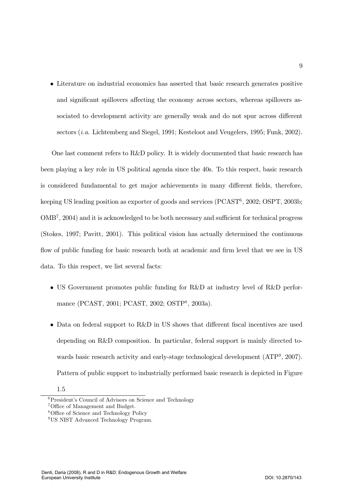• Literature on industrial economics has asserted that basic research generates positive and significant spillovers affecting the economy across sectors, whereas spillovers associated to development activity are generally weak and do not spur across different sectors  $(i.a.$  Lichtemberg and Siegel, 1991; Kesteloot and Veugelers, 1995; Funk, 2002).

One last comment refers to R&D policy. It is widely documented that basic research has been playing a key role in US political agenda since the 40s. To this respect, basic research is considered fundamental to get major achievements in many different fields, therefore, keeping US leading position as exporter of goods and services  $(PCAST^6, 2002; OSPT, 2003b;$  $OMB<sup>7</sup>$ , 2004) and it is acknowledged to be both necessary and sufficient for technical progress (Stokes, 1997; Pavitt, 2001). This political vision has actually determined the continuous flow of public funding for basic research both at academic and firm level that we see in US data. To this respect, we list several facts:

- US Government promotes public funding for R&D at industry level of R&D performance (PCAST, 2001; PCAST, 2002; OSTP<sup>8</sup>, 2003a).
- Data on federal support to R&D in US shows that different fiscal incentives are used depending on R&D composition. In particular, federal support is mainly directed towards basic research activity and early-stage technological development  $(ATP<sup>9</sup>, 2007)$ . Pattern of public support to industrially performed basic research is depicted in Figure

 $1.5$ 

<sup>&</sup>lt;sup>6</sup> President's Council of Advisors on Science and Technology

 $7$ Office of Management and Budget.

<sup>&</sup>lt;sup>8</sup>Office of Science and Technology Policy

<sup>&</sup>lt;sup>9</sup>US NIST Advanced Technology Program.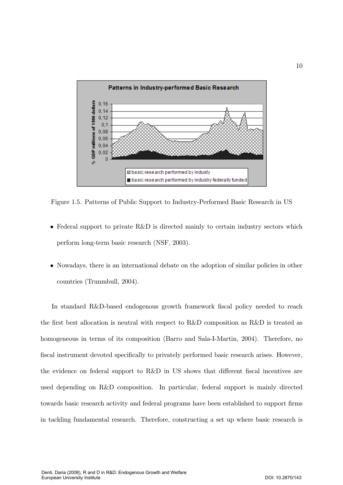

Figure 1.5. Patterns of Public Support to Industry-Performed Basic Research in US

- Federal support to private R&D is directed mainly to certain industry sectors which perform long-term basic research (NSF, 2003).
- Nowadays, there is an international debate on the adoption of similar policies in other countries (Trunmbull, 2004).

In standard R&D-based endogenous growth framework fiscal policy needed to reach the first best allocation is neutral with respect to R&D composition as R&D is treated as homogeneous in terms of its composition (Barro and Sala-I-Martin, 2004). Therefore, no fiscal instrument devoted specifically to privately performed basic research arises. However, the evidence on federal support to R&D in US shows that different fiscal incentives are used depending on R&D composition. In particular, federal support is mainly directed towards basic research activity and federal programs have been established to support firms in tackling fundamental research. Therefore, constructing a set up where basic research is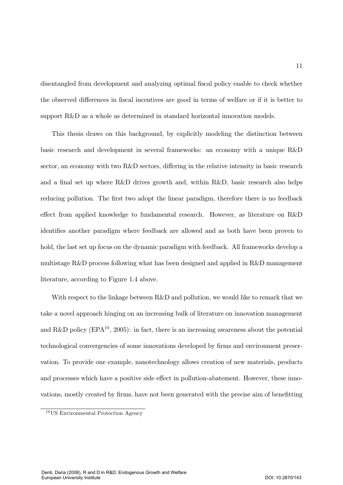disentangled from development and analyzing optimal fiscal policy enable to check whether the observed differences in fiscal incentives are good in terms of welfare or if it is better to support R&D as a whole as determined in standard horizontal innovation models.

This thesis draws on this background, by explicitly modeling the distinction between basic research and development in several frameworks: an economy with a unique R&D sector, an economy with two R&D sectors, differing in the relative intensity in basic research and a final set up where R&D drives growth and, within R&D, basic research also helps reducing pollution. The first two adopt the linear paradigm, therefore there is no feedback effect from applied knowledge to fundamental research. However, as literature on R&D identifies another paradigm where feedback are allowed and as both have been proven to hold, the last set up focus on the dynamic paradigm with feedback. All frameworks develop a multistage R&D process following what has been designed and applied in R&D management literature, according to Figure 1.4 above.

With respect to the linkage between R&D and pollution, we would like to remark that we take a novel approach hinging on an increasing bulk of literature on innovation management and R&D policy (EPA<sup>10</sup>, 2005): in fact, there is an increasing awareness about the potential technological convergencies of some innovations developed by firms and environment preservation. To provide one example, nanotechnology allows creation of new materials, products and processes which have a positive side effect in pollution-abatement. However, these innovations, mostly created by firms, have not been generated with the precise aim of benefitting

11

 $10$ US Environmental Protection Agency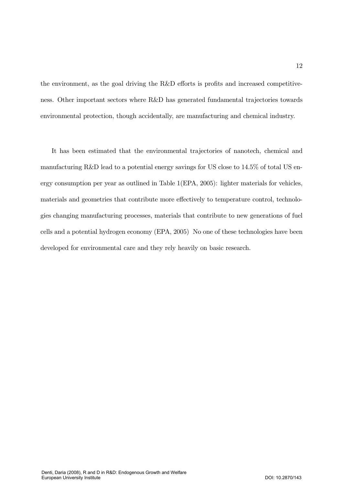the environment, as the goal driving the  $R\&D$  efforts is profits and increased competitiveness. Other important sectors where R&D has generated fundamental trajectories towards environmental protection, though accidentally, are manufacturing and chemical industry.

It has been estimated that the environmental trajectories of nanotech, chemical and manufacturing R&D lead to a potential energy savings for US close to  $14.5\%$  of total US energy consumption per year as outlined in Table  $1(EPA, 2005)$ : lighter materials for vehicles, materials and geometries that contribute more effectively to temperature control, technologies changing manufacturing processes, materials that contribute to new generations of fuel cells and a potential hydrogen economy (EPA, 2005) No one of these technologies have been developed for environmental care and they rely heavily on basic research.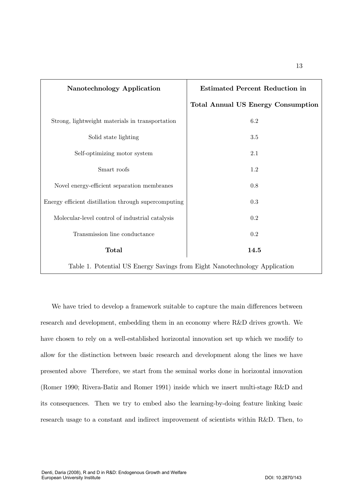| Nanotechnology Application                           | <b>Estimated Percent Reduction in</b>     |  |
|------------------------------------------------------|-------------------------------------------|--|
|                                                      | <b>Total Annual US Energy Consumption</b> |  |
| Strong, lightweight materials in transportation      | 6.2                                       |  |
| Solid state lighting                                 | 3.5                                       |  |
| Self-optimizing motor system                         | 2.1                                       |  |
| Smart roofs                                          | 1.2                                       |  |
| Novel energy-efficient separation membranes          | $0.8\,$                                   |  |
| Energy efficient distillation through supercomputing | 0.3                                       |  |
| Molecular-level control of industrial catalysis      | $\rm 0.2$                                 |  |
| Transmission line conductance                        | $0.2\,$                                   |  |
| <b>Total</b>                                         | 14.5                                      |  |
|                                                      |                                           |  |

Table 1. Potential US Energy Savings from Eight Nanotechnology Application

We have tried to develop a framework suitable to capture the main differences between research and development, embedding them in an economy where R&D drives growth. We have chosen to rely on a well-established horizontal innovation set up which we modify to allow for the distinction between basic research and development along the lines we have presented above Therefore, we start from the seminal works done in horizontal innovation (Romer 1990; Rivera-Batiz and Romer 1991) inside which we insert multi-stage R&D and its consequences. Then we try to embed also the learning-by-doing feature linking basic research usage to a constant and indirect improvement of scientists within R&D. Then, to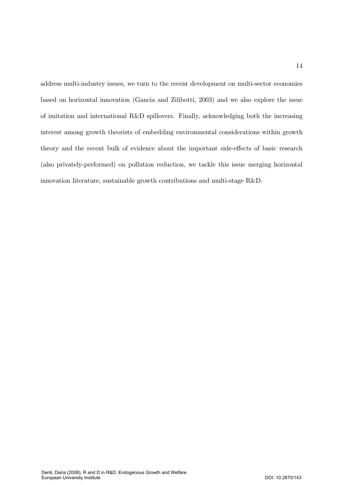address multi-industry issues, we turn to the recent development on multi-sector economies based on horizontal innovation (Gancia and Zilibotti, 2003) and we also explore the issue of imitation and international  $R\&D$  spillovers. Finally, acknowledging both the increasing interest among growth theorists of embedding environmental considerations within growth theory and the recent bulk of evidence about the important side-effects of basic research (also privately-performed) on pollution reduction, we tackle this issue merging horizontal innovation literature, sustainable growth contributions and multi-stage R&D.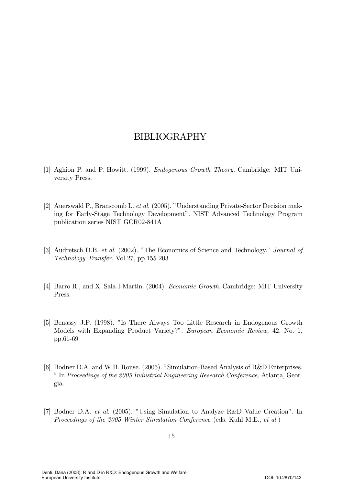## BIBLIOGRAPHY

- [1] Aghion P. and P. Howitt. (1999). *Endogenous Growth Theory*. Cambridge: MIT University Press.
- [2] Auerswald P., Branscomb L. et al. (2005). "Understanding Private-Sector Decision making for Early-Stage Technology Development". NIST Advanced Technology Program publication series NIST GCR02-841A
- [3] Audretsch D.B. et al. (2002). "The Economics of Science and Technology." Journal of Technology Transfer. Vol.27, pp.155-203
- [4] Barro R., and X. Sala-I-Martin. (2004). *Economic Growth*. Cambridge: MIT University Press.
- [5] Benassy J.P. (1998). "Is There Always Too Little Research in Endogenous Growth Models with Expanding Product Variety?". European Economic Review, 42, No. 1, pp.61-69
- [6] Bodner D.A. and W.B. Rouse. (2005). "Simulation-Based Analysis of R&D Enterprises. " In Proceedings of the  $2005$  Industrial Engineering Research Conference, Atlanta, Georgia.
- [7] Bodner D.A. *et al.* (2005). "Using Simulation to Analyze R&D Value Creation". In Proceedings of the 2005 Winter Simulation Conference (eds. Kuhl M.E., et al.)

Denti, Daria (2008), R and D in R&D: Endogenous Growth and Welfare European University Institute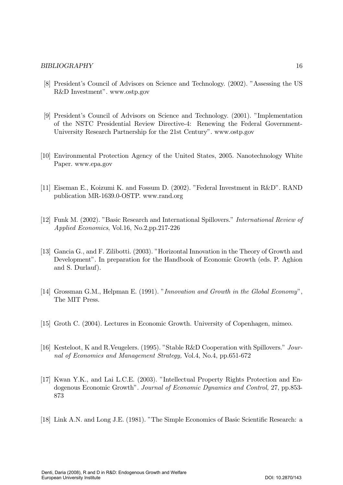#### BIBLIOGRAPHY 16

- [8] President's Council of Advisors on Science and Technology. (2002). "Assessing the US R&D Investment". www.ostp.gov
- [9] President's Council of Advisors on Science and Technology. (2001). "Implementation of the NSTC Presidential Review Directive-4: Renewing the Federal Government-University Research Partnership for the 21st Century". www.ostp.gov
- [10] Environmental Protection Agency of the United States, 2005. Nanotechnology White Paper. www.epa.gov
- [11] Eiseman E., Koizumi K. and Fossum D. (2002). "Federal Investment in R&D". RAND publication MR-1639.0-OSTP. www.rand.org
- [12] Funk M. (2002). "Basic Research and International Spillovers." *International Review of* Applied Economics, Vol.16, No.2,pp.217-226
- [13] Gancia G., and F. Zilibotti. (2003). "Horizontal Innovation in the Theory of Growth and Development". In preparation for the Handbook of Economic Growth (eds. P. Aghion and S. Durlauf).
- [14] Grossman G.M., Helpman E. (1991). "Innovation and Growth in the Global Economy", The MIT Press.
- [15] Groth C. (2004). Lectures in Economic Growth. University of Copenhagen, mimeo.
- [16] Kesteloot, K and R. Veugelers. (1995). "Stable R&D Cooperation with Spillovers." Journal of Economics and Management Strategy, Vol.4, No.4, pp.651-672
- [17] Kwan Y.K., and Lai L.C.E. (2003). "Intellectual Property Rights Protection and Endogenous Economic Growth". Journal of Economic Dynamics and Control, 27, pp.853-873
- [18] Link A.N. and Long J.E. (1981). "The Simple Economics of Basic Scientific Research: a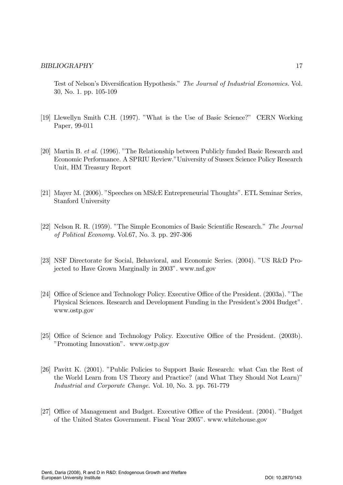Test of Nelson's Diversification Hypothesis." The Journal of Industrial Economics. Vol. 30, No. 1. pp. 105-109

- [19] Llewellyn Smith C.H. (1997). "What is the Use of Basic Science?" CERN Working Paper, 99-011
- [20] Martin B. et al. (1996). "The Relationship between Publicly funded Basic Research and Economic Performance. A SPRIU Review." University of Sussex Science Policy Research Unit, HM Treasury Report
- [21] Mayer M. (2006). "Speeches on MS&E Entrepreneurial Thoughts". ETL Seminar Series, Stanford University
- [22] Nelson R. R. (1959). "The Simple Economics of Basic Scientific Research." The Journal of Political Economy. Vol.67, No. 3. pp. 297-306
- [23] NSF Directorate for Social, Behavioral, and Economic Series. (2004). "US R&D Projected to Have Grown Marginally in 2003". www.nsf.gov
- [24] Office of Science and Technology Policy. Executive Office of the President. (2003a). "The Physical Sciences. Research and Development Funding in the President's 2004 Budget". www.ostp.gov
- [25] Office of Science and Technology Policy. Executive Office of the President. (2003b). "Promoting Innovation". www.ostp.gov
- [26] Pavitt K. (2001). "Public Policies to Support Basic Research: what Can the Rest of the World Learn from US Theory and Practice? (and What They Should Not Learn)" Industrial and Corporate Change. Vol. 10, No. 3. pp. 761-779
- [27] Office of Management and Budget. Executive Office of the President. (2004). "Budget of the United States Government. Fiscal Year 2005". www.whitehouse.gov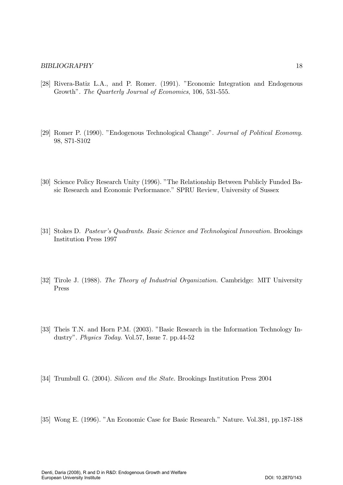- [28] Rivera-Batiz L.A., and P. Romer. (1991). "Economic Integration and Endogenous Growth". The Quarterly Journal of Economics, 106, 531-555.
- [29] Romer P. (1990). "Endogenous Technological Change". Journal of Political Economy. 98, S71-S102
- [30] Science Policy Research Unity (1996). "The Relationship Between Publicly Funded Basic Research and Economic Performance." SPRU Review, University of Sussex
- [31] Stokes D. Pasteur's Quadrants. Basic Science and Technological Innovation. Brookings Institution Press 1997
- [32] Tirole J. (1988). The Theory of Industrial Organization. Cambridge: MIT University Press
- [33] Theis T.N. and Horn P.M. (2003). "Basic Research in the Information Technology Industry". Physics Today. Vol.57, Issue 7. pp.44-52
- [34] Trumbull G. (2004). Silicon and the State. Brookings Institution Press 2004
- [35] Wong E. (1996). "An Economic Case for Basic Research." Nature. Vol.381, pp.187-188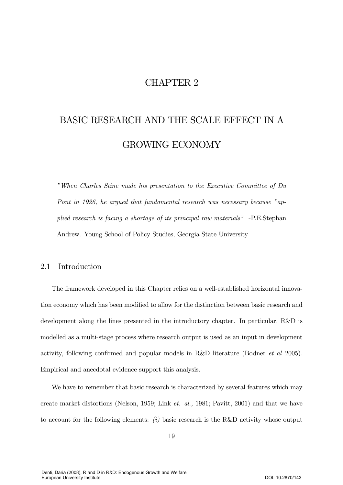## CHAPTER  $2$

# BASIC RESEARCH AND THE SCALE EFFECT IN A **GROWING ECONOMY**

"When Charles Stine made his presentation to the Executive Committee of Du Pont in 1926, he argued that fundamental research was necessary because "applied research is facing a shortage of its principal raw materials" -P.E.Stephan Andrew. Young School of Policy Studies, Georgia State University

#### Introduction 2.1

The framework developed in this Chapter relies on a well-established horizontal innovation economy which has been modified to allow for the distinction between basic research and development along the lines presented in the introductory chapter. In particular, R&D is modelled as a multi-stage process where research output is used as an input in development activity, following confirmed and popular models in R&D literature (Bodner *et al* 2005). Empirical and anecdotal evidence support this analysis.

We have to remember that basic research is characterized by several features which may create market distortions (Nelson, 1959; Link *et. al.*, 1981; Pavitt, 2001) and that we have to account for the following elements: (i) basic research is the R&D activity whose output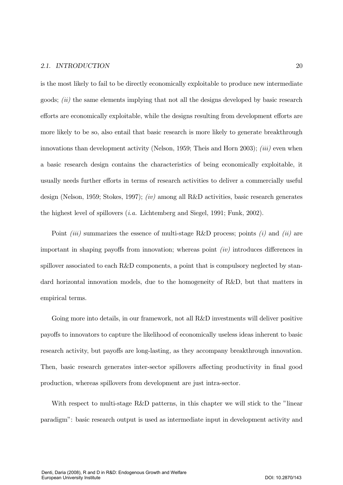### 2.1. INTRODUCTION

is the most likely to fail to be directly economically exploitable to produce new intermediate goods;  $(ii)$  the same elements implying that not all the designs developed by basic research efforts are economically exploitable, while the designs resulting from development efforts are more likely to be so, also entail that basic research is more likely to generate breakthrough innovations than development activity (Nelson, 1959; Theis and Horn 2003); *(iii)* even when a basic research design contains the characteristics of being economically exploitable, it usually needs further efforts in terms of research activities to deliver a commercially useful design (Nelson, 1959; Stokes, 1997); *(iv)* among all R&D activities, basic research generates the highest level of spillovers  $(i.a.$  Lichtemberg and Siegel, 1991; Funk, 2002).

Point *(iii)* summarizes the essence of multi-stage R&D process; points *(i)* and *(ii)* are important in shaping payoffs from innovation; whereas point  $(iv)$  introduces differences in spillover associated to each R&D components, a point that is compulsory neglected by standard horizontal innovation models, due to the homogeneity of R&D, but that matters in empirical terms.

Going more into details, in our framework, not all R&D investments will deliver positive payoffs to innovators to capture the likelihood of economically useless ideas inherent to basic research activity, but payoffs are long-lasting, as they accompany breakthrough innovation. Then, basic research generates inter-sector spillovers affecting productivity in final good production, whereas spillovers from development are just intra-sector.

With respect to multi-stage R&D patterns, in this chapter we will stick to the "linear" paradigm": basic research output is used as intermediate input in development activity and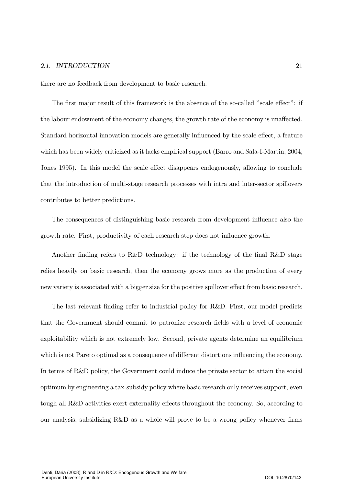### 2.1. INTRODUCTION

there are no feedback from development to basic research.

The first major result of this framework is the absence of the so-called "scale effect": if the labour endowment of the economy changes, the growth rate of the economy is unaffected. Standard horizontal innovation models are generally influenced by the scale effect, a feature which has been widely criticized as it lacks empirical support (Barro and Sala-I-Martin, 2004; Jones 1995). In this model the scale effect disappears endogenously, allowing to conclude that the introduction of multi-stage research processes with intra and inter-sector spillovers contributes to better predictions.

The consequences of distinguishing basic research from development influence also the growth rate. First, productivity of each research step does not influence growth.

Another finding refers to R&D technology: if the technology of the final R&D stage relies heavily on basic research, then the economy grows more as the production of every new variety is associated with a bigger size for the positive spillover effect from basic research.

The last relevant finding refer to industrial policy for R&D. First, our model predicts that the Government should commit to patronize research fields with a level of economic exploitability which is not extremely low. Second, private agents determine an equilibrium which is not Pareto optimal as a consequence of different distortions influencing the economy. In terms of R&D policy, the Government could induce the private sector to attain the social optimum by engineering a tax-subsidy policy where basic research only receives support, even tough all R&D activities exert externality effects throughout the economy. So, according to our analysis, subsidizing R&D as a whole will prove to be a wrong policy whenever firms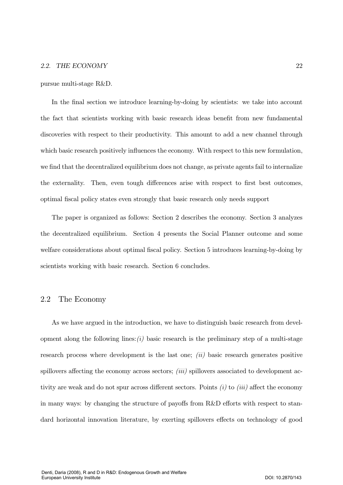pursue multi-stage R&D.

In the final section we introduce learning-by-doing by scientists: we take into account the fact that scientists working with basic research ideas benefit from new fundamental discoveries with respect to their productivity. This amount to add a new channel through which basic research positively influences the economy. With respect to this new formulation, we find that the decentralized equilibrium does not change, as private agents fail to internalize the externality. Then, even tough differences arise with respect to first best outcomes, optimal fiscal policy states even strongly that basic research only needs support

The paper is organized as follows: Section 2 describes the economy. Section 3 analyzes the decentralized equilibrium. Section 4 presents the Social Planner outcome and some welfare considerations about optimal fiscal policy. Section 5 introduces learning-by-doing by scientists working with basic research. Section 6 concludes.

### 2.2 The Economy

As we have argued in the introduction, we have to distinguish basic research from development along the following lines:  $(i)$  basic research is the preliminary step of a multi-stage research process where development is the last one;  $(ii)$  basic research generates positive spillovers affecting the economy across sectors;  $(iii)$  spillovers associated to development activity are weak and do not spur across different sectors. Points  $(i)$  to  $(iii)$  affect the economy in many ways: by changing the structure of payoffs from R&D efforts with respect to standard horizontal innovation literature, by exerting spillovers effects on technology of good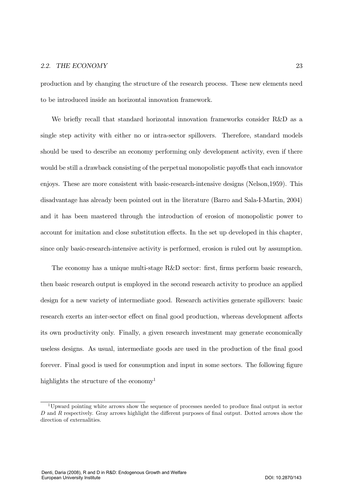production and by changing the structure of the research process. These new elements need to be introduced inside an horizontal innovation framework.

We briefly recall that standard horizontal innovation frameworks consider R&D as a single step activity with either no or intra-sector spillovers. Therefore, standard models should be used to describe an economy performing only development activity, even if there would be still a drawback consisting of the perpetual monopolistic payoffs that each innovator enjoys. These are more consistent with basic-research-intensive designs (Nelson,  $1959$ ). This disadvantage has already been pointed out in the literature (Barro and Sala-I-Martin, 2004) and it has been mastered through the introduction of erosion of monopolistic power to account for imitation and close substitution effects. In the set up developed in this chapter, since only basic-research-intensive activity is performed, erosion is ruled out by assumption.

The economy has a unique multi-stage  $R&D$  sector: first, firms perform basic research, then basic research output is employed in the second research activity to produce an applied design for a new variety of intermediate good. Research activities generate spillovers: basic research exerts an inter-sector effect on final good production, whereas development affects its own productivity only. Finally, a given research investment may generate economically useless designs. As usual, intermediate goods are used in the production of the final good forever. Final good is used for consumption and input in some sectors. The following figure highlights the structure of the economy<sup>1</sup>

<sup>&</sup>lt;sup>1</sup>Upward pointing white arrows show the sequence of processes needed to produce final output in sector  $D$  and  $R$  respectively. Gray arrows highlight the different purposes of final output. Dotted arrows show the direction of externalities.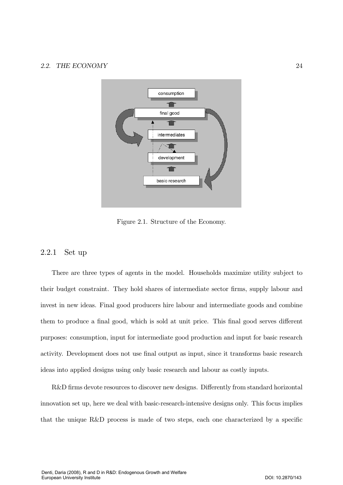

Figure 2.1. Structure of the Economy.

### 2.2.1 Set up

There are three types of agents in the model. Households maximize utility subject to their budget constraint. They hold shares of intermediate sector firms, supply labour and invest in new ideas. Final good producers hire labour and intermediate goods and combine them to produce a final good, which is sold at unit price. This final good serves different purposes: consumption, input for intermediate good production and input for basic research activity. Development does not use final output as input, since it transforms basic research ideas into applied designs using only basic research and labour as costly inputs.

R&D firms devote resources to discover new designs. Differently from standard horizontal innovation set up, here we deal with basic-research-intensive designs only. This focus implies that the unique R&D process is made of two steps, each one characterized by a specific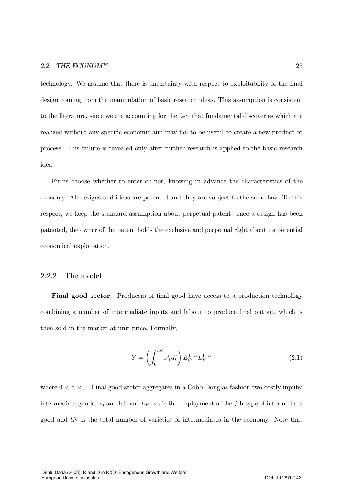technology. We assume that there is uncertainty with respect to exploitability of the final design coming from the manipulation of basic research ideas. This assumption is consistent to the literature, since we are accounting for the fact that fundamental discoveries which are realized without any specific economic aim may fail to be useful to create a new product or process. This failure is revealed only after further research is applied to the basic research idea.

Firms choose whether to enter or not, knowing in advance the characteristics of the economy. All designs and ideas are patented and they are subject to the same law. To this respect, we keep the standard assumption about perpetual patent: once a design has been patented, the owner of the patent holds the exclusive and perpetual right about its potential economical exploitation.

### $2.2.2$  The model

Final good sector. Producers of final good have access to a production technology combining a number of intermediate inputs and labour to produce final output, which is then sold in the market at unit price. Formally,

$$
Y = \left(\int_0^{lN} x_j^{\alpha} dj\right) E_Q^{1-\alpha} L_Y^{1-\alpha} \tag{2.1}
$$

where  $0 < \alpha < 1$ . Final good sector aggregates in a Cobb-Douglas fashion two costly inputs: intermediate goods,  $x_j$  and labour,  $L_Y$ .  $x_j$  is the employment of the *j*th type of intermediate good and  $l$  is the total number of varieties of intermediates in the economy. Note that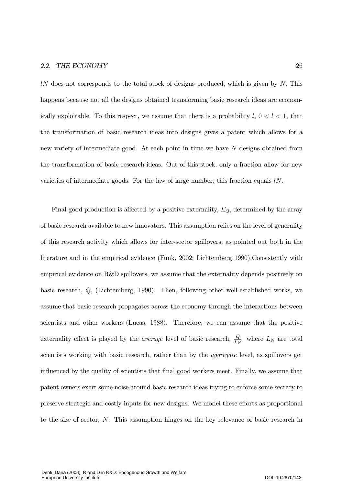*lN* does not corresponds to the total stock of designs produced, which is given by N. This happens because not all the designs obtained transforming basic research ideas are economically exploitable. To this respect, we assume that there is a probability  $l, 0 < l < 1$ , that the transformation of basic research ideas into designs gives a patent which allows for a new variety of intermediate good. At each point in time we have N designs obtained from the transformation of basic research ideas. Out of this stock, only a fraction allow for new varieties of intermediate goods. For the law of large number, this fraction equals  $lN$ .

Final good production is affected by a positive externality,  $E_Q$ , determined by the array of basic research available to new innovators. This assumption relies on the level of generality of this research activity which allows for inter-sector spillovers, as pointed out both in the literature and in the empirical evidence (Funk, 2002; Lichtemberg 1990). Consistently with empirical evidence on  $R\&D$  spillovers, we assume that the externality depends positively on basic research,  $Q$ , (Lichtemberg, 1990). Then, following other well-established works, we assume that basic research propagates across the economy through the interactions between scientists and other workers (Lucas, 1988). Therefore, we can assume that the positive externality effect is played by the *average* level of basic research,  $\frac{Q}{L_N}$ , where  $L_N$  are total scientists working with basic research, rather than by the *aggregate* level, as spillovers get influenced by the quality of scientists that final good workers meet. Finally, we assume that patent owners exert some noise around basic research ideas trying to enforce some secrecy to preserve strategic and costly inputs for new designs. We model these efforts as proportional to the size of sector, N. This assumption hinges on the key relevance of basic research in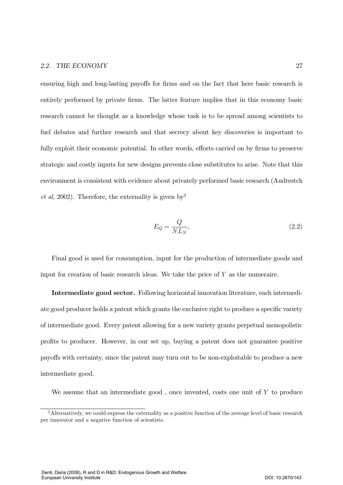ensuring high and long-lasting payoffs for firms and on the fact that here basic research is entirely performed by private firms. The latter feature implies that in this economy basic research cannot be thought as a knowledge whose task is to be spread among scientists to fuel debates and further research and that secrecy about key discoveries is important to fully exploit their economic potential. In other words, efforts carried on by firms to preserve strategic and costly inputs for new designs prevents close substitutes to arise. Note that this environment is consistent with evidence about privately performed basic research (Audrestch *et al*, 2002). Therefore, the externality is given by<sup>2</sup>

$$
E_Q = \frac{Q}{NL_N},\tag{2.2}
$$

Final good is used for consumption, input for the production of intermediate goods and input for creation of basic research ideas. We take the price of  $Y$  as the numeraire.

Intermediate good sector. Following horizontal innovation literature, each intermediate good producer holds a patent which grants the exclusive right to produce a specific variety of intermediate good. Every patent allowing for a new variety grants perpetual monopolistic profits to producer. However, in our set up, buying a patent does not guarantee positive payoffs with certainty, since the patent may turn out to be non-exploitable to produce a new intermediate good.

We assume that an intermediate good, once invented, costs one unit of  $Y$  to produce

<sup>&</sup>lt;sup>2</sup> Alternatively, we could express the externality as a positive function of the average level of basic research per innovator and a negative function of scientists.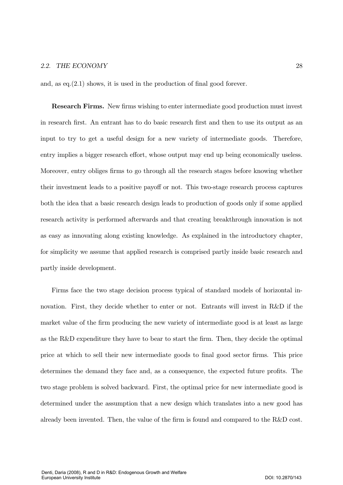and, as  $eq.(2.1)$  shows, it is used in the production of final good forever.

Research Firms. New firms wishing to enter intermediate good production must invest in research first. An entrant has to do basic research first and then to use its output as an input to try to get a useful design for a new variety of intermediate goods. Therefore, entry implies a bigger research effort, whose output may end up being economically useless. Moreover, entry obliges firms to go through all the research stages before knowing whether their investment leads to a positive payoff or not. This two-stage research process captures both the idea that a basic research design leads to production of goods only if some applied research activity is performed afterwards and that creating breakthrough innovation is not as easy as innovating along existing knowledge. As explained in the introductory chapter, for simplicity we assume that applied research is comprised partly inside basic research and partly inside development.

Firms face the two stage decision process typical of standard models of horizontal innovation. First, they decide whether to enter or not. Entrants will invest in R&D if the market value of the firm producing the new variety of intermediate good is at least as large as the R&D expenditure they have to bear to start the firm. Then, they decide the optimal price at which to sell their new intermediate goods to final good sector firms. This price determines the demand they face and, as a consequence, the expected future profits. The two stage problem is solved backward. First, the optimal price for new intermediate good is determined under the assumption that a new design which translates into a new good has already been invented. Then, the value of the firm is found and compared to the  $R&D$  cost.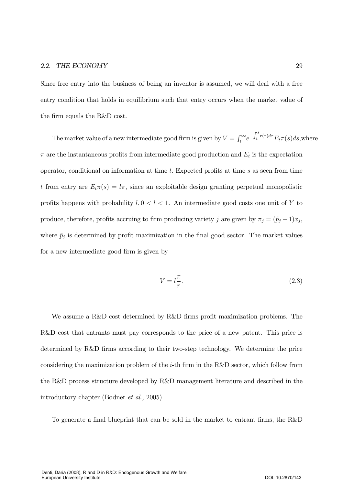Since free entry into the business of being an inventor is assumed, we will deal with a free entry condition that holds in equilibrium such that entry occurs when the market value of the firm equals the R&D cost.

The market value of a new intermediate good firm is given by  $V = \int_t^{\infty} e^{-\int_t^s r(\tau)d\tau} E_t \pi(s) ds$ , where  $\pi$  are the instantaneous profits from intermediate good production and  $E_t$  is the expectation operator, conditional on information at time  $t$ . Expected profits at time  $s$  as seen from time t from entry are  $E_t \pi(s) = l\pi$ , since an exploitable design granting perpetual monopolistic profits happens with probability  $l, 0 < l < 1$ . An intermediate good costs one unit of Y to produce, therefore, profits accruing to firm producing variety j are given by  $\pi_j = (\tilde{p}_j - 1)x_j$ , where  $\tilde{p}_j$  is determined by profit maximization in the final good sector. The market values for a new intermediate good firm is given by

$$
V = l \frac{\pi}{r}.\tag{2.3}
$$

We assume a R&D cost determined by R&D firms profit maximization problems. The R&D cost that entrants must pay corresponds to the price of a new patent. This price is determined by R&D firms according to their two-step technology. We determine the price considering the maximization problem of the *i*-th firm in the R&D sector, which follow from the R&D process structure developed by R&D management literature and described in the introductory chapter (Bodner *et al.*, 2005).

To generate a final blueprint that can be sold in the market to entrant firms, the R&D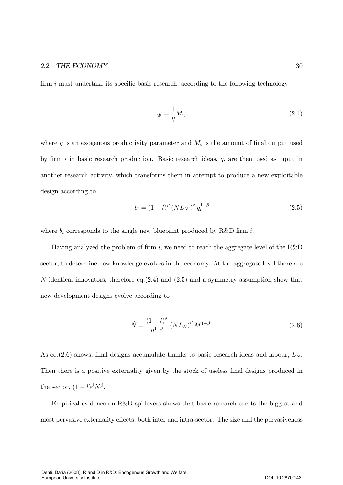firm  $i$  must undertake its specific basic research, according to the following technology

$$
q_i = \frac{1}{\eta} M_i,\tag{2.4}
$$

where  $\eta$  is an exogenous productivity parameter and  $M_i$  is the amount of final output used by firm i in basic research production. Basic research ideas,  $q_i$  are then used as input in another research activity, which transforms them in attempt to produce a new exploitable design according to

$$
b_i = (1 - l)^{\beta} \left( NL_{Ni} \right)^{\beta} q_i^{1 - \beta} \tag{2.5}
$$

where  $b_i$  corresponds to the single new blueprint produced by R&D firm i.

Having analyzed the problem of firm i, we need to reach the aggregate level of the  $R&D$ sector, to determine how knowledge evolves in the economy. At the aggregate level there are  $\dot{N}$  identical innovators, therefore eq.(2.4) and (2.5) and a symmetry assumption show that new development designs evolve according to

$$
\dot{N} = \frac{(1 - l)^{\beta}}{\eta^{1 - \beta}} \left( NL_N \right)^{\beta} M^{1 - \beta}.
$$
\n(2.6)

As eq. (2.6) shows, final designs accumulate thanks to basic research ideas and labour,  $L_N$ . Then there is a positive externality given by the stock of useless final designs produced in the sector,  $(1-l)^\beta N^\beta$ .

Empirical evidence on R&D spillovers shows that basic research exerts the biggest and most pervasive externality effects, both inter and intra-sector. The size and the pervasiveness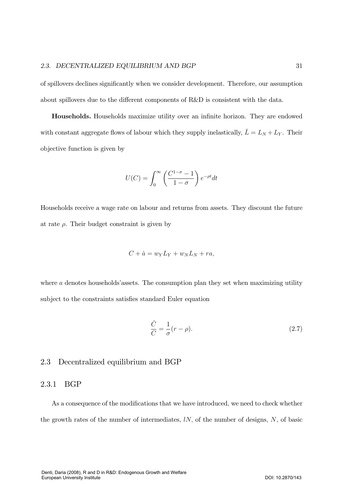of spillovers declines significantly when we consider development. Therefore, our assumption about spillovers due to the different components of  $R\&D$  is consistent with the data.

Households. Households maximize utility over an infinite horizon. They are endowed with constant aggregate flows of labour which they supply inelastically,  $\bar{L} = L_N + L_Y$ . Their objective function is given by

$$
U(C) = \int_0^\infty \left(\frac{C^{1-\sigma} - 1}{1 - \sigma}\right) e^{-\rho t} dt
$$

Households receive a wage rate on labour and returns from assets. They discount the future at rate  $\rho$ . Their budget constraint is given by

$$
C + \dot{a} = w_Y L_Y + w_N L_N + ra,
$$

where  $a$  denotes households' assets. The consumption plan they set when maximizing utility subject to the constraints satisfies standard Euler equation

$$
\frac{\dot{C}}{C} = \frac{1}{\sigma}(r - \rho). \tag{2.7}
$$

### 2.3 Decentralized equilibrium and BGP

### 2.3.1 BGP

As a consequence of the modifications that we have introduced, we need to check whether the growth rates of the number of intermediates,  $lN$ , of the number of designs, N, of basic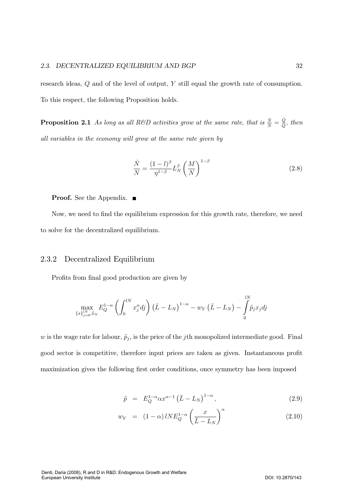research ideas,  $Q$  and of the level of output,  $Y$  still equal the growth rate of consumption. To this respect, the following Proposition holds.

**Proposition 2.1** As long as all R&D activities grow at the same rate, that is  $\frac{\dot{N}}{N} = \frac{\dot{Q}}{Q}$ , then all variables in the economy will grow at the same rate given by

$$
\frac{\dot{N}}{N} = \frac{(1-l)^{\beta}}{\eta^{1-\beta}} L_N^{\beta} \left(\frac{M}{N}\right)^{1-\beta} \tag{2.8}
$$

**Proof.** See the Appendix.  $\blacksquare$ 

Now, we need to find the equilibrium expression for this growth rate, therefore, we need to solve for the decentralized equilibrium.

#### 2.3.2 Decentralized Equilibrium

Profits from final good production are given by

$$
\max_{\{x\}_{j=0}^{lN},L_Y} E_Q^{1-\alpha}\left(\int_0^{lN}x_j^\alpha dj\right)\left(\bar L-L_N\right)^{1-\alpha}-w_Y\left(\bar L-L_N\right)-\int\limits_0^{lN}\widetilde p_jx_jdj
$$

w is the wage rate for labour,  $\tilde{p}_j$ , is the price of the jth monopolized intermediate good. Final good sector is competitive, therefore input prices are taken as given. Instantaneous profit maximization gives the following first order conditions, once symmetry has been imposed

$$
\tilde{p} = E_Q^{1-\alpha} \alpha x^{\alpha-1} \left( \bar{L} - L_N \right)^{1-\alpha},\tag{2.9}
$$

$$
w_Y = (1 - \alpha) l N E_Q^{1 - \alpha} \left(\frac{x}{\bar{L} - L_N}\right)^{\alpha} \tag{2.10}
$$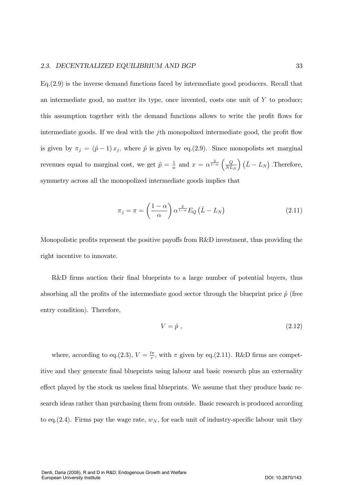$Eq.(2.9)$  is the inverse demand functions faced by intermediate good producers. Recall that an intermediate good, no matter its type, once invented, costs one unit of  $Y$  to produce; this assumption together with the demand functions allows to write the profit flows for intermediate goods. If we deal with the  $j$ th monopolized intermediate good, the profit flow is given by  $\pi_j = (\tilde{p} - 1)x_j$ , where  $\tilde{p}$  is given by eq.(2.9). Since monopolists set marginal revenues equal to marginal cost, we get  $\tilde{p} = \frac{1}{\alpha}$  and  $x = \alpha^{\frac{2}{1-\alpha}} \left( \frac{Q}{NL} \right)$  $\left(\frac{Q}{NL_N}\right)\left(\bar{L}-L_N\right)$  . Therefore, symmetry across all the monopolized intermediate goods implies that

$$
\pi_j = \pi = \left(\frac{1-\alpha}{\alpha}\right) \alpha^{\frac{2}{1-\alpha}} E_Q \left(\bar{L} - L_N\right) \tag{2.11}
$$

Monopolistic profits represent the positive payoffs from R&D investment, thus providing the right incentive to innovate.

R&D firms auction their final blueprints to a large number of potential buyers, thus absorbing all the profits of the intermediate good sector through the blueprint price  $\hat{p}$  (free entry condition). Therefore,

$$
V = \hat{p} \tag{2.12}
$$

where, according to eq.(2.3),  $V = \frac{l\pi}{r}$ , with  $\pi$  given by eq.(2.11). R&D firms are competitive and they generate final blueprints using labour and basic research plus an externality effect played by the stock us useless final blueprints. We assume that they produce basic research ideas rather than purchasing them from outside. Basic research is produced according to eq. (2.4). Firms pay the wage rate,  $w_N$ , for each unit of industry-specific labour unit they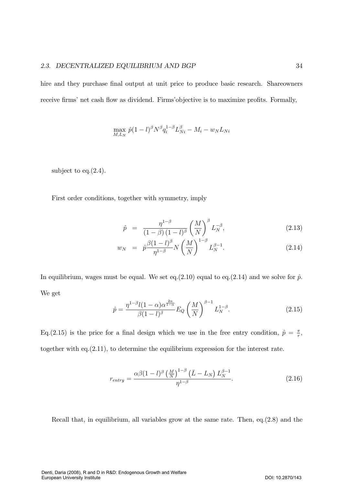hire and they purchase final output at unit price to produce basic research. Shareowners receive firms' net cash flow as dividend. Firms' objective is to maximize profits. Formally,

$$
\max_{M,L_N} \hat{p}(1-l)^{\beta} N^{\beta} q_i^{1-\beta} L_{Ni}^{\beta} - M_i - w_N L_{Ni}
$$

subject to eq. $(2.4)$ .

First order conditions, together with symmetry, imply

$$
\hat{p} = \frac{\eta^{1-\beta}}{(1-\beta)(1-l)^{\beta}} \left(\frac{M}{N}\right)^{\beta} L_N^{-\beta}, \tag{2.13}
$$

$$
w_N = \hat{p} \frac{\beta (1 - l)^{\beta}}{\eta^{1 - \beta}} N \left(\frac{M}{N}\right)^{1 - \beta} L_N^{\beta - 1}.
$$
 (2.14)

In equilibrium, wages must be equal. We set eq.(2.10) equal to eq.(2.14) and we solve for  $\hat{p}$ . We get

$$
\hat{p} = \frac{\eta^{1-\beta}l(1-\alpha)\alpha^{\frac{2\alpha}{1-\alpha}}}{\beta(1-l)^{\beta}}E_Q\left(\frac{M}{N}\right)^{\beta-1}L_N^{1-\beta}.
$$
\n(2.15)

Eq. (2.15) is the price for a final design which we use in the free entry condition,  $\hat{p} = \frac{\pi}{r}$ , together with eq.  $(2.11)$ , to determine the equilibrium expression for the interest rate.

$$
r_{entry} = \frac{\alpha \beta (1 - l)^{\beta} \left(\frac{M}{N}\right)^{1 - \beta} \left(\bar{L} - L_N\right) L_N^{\beta - 1}}{\eta^{1 - \beta}}.
$$
\n(2.16)

Recall that, in equilibrium, all variables grow at the same rate. Then, eq. $(2.8)$  and the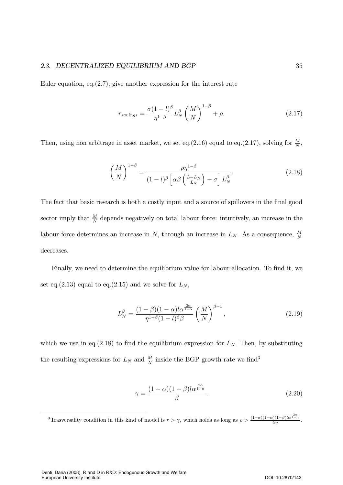### 2.3. DECENTRALIZED EQUILIBRIUM AND BGP 35

Euler equation, eq.  $(2.7)$ , give another expression for the interest rate

$$
r_{savings} = \frac{\sigma (1 - l)^{\beta}}{\eta^{1 - \beta}} L_N^{\beta} \left(\frac{M}{N}\right)^{1 - \beta} + \rho.
$$
 (2.17)

Then, using non arbitrage in asset market, we set eq.(2.16) equal to eq.(2.17), solving for  $\frac{M}{N}$ ,

$$
\left(\frac{M}{N}\right)^{1-\beta} = \frac{\rho \eta^{1-\beta}}{(1-l)^{\beta} \left[\alpha \beta \left(\frac{\bar{L}-L_N}{L_N}\right) - \sigma\right] L_N^{\beta}}.
$$
\n(2.18)

The fact that basic research is both a costly input and a source of spillovers in the final good sector imply that  $\frac{M}{N}$  depends negatively on total labour force: intuitively, an increase in the labour force determines an increase in N, through an increase in  $L_N$ . As a consequence,  $\frac{M}{N}$ decreases.

Finally, we need to determine the equilibrium value for labour allocation. To find it, we set eq.(2.13) equal to eq.(2.15) and we solve for  $L_N$ ,

$$
L_N^{\beta} = \frac{(1-\beta)(1-\alpha)l\alpha^{\frac{2\alpha}{1-\alpha}}}{\eta^{1-\beta}(1-l)^{\beta}\beta} \left(\frac{M}{N}\right)^{\beta-1},\tag{2.19}
$$

which we use in eq.(2.18) to find the equilibrium expression for  $L_N$ . Then, by substituting the resulting expressions for  $L_N$  and  $\frac{M}{N}$  inside the BGP growth rate we find<sup>3</sup>

$$
\gamma = \frac{(1 - \alpha)(1 - \beta)l\alpha^{\frac{2\alpha}{1 - \alpha}}}{\beta}.
$$
\n(2.20)

<sup>&</sup>lt;sup>3</sup>Trasversality condition in this kind of model is  $r > \gamma$ , which holds as long as  $\rho > \frac{(1-\sigma)(1-\alpha)(1-\beta)\log^{\frac{2\alpha}{1-\alpha}}}{\beta\eta}$ .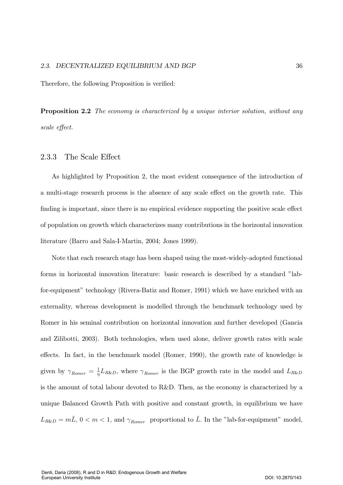Therefore, the following Proposition is verified:

**Proposition 2.2** The economy is characterized by a unique interior solution, without any scale effect.

#### 2.3.3 The Scale Effect

As highlighted by Proposition 2, the most evident consequence of the introduction of a multi-stage research process is the absence of any scale effect on the growth rate. This finding is important, since there is no empirical evidence supporting the positive scale effect of population on growth which characterizes many contributions in the horizontal innovation literature (Barro and Sala-I-Martin, 2004; Jones 1999).

Note that each research stage has been shaped using the most-widely-adopted functional forms in horizontal innovation literature: basic research is described by a standard "labfor-equipment" technology (Rivera-Batiz and Romer, 1991) which we have enriched with an externality, whereas development is modelled through the benchmark technology used by Romer in his seminal contribution on horizontal innovation and further developed (Gancia and Zilibotti, 2003). Both technologies, when used alone, deliver growth rates with scale effects. In fact, in the benchmark model (Romer, 1990), the growth rate of knowledge is given by  $\gamma_{Romer} = \frac{1}{\eta} L_{R\&D}$ , where  $\gamma_{Romer}$  is the BGP growth rate in the model and  $L_{R\&D}$ is the amount of total labour devoted to R&D. Then, as the economy is characterized by a unique Balanced Growth Path with positive and constant growth, in equilibrium we have  $L_{R\&D} = m\overline{L}$ ,  $0 < m < 1$ , and  $\gamma_{Romer}$  proportional to  $\overline{L}$ . In the "lab-for-equipment" model,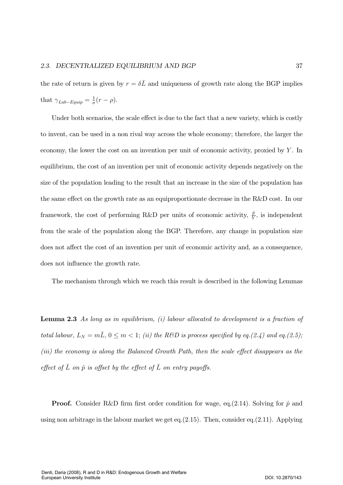the rate of return is given by  $r = \delta \bar{L}$  and uniqueness of growth rate along the BGP implies that  $\gamma_{Lab-Equip} = \frac{1}{\sigma}(r - \rho)$ .

Under both scenarios, the scale effect is due to the fact that a new variety, which is costly to invent, can be used in a non rival way across the whole economy; therefore, the larger the economy, the lower the cost on an invention per unit of economic activity, proxied by  $Y$ . In equilibrium, the cost of an invention per unit of economic activity depends negatively on the size of the population leading to the result that an increase in the size of the population has the same effect on the growth rate as an equiproportionate decrease in the R&D cost. In our framework, the cost of performing R&D per units of economic activity,  $\frac{\hat{p}}{Y}$ , is independent from the scale of the population along the BGP. Therefore, any change in population size does not affect the cost of an invention per unit of economic activity and, as a consequence, does not influence the growth rate.

The mechanism through which we reach this result is described in the following Lemmas

**Lemma 2.3** As long as in equilibrium, (i) labour allocated to development is a fraction of total labour,  $L_N = m\overline{L}$ ,  $0 \leq m < 1$ ; (ii) the R&D is process specified by eq.(2.4) and eq.(2.5); (iii) the economy is along the Balanced Growth Path, then the scale effect disappears as the effect of  $\overline{L}$  on  $\hat{p}$  is offset by the effect of  $\overline{L}$  on entry payoffs.

**Proof.** Consider R&D firm first order condition for wage, eq.  $(2.14)$ . Solving for  $\hat{p}$  and using non arbitrage in the labour market we get eq.  $(2.15)$ . Then, consider eq.  $(2.11)$ . Applying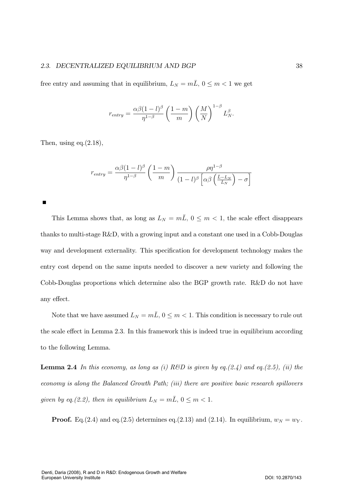### 2.3. DECENTRALIZED EQUILIBRIUM AND BGP 38

free entry and assuming that in equilibrium,  $L_N = m\bar{L}$ ,  $0 \le m < 1$  we get

$$
r_{entry} = \frac{\alpha \beta (1 - l)^{\beta}}{\eta^{1 - \beta}} \left(\frac{1 - m}{m}\right) \left(\frac{M}{N}\right)^{1 - \beta} L_N^{\beta}.
$$

Then, using eq. $(2.18)$ ,

$$
r_{entry} = \frac{\alpha \beta (1 - l)^{\beta}}{\eta^{1 - \beta}} \left(\frac{1 - m}{m}\right) \frac{\rho \eta^{1 - \beta}}{(1 - l)^{\beta} \left[\alpha \beta \left(\frac{\bar{L} - L_N}{L_N}\right) - \sigma\right]}
$$

П

This Lemma shows that, as long as  $L_N = m\overline{L}$ ,  $0 \leq m < 1$ , the scale effect disappears thanks to multi-stage  $R\&D$ , with a growing input and a constant one used in a Cobb-Douglas way and development externality. This specification for development technology makes the entry cost depend on the same inputs needed to discover a new variety and following the Cobb-Douglas proportions which determine also the BGP growth rate. R&D do not have any effect.

Note that we have assumed  $L_N = m\bar{L}$ ,  $0 \leq m < 1$ . This condition is necessary to rule out the scale effect in Lemma 2.3. In this framework this is indeed true in equilibrium according to the following Lemma.

**Lemma 2.4** In this economy, as long as (i) R&D is given by eq.  $(2.4)$  and eq.  $(2.5)$ , (ii) the economy is along the Balanced Growth Path; (iii) there are positive basic research spillovers given by eq.(2.2), then in equilibrium  $L_N = m\overline{L}$ ,  $0 \le m < 1$ .

**Proof.** Eq.(2.4) and eq.(2.5) determines eq.(2.13) and (2.14). In equilibrium,  $w_N = w_Y$ .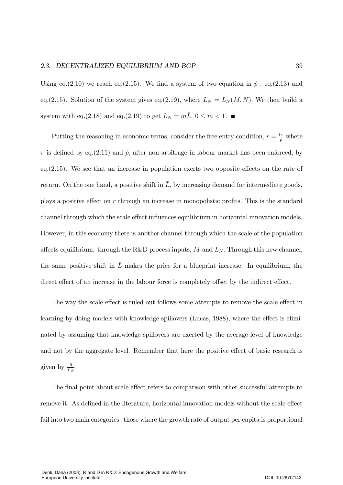Using eq. (2.10) we reach eq. (2.15). We find a system of two equation in  $\hat{p}$ : eq. (2.13) and eq.(2.15). Solution of the system gives eq.(2.19), where  $L_N = L_N(M, N)$ . We then build a system with eq.(2.18) and eq.(2.19) to get  $L_N = m\bar{L}$ ,  $0 \le m < 1$ .

Putting the reasoning in economic terms, consider the free entry condition,  $r = \frac{l\pi}{\hat{p}}$  where  $\pi$  is defined by eq.(2.11) and  $\hat{p}$ , after non arbitrage in labour market has been enforced, by eq.  $(2.15)$ . We see that an increase in population exerts two opposite effects on the rate of return. On the one hand, a positive shift in  $\overline{L}$ , by increasing demand for intermediate goods, plays a positive effect on  $r$  through an increase in monopolistic profits. This is the standard channel through which the scale effect influences equilibrium in horizontal innovation models. However, in this economy there is another channel through which the scale of the population affects equilibrium: through the R&D process inputs,  $M$  and  $L_N$ . Through this new channel, the same positive shift in  $\overline{L}$  makes the price for a blueprint increase. In equilibrium, the direct effect of an increase in the labour force is completely offset by the indirect effect.

The way the scale effect is ruled out follows some attempts to remove the scale effect in learning-by-doing models with knowledge spillovers (Lucas, 1988), where the effect is eliminated by assuming that knowledge spillovers are exerted by the average level of knowledge and not by the aggregate level. Remember that here the positive effect of basic research is given by  $\frac{\bar{q}}{L_N}$ .

The final point about scale effect refers to comparison with other successful attempts to remove it. As defined in the literature, horizontal innovation models without the scale effect fail into two main categories: those where the growth rate of output per capita is proportional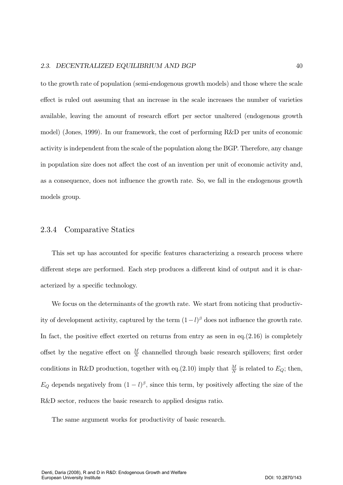to the growth rate of population (semi-endogenous growth models) and those where the scale effect is ruled out assuming that an increase in the scale increases the number of varieties available, leaving the amount of research effort per sector unaltered (endogenous growth model) (Jones, 1999). In our framework, the cost of performing R&D per units of economic activity is independent from the scale of the population along the BGP. Therefore, any change in population size does not affect the cost of an invention per unit of economic activity and, as a consequence, does not influence the growth rate. So, we fall in the endogenous growth models group.

#### 2.3.4 Comparative Statics

This set up has accounted for specific features characterizing a research process where different steps are performed. Each step produces a different kind of output and it is characterized by a specific technology.

We focus on the determinants of the growth rate. We start from noticing that productivity of development activity, captured by the term  $(1-l)^{\beta}$  does not influence the growth rate. In fact, the positive effect exerted on returns from entry as seen in eq. $(2.16)$  is completely offset by the negative effect on  $\frac{M}{N}$  channelled through basic research spillovers; first order conditions in R&D production, together with eq.(2.10) imply that  $\frac{M}{N}$  is related to  $E_Q$ ; then,  $E_Q$  depends negatively from  $(1 - l)^{\beta}$ , since this term, by positively affecting the size of the R&D sector, reduces the basic research to applied designs ratio.

The same argument works for productivity of basic research.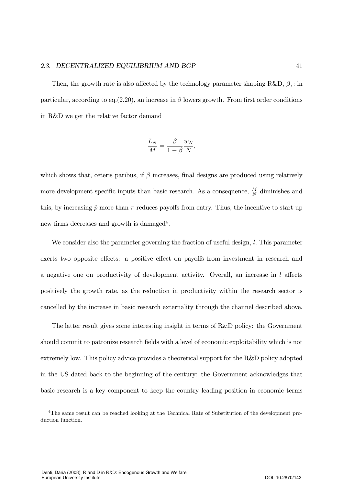Then, the growth rate is also affected by the technology parameter shaping  $R\&D, \beta$ ,: in particular, according to eq.  $(2.20)$ , an increase in  $\beta$  lowers growth. From first order conditions in R&D we get the relative factor demand

$$
\frac{L_N}{M} = \frac{\beta}{1 - \beta} \frac{w_N}{N},
$$

which shows that, ceteris paribus, if  $\beta$  increases, final designs are produced using relatively more development-specific inputs than basic research. As a consequence,  $\frac{M}{N}$  diminishes and this, by increasing  $\hat{p}$  more than  $\pi$  reduces payoffs from entry. Thus, the incentive to start up new firms decreases and growth is damaged<sup>4</sup>.

We consider also the parameter governing the fraction of useful design,  $l$ . This parameter exerts two opposite effects: a positive effect on payoffs from investment in research and a negative one on productivity of development activity. Overall, an increase in  $l$  affects positively the growth rate, as the reduction in productivity within the research sector is cancelled by the increase in basic research externality through the channel described above.

The latter result gives some interesting insight in terms of  $R&D$  policy: the Government should commit to patronize research fields with a level of economic exploitability which is not extremely low. This policy advice provides a theoretical support for the  $R\&D$  policy adopted in the US dated back to the beginning of the century: the Government acknowledges that basic research is a key component to keep the country leading position in economic terms

 ${}^{4}$ The same result can be reached looking at the Technical Rate of Substitution of the development production function.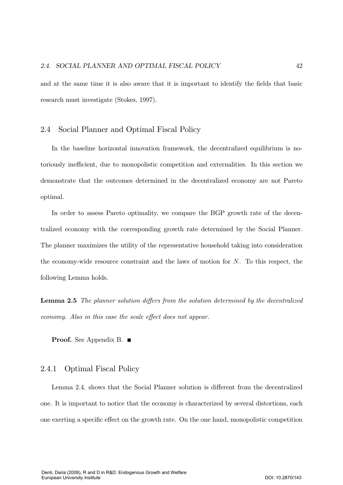and at the same time it is also aware that it is important to identify the fields that basic research must investigate (Stokes, 1997).

#### 2.4 Social Planner and Optimal Fiscal Policy

In the baseline horizontal innovation framework, the decentralized equilibrium is notoriously inefficient, due to monopolistic competition and externalities. In this section we demonstrate that the outcomes determined in the decentralized economy are not Pareto optimal.

In order to assess Pareto optimality, we compare the BGP growth rate of the decentralized economy with the corresponding growth rate determined by the Social Planner. The planner maximizes the utility of the representative household taking into consideration the economy-wide resource constraint and the laws of motion for  $N$ . To this respect, the following Lemma holds.

**Lemma 2.5** The planner solution differs from the solution determined by the decentralized economy. Also in this case the scale effect does not appear.

**Proof.** See Appendix B.  $\blacksquare$ 

#### 2.4.1 Optimal Fiscal Policy

Lemma 2.4, shows that the Social Planner solution is different from the decentralized one. It is important to notice that the economy is characterized by several distortions, each one exerting a specific effect on the growth rate. On the one hand, monopolistic competition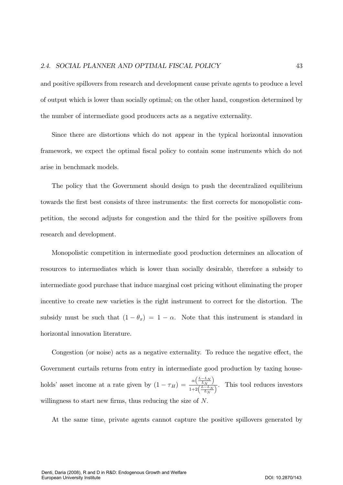and positive spillovers from research and development cause private agents to produce a level of output which is lower than socially optimal; on the other hand, congestion determined by the number of intermediate good producers acts as a negative externality.

Since there are distortions which do not appear in the typical horizontal innovation framework, we expect the optimal fiscal policy to contain some instruments which do not arise in benchmark models.

The policy that the Government should design to push the decentralized equilibrium towards the first best consists of three instruments: the first corrects for monopolistic competition, the second adjusts for congestion and the third for the positive spillovers from research and development.

Monopolistic competition in intermediate good production determines an allocation of resources to intermediates which is lower than socially desirable, therefore a subsidy to intermediate good purchase that induce marginal cost pricing without eliminating the proper incentive to create new varieties is the right instrument to correct for the distortion. The subsidy must be such that  $(1 - \theta_x) = 1 - \alpha$ . Note that this instrument is standard in horizontal innovation literature.

Congestion (or noise) acts as a negative externality. To reduce the negative effect, the Government curtails returns from entry in intermediate good production by taxing households' asset income at a rate given by  $(1 - \tau_H) = \frac{\alpha \left( \frac{L - L_N}{L_N} \right)}{1 + 2 \left( \frac{L - L_N}{L_N} \right)}$ . This tool reduces investors willingness to start new firms, thus reducing the size of  $N$ .

At the same time, private agents cannot capture the positive spillovers generated by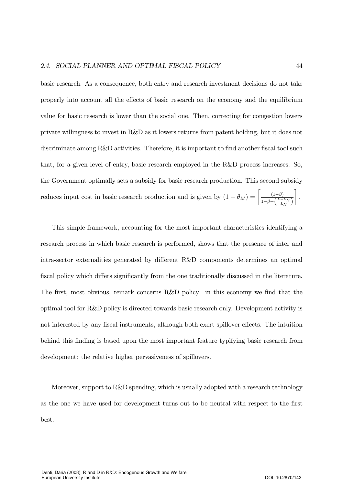basic research. As a consequence, both entry and research investment decisions do not take properly into account all the effects of basic research on the economy and the equilibrium value for basic research is lower than the social one. Then, correcting for congestion lowers private willingness to invest in  $R\&D$  as it lowers returns from patent holding, but it does not discriminate among R&D activities. Therefore, it is important to find another fiscal tool such that, for a given level of entry, basic research employed in the R&D process increases. So, the Government optimally sets a subsidy for basic research production. This second subsidy reduces input cost in basic research production and is given by  $(1 - \theta_M) = \frac{(1-\beta)}{1-\beta+\beta}$  $1-\beta+\left(\frac{L-L_N}{L_N}\right)$  $\vert$  .

This simple framework, accounting for the most important characteristics identifying a research process in which basic research is performed, shows that the presence of inter and intra-sector externalities generated by different R&D components determines an optimal fiscal policy which differs significantly from the one traditionally discussed in the literature. The first, most obvious, remark concerns R&D policy: in this economy we find that the optimal tool for R&D policy is directed towards basic research only. Development activity is not interested by any fiscal instruments, although both exert spillover effects. The intuition behind this finding is based upon the most important feature typifying basic research from development: the relative higher pervasiveness of spillovers.

Moreover, support to  $R\&D$  spending, which is usually adopted with a research technology as the one we have used for development turns out to be neutral with respect to the first best.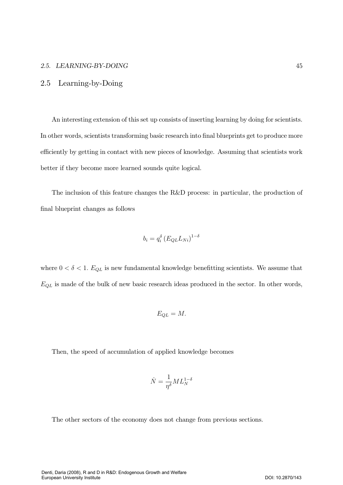### 2.5. LEARNING-BY-DOING 45

### 2.5 Learning-by-Doing

An interesting extension of this set up consists of inserting learning by doing for scientists. In other words, scientists transforming basic research into final blueprints get to produce more efficiently by getting in contact with new pieces of knowledge. Assuming that scientists work better if they become more learned sounds quite logical.

The inclusion of this feature changes the R&D process: in particular, the production of final blueprint changes as follows

$$
b_i = q_i^{\delta} \left( E_{QL} L_{Ni} \right)^{1-\delta}
$$

where  $0 < \delta < 1$ .  $E_{QL}$  is new fundamental knowledge benefitting scientists. We assume that  $E_{QL}$  is made of the bulk of new basic research ideas produced in the sector. In other words,

$$
E_{QL}=M.
$$

Then, the speed of accumulation of applied knowledge becomes

$$
\dot{N}=\frac{1}{\eta^\delta}ML_N^{1-\delta}
$$

The other sectors of the economy does not change from previous sections.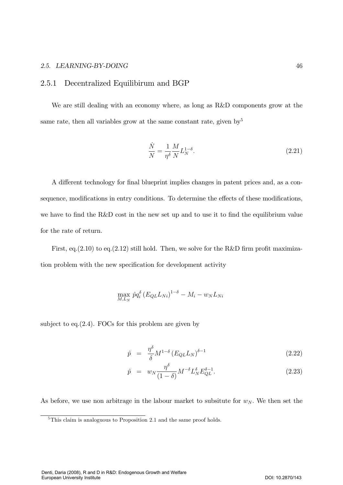### 2.5. LEARNING-BY-DOING

#### $2.5.1$ Decentralized Equilibirum and BGP

We are still dealing with an economy where, as long as R&D components grow at the same rate, then all variables grow at the same constant rate, given by  $5^5$ 

$$
\frac{\dot{N}}{N} = \frac{1}{\eta^{\delta}} \frac{M}{N} L_N^{1-\delta}.
$$
\n(2.21)

A different technology for final blueprint implies changes in patent prices and, as a consequence, modifications in entry conditions. To determine the effects of these modifications, we have to find the R&D cost in the new set up and to use it to find the equilibrium value for the rate of return.

First, eq.  $(2.10)$  to eq.  $(2.12)$  still hold. Then, we solve for the R&D firm profit maximization problem with the new specification for development activity

$$
\max_{M,L_N} \hat{p} q_i^{\delta} \left( E_{QL} L_{Ni} \right)^{1-\delta} - M_i - w_N L_{Ni}
$$

subject to eq.  $(2.4)$ . FOCs for this problem are given by

$$
\hat{p} = \frac{\eta^{\delta}}{\delta} M^{1-\delta} \left( E_{QL} L_N \right)^{\delta - 1} \tag{2.22}
$$

$$
\hat{p} = w_N \frac{\eta^{\delta}}{(1-\delta)} M^{-\delta} L_N^{\delta} E_{QL}^{\delta - 1}.
$$
\n(2.23)

As before, we use non arbitrage in the labour market to subsitute for  $w_N$ . We then set the

 $5$ This claim is analoguous to Proposition 2.1 and the same proof holds.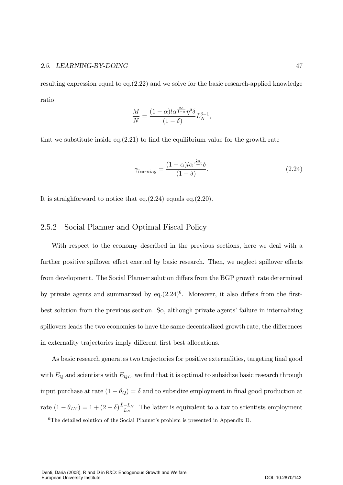### 2.5. LEARNING-BY-DOING

resulting expression equal to eq.  $(2.22)$  and we solve for the basic research-applied knowledge ratio

$$
\frac{M}{N} = \frac{(1-\alpha)l\alpha^{\frac{2\alpha}{1-\alpha}}\eta^{\delta}\delta}{(1-\delta)}L_N^{\delta-1},
$$

that we substitute inside eq.  $(2.21)$  to find the equilibrium value for the growth rate

$$
\gamma_{learning} = \frac{(1 - \alpha)l\alpha^{\frac{2\alpha}{1 - \alpha}}\delta}{(1 - \delta)}.
$$
\n(2.24)

It is straighforward to notice that eq.  $(2.24)$  equals eq.  $(2.20)$ .

#### 2.5.2 Social Planner and Optimal Fiscal Policy

With respect to the economy described in the previous sections, here we deal with a further positive spillover effect exerted by basic research. Then, we neglect spillover effects from development. The Social Planner solution differs from the BGP growth rate determined by private agents and summarized by eq. $(2.24)^6$ . Moreover, it also differs from the firstbest solution from the previous section. So, although private agents' failure in internalizing spillovers leads the two economies to have the same decentralized growth rate, the differences in externality trajectories imply different first best allocations.

As basic research generates two trajectories for positive externalities, targeting final good with  $E_Q$  and scientists with  $E_{QL}$ , we find that it is optimal to subsidize basic research through input purchase at rate  $(1 - \theta_Q) = \delta$  and to subsidize employment in final good production at rate  $(1 - \theta_{LY}) = 1 + (2 - \delta) \frac{\bar{L} - L_N}{L_N}$ . The latter is equivalent to a tax to scientists employment

47

 ${}^6$ The detailed solution of the Social Planner's problem is presented in Appendix D.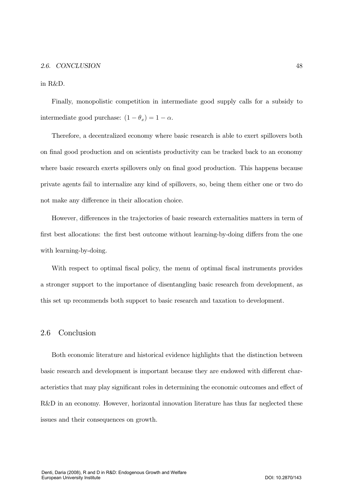in R&D.

Finally, monopolistic competition in intermediate good supply calls for a subsidy to intermediate good purchase:  $(1 - \theta_x) = 1 - \alpha$ .

Therefore, a decentralized economy where basic research is able to exert spillovers both on final good production and on scientists productivity can be tracked back to an economy where basic research exerts spillovers only on final good production. This happens because private agents fail to internalize any kind of spillovers, so, being them either one or two do not make any difference in their allocation choice.

However, differences in the trajectories of basic research externalities matters in term of first best allocations: the first best outcome without learning-by-doing differs from the one with learning-by-doing.

With respect to optimal fiscal policy, the menu of optimal fiscal instruments provides a stronger support to the importance of disentangling basic research from development, as this set up recommends both support to basic research and taxation to development.

#### 2.6 Conclusion

Both economic literature and historical evidence highlights that the distinction between basic research and development is important because they are endowed with different characteristics that may play significant roles in determining the economic outcomes and effect of R&D in an economy. However, horizontal innovation literature has thus far neglected these issues and their consequences on growth.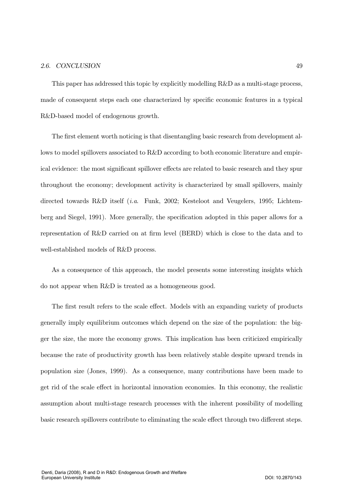This paper has addressed this topic by explicitly modelling R&D as a multi-stage process, made of consequent steps each one characterized by specific economic features in a typical R&D-based model of endogenous growth.

The first element worth noticing is that disentangling basic research from development allows to model spillovers associated to R&D according to both economic literature and empirical evidence: the most significant spillover effects are related to basic research and they spur throughout the economy; development activity is characterized by small spillovers, mainly directed towards R&D itself (*i.a.* Funk, 2002; Kesteloot and Veugelers, 1995; Lichtemberg and Siegel, 1991). More generally, the specification adopted in this paper allows for a representation of R&D carried on at firm level (BERD) which is close to the data and to well-established models of R&D process.

As a consequence of this approach, the model presents some interesting insights which do not appear when R&D is treated as a homogeneous good.

The first result refers to the scale effect. Models with an expanding variety of products generally imply equilibrium outcomes which depend on the size of the population: the bigger the size, the more the economy grows. This implication has been criticized empirically because the rate of productivity growth has been relatively stable despite upward trends in population size (Jones, 1999). As a consequence, many contributions have been made to get rid of the scale effect in horizontal innovation economies. In this economy, the realistic assumption about multi-stage research processes with the inherent possibility of modelling basic research spillovers contribute to eliminating the scale effect through two different steps.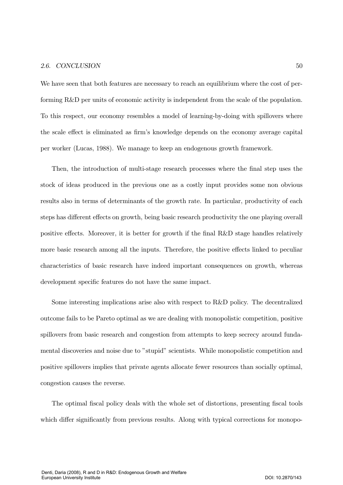We have seen that both features are necessary to reach an equilibrium where the cost of performing  $R\&D$  per units of economic activity is independent from the scale of the population. To this respect, our economy resembles a model of learning-by-doing with spillovers where the scale effect is eliminated as firm's knowledge depends on the economy average capital per worker (Lucas, 1988). We manage to keep an endogenous growth framework.

Then, the introduction of multi-stage research processes where the final step uses the stock of ideas produced in the previous one as a costly input provides some non obvious results also in terms of determinants of the growth rate. In particular, productivity of each steps has different effects on growth, being basic research productivity the one playing overall positive effects. Moreover, it is better for growth if the final R&D stage handles relatively more basic research among all the inputs. Therefore, the positive effects linked to peculiar characteristics of basic research have indeed important consequences on growth, whereas development specific features do not have the same impact.

Some interesting implications arise also with respect to  $R&D$  policy. The decentralized outcome fails to be Pareto optimal as we are dealing with monopolistic competition, positive spillovers from basic research and congestion from attempts to keep secrecy around fundamental discoveries and noise due to "stupid" scientists. While monopolistic competition and positive spillovers implies that private agents allocate fewer resources than socially optimal, congestion causes the reverse.

The optimal fiscal policy deals with the whole set of distortions, presenting fiscal tools which differ significantly from previous results. Along with typical corrections for monopo-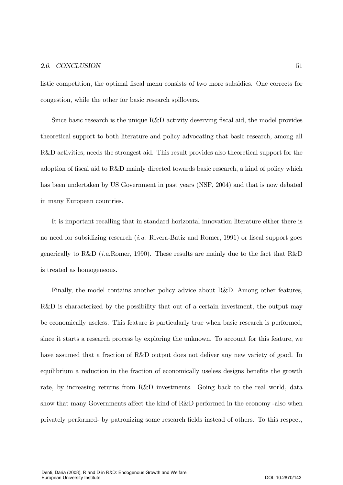listic competition, the optimal fiscal menu consists of two more subsidies. One corrects for congestion, while the other for basic research spillovers.

Since basic research is the unique R&D activity deserving fiscal aid, the model provides theoretical support to both literature and policy advocating that basic research, among all R&D activities, needs the strongest aid. This result provides also theoretical support for the adoption of fiscal aid to R&D mainly directed towards basic research, a kind of policy which has been undertaken by US Government in past years (NSF, 2004) and that is now debated in many European countries.

It is important recalling that in standard horizontal innovation literature either there is no need for subsidizing research *(i.a.* Rivera-Batiz and Romer, 1991) or fiscal support goes generically to R&D (*i.a.Romer*, 1990). These results are mainly due to the fact that R&D is treated as homogeneous.

Finally, the model contains another policy advice about R&D. Among other features, R&D is characterized by the possibility that out of a certain investment, the output may be economically useless. This feature is particularly true when basic research is performed, since it starts a research process by exploring the unknown. To account for this feature, we have assumed that a fraction of R&D output does not deliver any new variety of good. In equilibrium a reduction in the fraction of economically useless designs benefits the growth rate, by increasing returns from R&D investments. Going back to the real world, data show that many Governments affect the kind of R&D performed in the economy -also when privately performed- by patronizing some research fields instead of others. To this respect,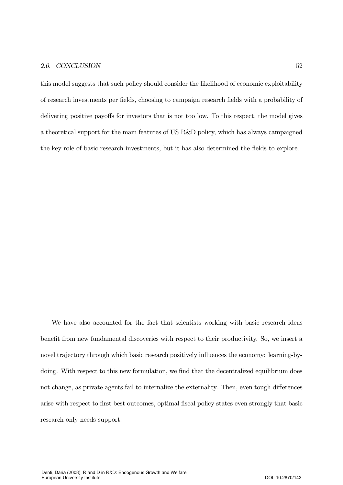this model suggests that such policy should consider the likelihood of economic exploitability of research investments per fields, choosing to campaign research fields with a probability of delivering positive payoffs for investors that is not too low. To this respect, the model gives a theoretical support for the main features of US R&D policy, which has always campaigned the key role of basic research investments, but it has also determined the fields to explore.

We have also accounted for the fact that scientists working with basic research ideas benefit from new fundamental discoveries with respect to their productivity. So, we insert a novel trajectory through which basic research positively influences the economy: learning-bydoing. With respect to this new formulation, we find that the decentralized equilibrium does not change, as private agents fail to internalize the externality. Then, even tough differences arise with respect to first best outcomes, optimal fiscal policy states even strongly that basic research only needs support.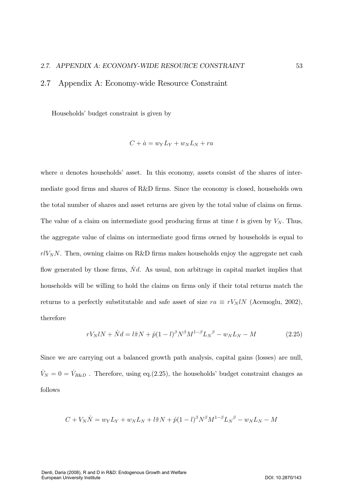### 2.7 Appendix A: Economy-wide Resource Constraint

Households' budget constraint is given by

$$
C + \dot{a} = w_Y L_Y + w_N L_N + ra
$$

where  $a$  denotes households' asset. In this economy, assets consist of the shares of intermediate good firms and shares of R&D firms. Since the economy is closed, households own the total number of shares and asset returns are given by the total value of claims on firms. The value of a claim on intermediate good producing firms at time t is given by  $V_N$ . Thus, the aggregate value of claims on intermediate good firms owned by households is equal to  $rlV_NN$ . Then, owning claims on R&D firms makes households enjoy the aggregate net cash flow generated by those firms,  $\dot{N}d$ . As usual, non arbitrage in capital market implies that households will be willing to hold the claims on firms only if their total returns match the returns to a perfectly substitutable and safe asset of size  $ra \equiv rV_NlN$  (Acemoglu, 2002), therefore

$$
rV_NlN + \dot{N}d = l\tilde{\pi}N + \hat{p}(1-l)^{\beta}N^{\beta}M^{1-\beta}L_N{}^{\beta} - w_NL_N - M \qquad (2.25)
$$

Since we are carrying out a balanced growth path analysis, capital gains (losses) are null,  $\dot{V}_N = 0 = \dot{V}_{R\&D}$ . Therefore, using eq.(2.25), the households' budget constraint changes as follows

$$
C + V_N \dot{N} = w_Y L_Y + w_N L_N + l \tilde{\pi} N + \hat{p} (1 - l)^{\beta} N^{\beta} M^{1 - \beta} L_N^{\beta} - w_N L_N - M
$$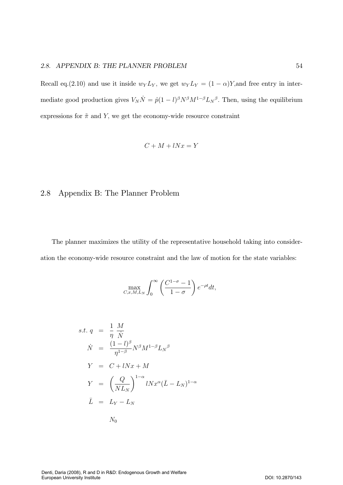#### 2.8. APPENDIX B: THE PLANNER PROBL  $EM$  54

Recall eq.(2.10) and use it inside  $w_Y L_Y$ , we get  $w_Y L_Y = (1 - \alpha)Y$ , and free entry in intermediate good production gives  $V_N \dot{N} = \hat{p}(1-l)^{\beta} N^{\beta} M^{1-\beta} L_N^{\beta}$ . Then, using the equilibrium expressions for  $\tilde{\pi}$  and Y, we get the economy-wide resource constraint

$$
C + M + lNx = Y
$$

# 2.8 Appendix B: The Planner Problem

The planner maximizes the utility of the representative household taking into consideration the economy-wide resource constraint and the law of motion for the state variables:

$$
\max_{C,x,M,L_N} \int_0^\infty \left(\frac{C^{1-\sigma}-1}{1-\sigma}\right) e^{-\rho t} dt,
$$

$$
s.t. q = \frac{1}{\eta} \frac{M}{N}
$$
  
\n
$$
\dot{N} = \frac{(1-l)^{\beta}}{\eta^{1-\beta}} N^{\beta} M^{1-\beta} L_N^{\beta}
$$
  
\n
$$
Y = C + lNx + M
$$
  
\n
$$
Y = \left(\frac{Q}{NL_N}\right)^{1-\alpha} lNx^{\alpha} (\bar{L} - L_N)^{1-\alpha}
$$
  
\n
$$
\bar{L} = L_Y - L_N
$$
  
\n
$$
N_0
$$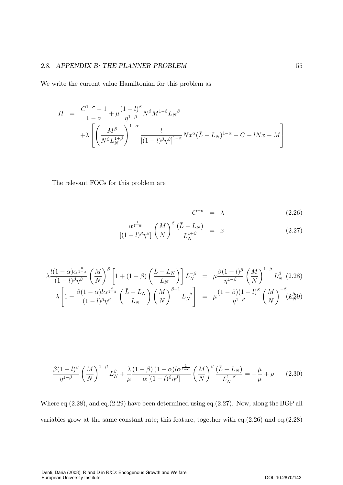# 2.8. APPENDIX B: THE PLANNER PROBLEM

We write the current value Hamiltonian for this problem as

$$
H = \frac{C^{1-\sigma} - 1}{1 - \sigma} + \mu \frac{(1 - l)^{\beta}}{\eta^{1-\beta}} N^{\beta} M^{1-\beta} L_N^{\beta}
$$

$$
+ \lambda \left[ \left( \frac{M^{\beta}}{N^{\beta} L_N^{1+\beta}} \right)^{1-\alpha} \frac{l}{[(1 - l)^{\beta} \eta^{\beta}]^{1-\alpha}} N x^{\alpha} (\bar{L} - L_N)^{1-\alpha} - C - l N x - M \right]
$$

The relevant FOCs for this problem are

$$
C^{-\sigma} = \lambda \tag{2.26}
$$

$$
\frac{\alpha^{\frac{1}{1-\alpha}}}{\left[(1-l)^{\beta}\eta^{\beta}\right]} \left(\frac{M}{N}\right)^{\beta} \frac{\left(\bar{L}-L_N\right)}{L_N^{1+\beta}} = x \tag{2.27}
$$

$$
\lambda \frac{l(1-\alpha)\alpha^{\frac{\alpha}{1-\alpha}}}{(1-l)^{\beta}\eta^{\beta}} \left(\frac{M}{N}\right)^{\beta} \left[1+(1+\beta)\left(\frac{\bar{L}-L_N}{L_N}\right)\right] L_N^{-\beta} = \mu \frac{\beta(1-l)^{\beta}}{\eta^{1-\beta}} \left(\frac{M}{N}\right)^{1-\beta} L_N^{\beta} \tag{2.28}
$$

$$
\lambda \left[1-\frac{\beta(1-\alpha)l\alpha^{\frac{\alpha}{1-\alpha}}}{(1-l)^{\beta}\eta^{\beta}} \left(\frac{\bar{L}-L_N}{L_N}\right) \left(\frac{M}{N}\right)^{\beta-1} L_N^{-\beta}\right] = \mu \frac{(1-\beta)(1-l)^{\beta}}{\eta^{1-\beta}} \left(\frac{M}{N}\right)^{-\beta} (\mathbf{Z}_N^{\beta}\mathbf{9})
$$

$$
\frac{\beta(1-l)^{\beta}}{\eta^{1-\beta}}\left(\frac{M}{N}\right)^{1-\beta}L_N^{\beta} + \frac{\lambda}{\mu}\frac{(1-\beta)(1-\alpha)l\alpha^{\frac{1}{1-\alpha}}}{\alpha[(1-l)^{\beta}\eta^{\beta}]} \left(\frac{M}{N}\right)^{\beta}\frac{(\bar{L}-L_N)}{L_N^{1+\beta}} = -\frac{\dot{\mu}}{\mu} + \rho \qquad (2.30)
$$

Where eq.  $(2.28)$ , and eq.  $(2.29)$  have been determined using eq.  $(2.27)$ . Now, along the BGP all variables grow at the same constant rate; this feature, together with eq.  $(2.26)$  and eq.  $(2.28)$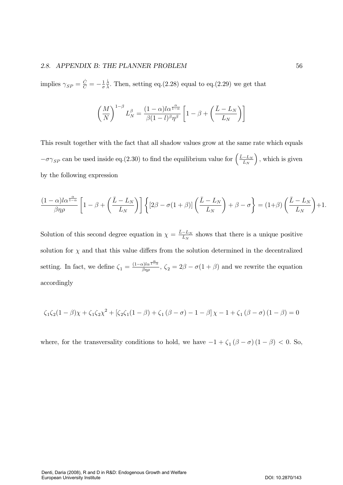#### 2.8. APPENDIX B: THE PLANNER PROBL  $EM$  56

implies  $\gamma_{SP} = \frac{\dot{C}}{C} = -\frac{1}{\sigma}$  $\frac{\dot{\lambda}}{\lambda}$ . Then, setting eq.(2.28) equal to eq.(2.29) we get that

$$
\left(\frac{M}{N}\right)^{1-\beta}L_N^{\beta} = \frac{(1-\alpha)l\alpha^{\frac{\alpha}{1-\alpha}}}{\beta(1-l)^{\beta}\eta^{\beta}}\left[1-\beta+\left(\frac{\bar{L}-L_N}{L_N}\right)\right]
$$

This result together with the fact that all shadow values grow at the same rate which equals  $-\sigma\gamma_{SP}$  can be used inside eq.(2.30) to find the equilibrium value for  $\left(\frac{\bar{L}-L_N}{L_N}\right)$ , which is given by the following expression

$$
\frac{(1-\alpha)l\alpha^{\frac{\alpha}{1-\alpha}}}{\beta\eta\rho}\left[1-\beta+\left(\frac{\bar{L}-L_N}{L_N}\right)\right]\left\{[2\beta-\sigma(1+\beta)]\left(\frac{\bar{L}-L_N}{L_N}\right)+\beta-\sigma\right\}=(1+\beta)\left(\frac{\bar{L}-L_N}{L_N}\right)+1.
$$

Solution of this second degree equation in  $\chi = \frac{\bar{L} - L_N}{L_N}$  shows that there is a unique positive solution for  $\chi$  and that this value differs from the solution determined in the decentralized setting. In fact, we define  $\zeta_1 = \frac{(1-\alpha)\alpha^{\frac{\alpha}{1-\alpha}}}{\beta\eta\rho}$ ,  $\zeta_2 = 2\beta - \sigma(1+\beta)$  and we rewrite the equation accordingly

$$
\zeta_1 \zeta_2 (1 - \beta) \chi + \zeta_1 \zeta_2 \chi^2 + [\zeta_2 \zeta_1 (1 - \beta) + \zeta_1 (\beta - \sigma) - 1 - \beta] \chi - 1 + \zeta_1 (\beta - \sigma) (1 - \beta) = 0
$$

where, for the transversality conditions to hold, we have  $-1 + \zeta_1 (\beta - \sigma) (1 - \beta) < 0$ . So,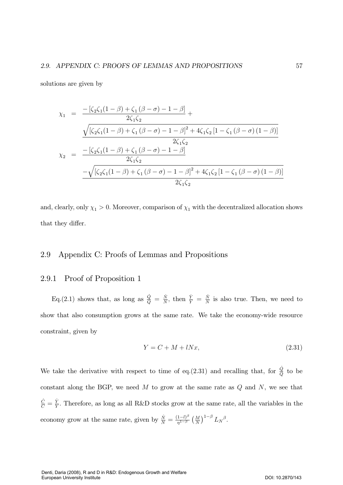solutions are given by

$$
\chi_{1} = \frac{-[\zeta_{2}\zeta_{1}(1-\beta)+\zeta_{1}(\beta-\sigma)-1-\beta]}{2\zeta_{1}\zeta_{2}} + \frac{\sqrt{[\zeta_{2}\zeta_{1}(1-\beta)+\zeta_{1}(\beta-\sigma)-1-\beta]^{2}+4\zeta_{1}\zeta_{2}[1-\zeta_{1}(\beta-\sigma)(1-\beta)]}}{2\zeta_{1}\zeta_{2}}
$$

$$
\chi_{2} = \frac{-[\zeta_{2}\zeta_{1}(1-\beta)+\zeta_{1}(\beta-\sigma)-1-\beta]}{2\zeta_{1}\zeta_{2}} - \frac{\zeta_{1}\zeta_{2}}{2\zeta_{1}\zeta_{2}} - \frac{-[\zeta_{2}\zeta_{1}(1-\beta)+\zeta_{1}(\beta-\sigma)-1-\beta]^{2}+4\zeta_{1}\zeta_{2}[1-\zeta_{1}(\beta-\sigma)(1-\beta)]}{2\zeta_{1}\zeta_{2}}
$$

and, clearly, only  $\chi_1 > 0$ . Moreover, comparison of  $\chi_1$  with the decentralized allocation shows that they differ.

### 2.9 Appendix C: Proofs of Lemmas and Propositions

### 2.9.1 Proof of Proposition 1

Eq. (2.1) shows that, as long as  $\frac{\dot{Q}}{Q} = \frac{\dot{N}}{N}$ , then  $\frac{\dot{Y}}{Y} = \frac{\dot{N}}{N}$  is also true. Then, we need to show that also consumption grows at the same rate. We take the economy-wide resource constraint, given by

$$
Y = C + M + lNx,\t(2.31)
$$

We take the derivative with respect to time of eq.(2.31) and recalling that, for  $\frac{\dot{Q}}{Q}$  to be constant along the BGP, we need  $M$  to grow at the same rate as  $Q$  and  $N$ , we see that  $\frac{\dot{C}}{C} = \frac{\dot{Y}}{Y}$ . Therefore, as long as all R&D stocks grow at the same rate, all the variables in the economy grow at the same rate, given by  $\frac{\dot{N}}{N} = \frac{(1-l)^{\beta}}{\eta^{1-\beta}} \left(\frac{M}{N}\right)^{1-\beta} L_N^{\beta}$ .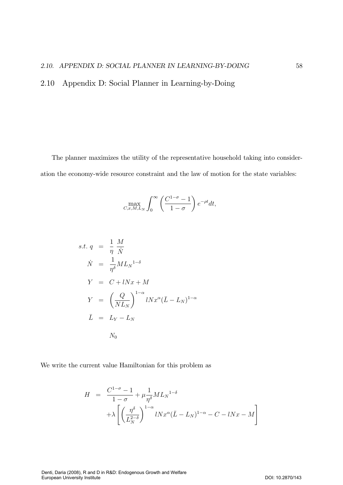2.10 Appendix D: Social Planner in Learning-by-Doing

The planner maximizes the utility of the representative household taking into consideration the economy-wide resource constraint and the law of motion for the state variables:

$$
\max_{C,x,M,L_N} \int_0^\infty \left(\frac{C^{1-\sigma}-1}{1-\sigma}\right) e^{-\rho t} dt,
$$

$$
s.t. q = \frac{1}{\eta} \frac{M}{N}
$$
  
\n
$$
\dot{N} = \frac{1}{\eta^{\delta}} M L_N^{1-\delta}
$$
  
\n
$$
Y = C + lNx + M
$$
  
\n
$$
Y = \left(\frac{Q}{NL_N}\right)^{1-\alpha} lNx^{\alpha}(\bar{L} - L_N)^{1-\alpha}
$$
  
\n
$$
\bar{L} = L_Y - L_N
$$
  
\n
$$
N_0
$$

We write the current value Hamiltonian for this problem as

$$
H = \frac{C^{1-\sigma} - 1}{1 - \sigma} + \mu \frac{1}{\eta^{\delta}} M L_N^{1-\delta}
$$

$$
+ \lambda \left[ \left( \frac{\eta^{\delta}}{L_N^{2-\delta}} \right)^{1-\alpha} l N x^{\alpha} (\bar{L} - L_N)^{1-\alpha} - C - l N x - M \right]
$$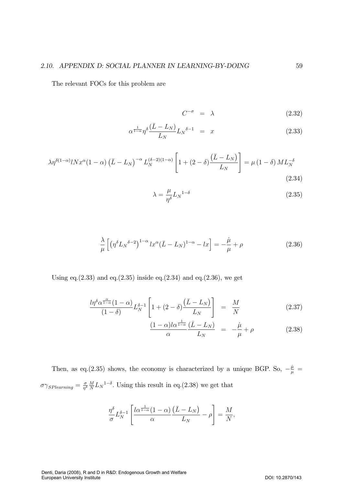The relevant FOCs for this problem are

$$
C^{-\sigma} = \lambda \tag{2.32}
$$

$$
\alpha^{\frac{1}{1-\alpha}} \eta^{\delta} \frac{(\bar{L} - L_N)}{L_N} L_N^{\delta - 1} = x \tag{2.33}
$$

$$
\lambda \eta^{\delta(1-\alpha)} l N x^{\alpha} (1-\alpha) \left( \bar{L} - L_N \right)^{-\alpha} L_N^{(\delta-2)(1-\alpha)} \left[ 1 + (2-\delta) \frac{(\bar{L} - L_N)}{L_N} \right] = \mu \left( 1 - \delta \right) M L_N^{-\delta}
$$
\n(2.34)

$$
\lambda = \frac{\mu}{\eta^{\delta}} L_N^{1-\delta} \tag{2.35}
$$

$$
\frac{\lambda}{\mu} \left[ \left( \eta^{\delta} L_N^{\delta - 2} \right)^{1 - \alpha} l x^{\alpha} (\bar{L} - L_N)^{1 - \alpha} - l x \right] = -\frac{\dot{\mu}}{\mu} + \rho \tag{2.36}
$$

Using eq.  $(2.33)$  and eq.  $(2.35)$  inside eq.  $(2.34)$  and eq.  $(2.36)$ , we get

$$
\frac{l\eta^{\delta}\alpha^{\frac{\alpha}{1-\alpha}}(1-\alpha)}{(1-\delta)}L_N^{\delta-1}\left[1+(2-\delta)\frac{(\bar{L}-L_N)}{L_N}\right] = \frac{M}{N}
$$
\n(2.37)

$$
\frac{(1-\alpha)l\alpha^{\frac{1}{1-\alpha}}}{\alpha}\frac{(\bar{L}-L_N)}{L_N} = -\frac{\dot{\mu}}{\mu} + \rho \tag{2.38}
$$

Then, as eq.(2.35) shows, the economy is characterized by a unique BGP. So,  $-\frac{\dot{\mu}}{\mu}$  =  $\sigma\gamma_{SPlearning} = \frac{\sigma}{\eta^{\delta}} \frac{M}{N} L_N^{-1\delta}$ . Using this result in eq.(2.38) we get that

$$
\frac{\eta^{\delta}}{\sigma}L_N^{\delta-1}\left[\frac{l\alpha^{\frac{1}{1-\alpha}}(1-\alpha)}{\alpha}\frac{(\bar{L}-L_N)}{L_N}-\rho\right]=\frac{M}{N},\,
$$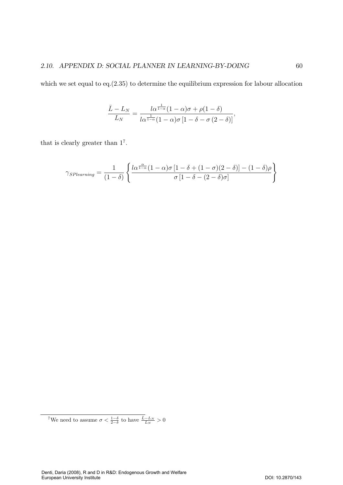which we set equal to eq. $(2.35)$  to determine the equilibrium expression for labour allocation

$$
\frac{\bar{L}-L_N}{L_N} = \frac{l\alpha^{\frac{1}{1-\alpha}}(1-\alpha)\sigma + \rho(1-\delta)}{l\alpha^{\frac{1}{1-\alpha}}(1-\alpha)\sigma\left[1-\delta-\sigma(2-\delta)\right]},
$$

that is clearly greater than  $1^7$ .

$$
\gamma_{SPlearning} = \frac{1}{(1-\delta)} \left\{ \frac{l\alpha^{\frac{\alpha}{1-\alpha}}(1-\alpha)\sigma [1-\delta+(1-\sigma)(2-\delta)]-(1-\delta)\rho}{\sigma [1-\delta-(2-\delta)\sigma]} \right\}
$$

<sup>7</sup>We need to assume  $\sigma < \frac{1-\delta}{2-\delta}$  to have  $\frac{\bar{L}-L_N}{L_N} > 0$ 

Denti, Daria (2008), R and D in R&D: Endogenous Growth and Welfare European University Institute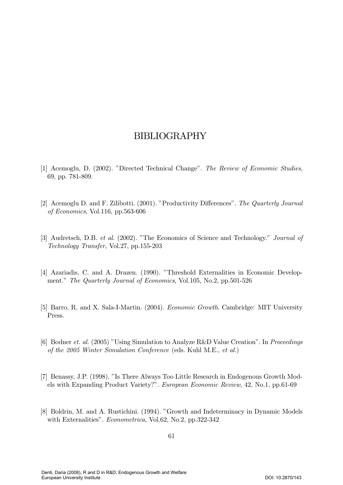# BIBLIOGRAPHY

- [1] Acemoglu, D. (2002). "Directed Technical Change". The Review of Economic Studies, 69, pp. 781-809.
- [2] Acemoglu D. and F. Zilibotti. (2001). "Productivity Differences". The Quarterly Journal of Economics, Vol.116, pp.563-606
- [3] Audretsch, D.B. et al. (2002). "The Economics of Science and Technology." Journal of Technology Transfer, Vol.27, pp.155-203
- [4] Azariadis, C. and A. Drazen. (1990). "Threshold Externalities in Economic Development." The Quarterly Journal of Economics, Vol.105, No.2, pp.501-526
- [5] Barro, R. and X. Sala-I-Martin. (2004). *Economic Growth*. Cambridge: MIT University Press.
- [6] Bodner et. al. (2005) "Using Simulation to Analyze R&D Value Creation". In *Proceedings* of the 2005 Winter Simulation Conference (eds. Kuhl M.E., et al.)
- [7] Benassy, J.P. (1998). "Is There Always Too Little Research in Endogenous Growth Models with Expanding Product Variety?". *European Economic Review*, 42, No.1, pp.61-69
- [8] Boldrin, M. and A. Rustichini. (1994). "Growth and Indeterminacy in Dynamic Models with Externalities". *Econometrica*, Vol.62, No.2, pp.322-342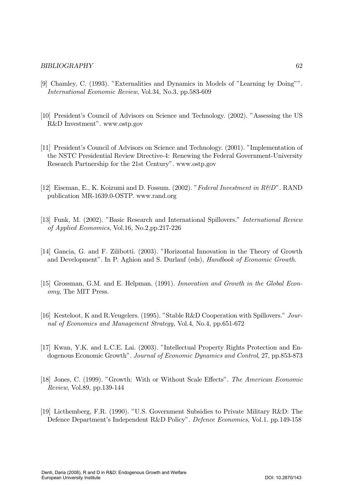# **BIBLIOGRAPHY**

- [9] Chamley, C. (1993). "Externalities and Dynamics in Models of "Learning by Doing"". *International Economic Review, Vol.34, No.3, pp.583-609*
- [10] President's Council of Advisors on Science and Technology. (2002). "Assessing the US R&D Investment". www.ostp.gov
- [11] President's Council of Advisors on Science and Technology. (2001). "Implementation of the NSTC Presidential Review Directive-4: Renewing the Federal Government-University Research Partnership for the 21st Century". www.ostp.gov
- [12] Eiseman, E., K. Koizumi and D. Fossum. (2002). "Federal Investment in R&D". RAND publication MR-1639.0-OSTP. www.rand.org
- [13] Funk, M. (2002). "Basic Research and International Spillovers." *International Review* of Applied Economics, Vol.16, No.2, pp.217-226
- [14] Gancia, G. and F. Zilibotti. (2003). "Horizontal Innovation in the Theory of Growth and Development". In P. Aghion and S. Durlauf (eds), *Handbook of Economic Growth*.
- [15] Grossman, G.M. and E. Helpman. (1991). Innovation and Growth in the Global Econ*omy*, The MIT Press.
- [16] Kesteloot, K and R. Veugelers. (1995). "Stable R&D Cooperation with Spillovers." Journal of Economics and Management Strategy, Vol.4, No.4, pp.651-672
- [17] Kwan, Y.K. and L.C.E. Lai. (2003). "Intellectual Property Rights Protection and Endogenous Economic Growth". Journal of Economic Dynamics and Control, 27, pp.853-873
- [18] Jones, C. (1999). "Growth: With or Without Scale Effects". The American Economic Review, Vol.89, pp.139-144
- [19] Licthemberg, F.R. (1990). "U.S. Government Subsidies to Private Military R&D: The Defence Department's Independent R&D Policy". Defence Economics, Vol.1. pp.149-158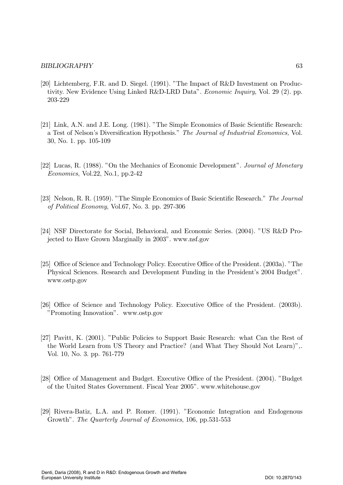- [20] Lichtemberg, F.R. and D. Siegel.  $(1991)$ . "The Impact of R&D Investment on Productivity. New Evidence Using Linked R&D-LRD Data". *Economic Inquiry*, Vol. 29 (2). pp. 203-229
- [21] Link, A.N. and J.E. Long. (1981). "The Simple Economics of Basic Scientific Research: a Test of Nelson's Diversification Hypothesis." The Journal of Industrial Economics, Vol. 30, No. 1. pp. 105-109
- [22] Lucas, R. (1988). "On the Mechanics of Economic Development". Journal of Monetary Economics, Vol.22, No.1, pp.2-42
- [23] Nelson, R. R. (1959). "The Simple Economics of Basic Scientific Research." The Journal of Political Economy, Vol.67, No. 3. pp. 297-306
- [24] NSF Directorate for Social, Behavioral, and Economic Series. (2004). "US R&D Projected to Have Grown Marginally in 2003", www.nsf.gov
- [25] Office of Science and Technology Policy. Executive Office of the President. (2003a). "The Physical Sciences. Research and Development Funding in the President's 2004 Budget". www.ostp.gov
- [26] Office of Science and Technology Policy. Executive Office of the President. (2003b). "Promoting Innovation". www.ostp.gov
- [27] Pavitt, K. (2001). "Public Policies to Support Basic Research: what Can the Rest of the World Learn from US Theory and Practice? (and What They Should Not Learn)",. Vol. 10, No. 3. pp. 761-779
- [28] Office of Management and Budget. Executive Office of the President. (2004). "Budget of the United States Government. Fiscal Year 2005". www.whitehouse.gov
- [29] Rivera-Batiz, L.A. and P. Romer. (1991). "Economic Integration and Endogenous Growth". The Quarterly Journal of Economics, 106, pp.531-553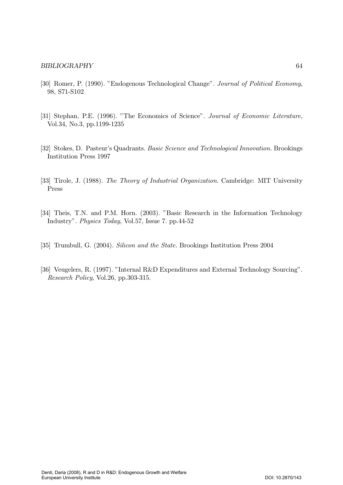- [30] Romer, P. (1990). "Endogenous Technological Change". Journal of Political Economy, 98, S71-S102
- [31] Stephan, P.E. (1996). "The Economics of Science". Journal of Economic Literature, Vol.34, No.3, pp.1199-1235
- [32] Stokes, D. Pasteur's Quadrants. Basic Science and Technological Innovation. Brookings Institution Press 1997
- [33] Tirole, J. (1988). The Theory of Industrial Organization. Cambridge: MIT University Press
- [34] Theis, T.N. and P.M. Horn. (2003). "Basic Research in the Information Technology Industry". *Physics Today*, Vol.57, Issue 7. pp.44-52
- [35] Trumbull, G. (2004). Silicon and the State. Brookings Institution Press 2004
- [36] Veugelers, R. (1997). "Internal R&D Expenditures and External Technology Sourcing". Research Policy, Vol.26, pp.303-315.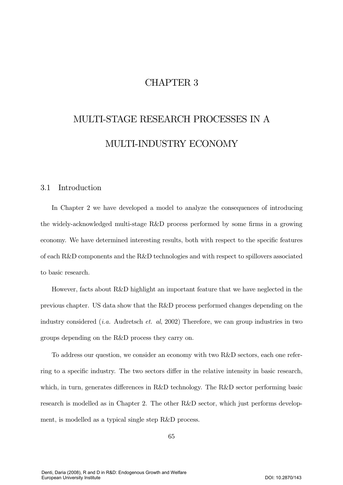# CHAPTER 3

# MULTI-STAGE RESEARCH PROCESSES IN A MULTI-INDUSTRY ECONOMY

# 3.1 Introduction

In Chapter 2 we have developed a model to analyze the consequences of introducing the widely-acknowledged multi-stage R&D process performed by some firms in a growing economy. We have determined interesting results, both with respect to the specific features of each R&D components and the R&D technologies and with respect to spillovers associated to basic research.

However, facts about  $R\&D$  highlight an important feature that we have neglected in the previous chapter. US data show that the R&D process performed changes depending on the industry considered *(i.a.* Audretsch *et. al.*, 2002) Therefore, we can group industries in two groups depending on the  $R\&D$  process they carry on.

To address our question, we consider an economy with two R&D sectors, each one referring to a specific industry. The two sectors differ in the relative intensity in basic research, which, in turn, generates differences in R&D technology. The R&D sector performing basic research is modelled as in Chapter 2. The other  $R\&D$  sector, which just performs development, is modelled as a typical single step R&D process.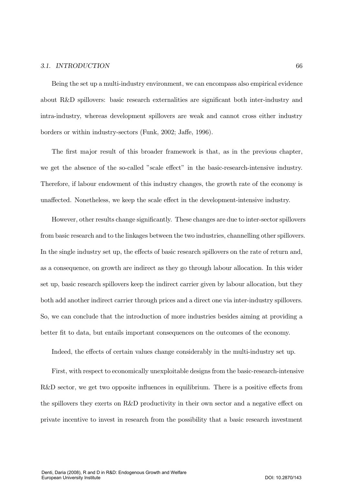# 3.1. INTRODUCTION

Being the set up a multi-industry environment, we can encompass also empirical evidence about R&D spillovers: basic research externalities are significant both inter-industry and intra-industry, whereas development spillovers are weak and cannot cross either industry borders or within industry-sectors (Funk, 2002; Jaffe, 1996).

The first major result of this broader framework is that, as in the previous chapter, we get the absence of the so-called "scale effect" in the basic-research-intensive industry. Therefore, if labour endowment of this industry changes, the growth rate of the economy is unaffected. Nonetheless, we keep the scale effect in the development-intensive industry.

However, other results change significantly. These changes are due to inter-sector spillovers from basic research and to the linkages between the two industries, channelling other spillovers. In the single industry set up, the effects of basic research spillovers on the rate of return and. as a consequence, on growth are indirect as they go through labour allocation. In this wider set up, basic research spillovers keep the indirect carrier given by labour allocation, but they both add another indirect carrier through prices and a direct one via inter-industry spillovers. So, we can conclude that the introduction of more industries besides aiming at providing a better fit to data, but entails important consequences on the outcomes of the economy.

Indeed, the effects of certain values change considerably in the multi-industry set up.

First, with respect to economically unexploitable designs from the basic-research-intensive R&D sector, we get two opposite influences in equilibrium. There is a positive effects from the spillovers they exerts on R&D productivity in their own sector and a negative effect on private incentive to invest in research from the possibility that a basic research investment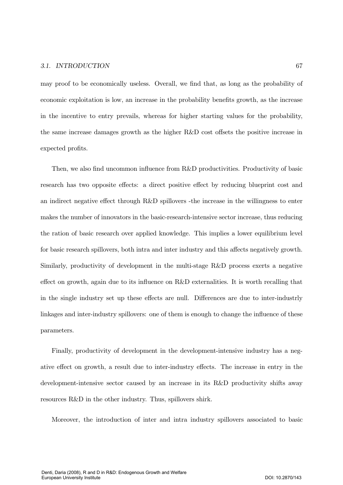### 3.1. INTRODUCTION  $TION$  67

may proof to be economically useless. Overall, we find that, as long as the probability of economic exploitation is low, an increase in the probability benefits growth, as the increase in the incentive to entry prevails, whereas for higher starting values for the probability, the same increase damages growth as the higher  $R\&D$  cost offsets the positive increase in expected profits.

Then, we also find uncommon influence from R&D productivities. Productivity of basic research has two opposite effects: a direct positive effect by reducing blueprint cost and an indirect negative effect through  $R\&D$  spillovers -the increase in the willingness to enter makes the number of innovators in the basic-research-intensive sector increase, thus reducing the ration of basic research over applied knowledge. This implies a lower equilibrium level for basic research spillovers, both intra and inter industry and this affects negatively growth. Similarly, productivity of development in the multi-stage R&D process exerts a negative effect on growth, again due to its influence on  $R\&D$  externalities. It is worth recalling that in the single industry set up these effects are null. Differences are due to inter-industry linkages and inter-industry spillovers: one of them is enough to change the influence of these parameters.

Finally, productivity of development in the development-intensive industry has a nega ative effect on growth, a result due to inter-industry effects. The increase in entry in the development-intensive sector caused by an increase in its R&D productivity shifts away resources  $R\&D$  in the other industry. Thus, spillovers shirk.

Moreover, the introduction of inter and intra industry spillovers associated to basic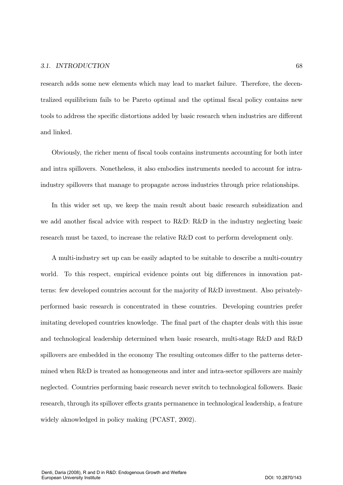### 3.1. INTRODUCTION  $TION$  68

research adds some new elements which may lead to market failure. Therefore, the decentralized equilibrium fails to be Pareto optimal and the optimal fiscal policy contains new tools to address the specific distortions added by basic research when industries are different and linked.

Obviously, the richer menu of fiscal tools contains instruments accounting for both inter and intra spillovers. Nonetheless, it also embodies instruments needed to account for intraindustry spillovers that manage to propagate across industries through price relationships.

In this wider set up, we keep the main result about basic research subsidization and we add another fiscal advice with respect to R&D: R&D in the industry neglecting basic research must be taxed, to increase the relative  $R&D$  cost to perform development only.

A multi-industry set up can be easily adapted to be suitable to describe a multi-country world. To this respect, empirical evidence points out big differences in innovation patterns: few developed countries account for the majority of R&D investment. Also privatelyperformed basic research is concentrated in these countries. Developing countries prefer imitating developed countries knowledge. The final part of the chapter deals with this issue and technological leadership determined when basic research, multi-stage R&D and R&D spillovers are embedded in the economy The resulting outcomes differ to the patterns determined when  $R\&D$  is treated as homogeneous and inter and intra-sector spillovers are mainly neglected. Countries performing basic research never switch to technological followers. Basic research, through its spillover effects grants permanence in technological leadership, a feature widely aknowledged in policy making (PCAST, 2002).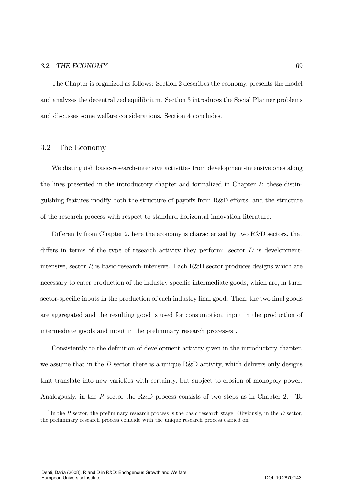The Chapter is organized as follows: Section 2 describes the economy, presents the model and analyzes the decentralized equilibrium. Section 3 introduces the Social Planner problems and discusses some welfare considerations. Section 4 concludes.

# 3.2 The Economy

We distinguish basic-research-intensive activities from development-intensive ones along the lines presented in the introductory chapter and formalized in Chapter 2: these distinguishing features modify both the structure of payoffs from  $R&D$  efforts and the structure of the research process with respect to standard horizontal innovation literature.

Differently from Chapter 2, here the economy is characterized by two  $R&D$  sectors, that differs in terms of the type of research activity they perform: sector  $D$  is developmentintensive, sector R is basic-research-intensive. Each R&D sector produces designs which are necessary to enter production of the industry specific intermediate goods, which are, in turn, sector-specific inputs in the production of each industry final good. Then, the two final goods are aggregated and the resulting good is used for consumption, input in the production of intermediate goods and input in the preliminary research processes<sup>1</sup>.

Consistently to the definition of development activity given in the introductory chapter, we assume that in the  $D$  sector there is a unique R&D activity, which delivers only designs that translate into new varieties with certainty, but subject to erosion of monopoly power. Analogously, in the R sector the R&D process consists of two steps as in Chapter 2. To

<sup>&</sup>lt;sup>1</sup>In the R sector, the preliminary research process is the basic research stage. Obviously, in the D sector, the preliminary research process coincide with the unique research process carried on.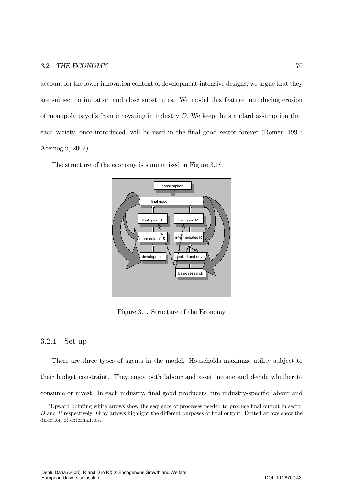account for the lower innovation content of development-intensive designs, we argue that they are subject to imitation and close substitutes. We model this feature introducing erosion of monopoly payoffs from innovating in industry  $D$ . We keep the standard assumption that each variety, once introduced, will be used in the final good sector forever (Romer, 1991; Acemoglu, 2002).

The structure of the economy is summarized in Figure  $3.1<sup>2</sup>$ .



Figure 3.1. Structure of the Economy

### 3.2.1 Set up

There are three types of agents in the model. Households maximize utility subject to their budget constraint. They enjoy both labour and asset income and decide whether to consume or invest. In each industry, final good producers hire industry-specific labour and

<sup>&</sup>lt;sup>2</sup>Upward pointing white arrows show the sequence of processes needed to produce final output in sector D and R respectively. Gray arrows highlight the different purposes of final output. Dotted arrows show the direction of externalities.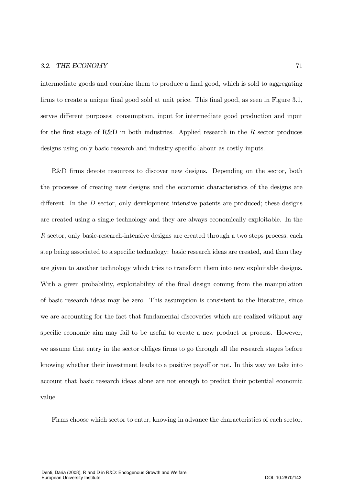intermediate goods and combine them to produce a final good, which is sold to aggregating firms to create a unique final good sold at unit price. This final good, as seen in Figure  $3.1$ , serves different purposes: consumption, input for intermediate good production and input for the first stage of R&D in both industries. Applied research in the  $R$  sector produces designs using only basic research and industry-specific-labour as costly inputs.

R&D firms devote resources to discover new designs. Depending on the sector, both the processes of creating new designs and the economic characteristics of the designs are different. In the  $D$  sector, only development intensive patents are produced; these designs are created using a single technology and they are always economically exploitable. In the  $R$  sector, only basic-research-intensive designs are created through a two steps process, each step being associated to a specific technology: basic research ideas are created, and then they are given to another technology which tries to transform them into new exploitable designs. With a given probability, exploitability of the final design coming from the manipulation of basic research ideas may be zero. This assumption is consistent to the literature, since we are accounting for the fact that fundamental discoveries which are realized without any specific economic aim may fail to be useful to create a new product or process. However, we assume that entry in the sector obliges firms to go through all the research stages before knowing whether their investment leads to a positive payoff or not. In this way we take into account that basic research ideas alone are not enough to predict their potential economic value.

Firms choose which sector to enter, knowing in advance the characteristics of each sector.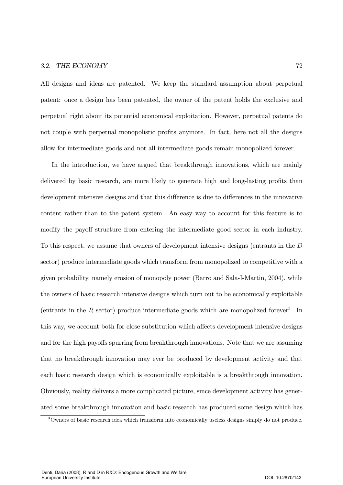All designs and ideas are patented. We keep the standard assumption about perpetual patent: once a design has been patented, the owner of the patent holds the exclusive and perpetual right about its potential economical exploitation. However, perpetual patents do not couple with perpetual monopolistic profits anymore. In fact, here not all the designs allow for intermediate goods and not all intermediate goods remain monopolized forever.

In the introduction, we have argued that breakthrough innovations, which are mainly delivered by basic research, are more likely to generate high and long-lasting profits than development intensive designs and that this difference is due to differences in the innovative content rather than to the patent system. An easy way to account for this feature is to modify the payoff structure from entering the intermediate good sector in each industry. To this respect, we assume that owners of development intensive designs (entrants in the  $D$ sector) produce intermediate goods which transform from monopolized to competitive with a given probability, namely erosion of monopoly power (Barro and Sala-I-Martin, 2004), while the owners of basic research intensive designs which turn out to be economically exploitable (entrants in the  $R$  sector) produce intermediate goods which are monopolized forever<sup>3</sup>. In this way, we account both for close substitution which affects development intensive designs and for the high payoffs spurring from breakthrough innovations. Note that we are assuming that no breakthrough innovation may ever be produced by development activity and that each basic research design which is economically exploitable is a breakthrough innovation. Obviously, reality delivers a more complicated picture, since development activity has generated some breakthrough innovation and basic research has produced some design which has

 $3$ Owners of basic research idea which transform into economically useless designs simply do not produce.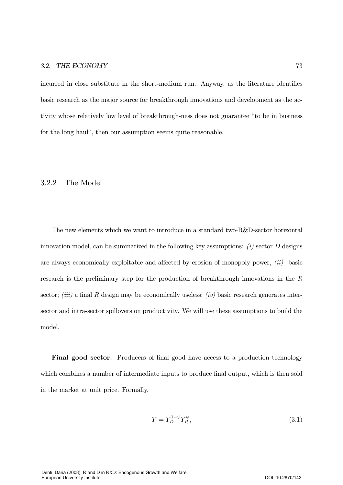incurred in close substitute in the short-medium run. Anyway, as the literature identifies basic research as the major source for breakthrough innovations and development as the activity whose relatively low level of breakthrough-ness does not guarantee "to be in business" for the long haul", then our assumption seems quite reasonable.

# $3.2.2$  The Model

The new elements which we want to introduce in a standard two-R&D-sector horizontal innovation model, can be summarized in the following key assumptions:  $(i)$  sector D designs are always economically exploitable and affected by erosion of monopoly power,  $(ii)$  basic research is the preliminary step for the production of breakthrough innovations in the  $R$ sector; *(iii)* a final R design may be economically useless; *(iv)* basic research generates intersector and intra-sector spillovers on productivity. We will use these assumptions to build the model.

Final good sector. Producers of final good have access to a production technology which combines a number of intermediate inputs to produce final output, which is then sold in the market at unit price. Formally,

$$
Y = Y_D^{1-\psi} Y_R^{\psi},\tag{3.1}
$$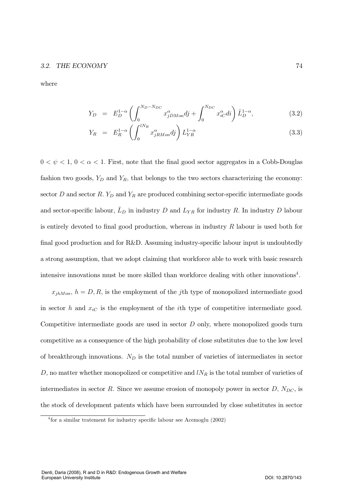### 3.2. THE ECONOMY  $\sim 74$

where

$$
Y_D = E_D^{1-\alpha} \left( \int_0^{N_D - N_{DC}} x_{jDMon}^{\alpha} dj + \int_0^{N_{DC}} x_{iC}^{\alpha} di \right) \bar{L}_D^{1-\alpha}, \tag{3.2}
$$

$$
Y_R = E_R^{1-\alpha} \left( \int_0^{lN_R} x_{jRMon}^{\alpha} dj \right) L_{YR}^{1-\alpha} \tag{3.3}
$$

 $0 < \psi < 1, 0 < \alpha < 1$ . First, note that the final good sector aggregates in a Cobb-Douglas fashion two goods,  $Y_D$  and  $Y_R$ , that belongs to the two sectors characterizing the economy: sector D and sector R.  $Y_D$  and  $Y_R$  are produced combining sector-specific intermediate goods and sector-specific labour,  $\bar{L}_D$  in industry D and  $L_{YR}$  for industry R. In industry D labour is entirely devoted to final good production, whereas in industry  $R$  labour is used both for final good production and for R&D. Assuming industry-specific labour input is undoubtedly a strong assumption, that we adopt claiming that workforce able to work with basic research intensive innovations must be more skilled than workforce dealing with other innovations<sup>4</sup>.

 $x_{jhMon}$ ,  $h = D, R$ , is the employment of the jth type of monopolized intermediate good in sector h and  $x_{iC}$  is the employment of the ith type of competitive intermediate good. Competitive intermediate goods are used in sector  $D$  only, where monopolized goods turn competitive as a consequence of the high probability of close substitutes due to the low level of breakthrough innovations.  $N_D$  is the total number of varieties of intermediates in sector D, no matter whether monopolized or competitive and  $lN_R$  is the total number of varieties of intermediates in sector R. Since we assume erosion of monopoly power in sector  $D$ ,  $N_{DC}$ , is the stock of development patents which have been surrounded by close substitutes in sector

 $4$  for a similar tratement for industry specific labour see Acemoglu (2002)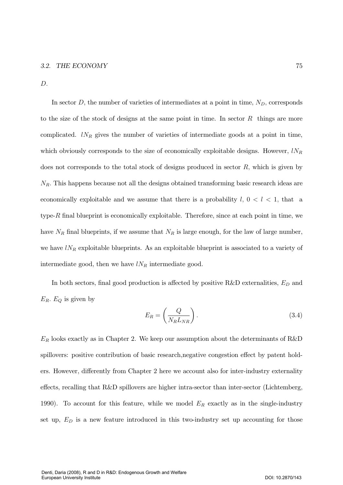$D.$ 

In sector D, the number of varieties of intermediates at a point in time,  $N_D$ , corresponds to the size of the stock of designs at the same point in time. In sector  $R$  things are more complicated.  $lN_R$  gives the number of varieties of intermediate goods at a point in time, which obviously corresponds to the size of economically exploitable designs. However,  $lN_R$ does not corresponds to the total stock of designs produced in sector  $R$ , which is given by  $N_R$ . This happens because not all the designs obtained transforming basic research ideas are economically exploitable and we assume that there is a probability  $l, 0 < l < 1$ , that a type- $R$  final blueprint is economically exploitable. Therefore, since at each point in time, we have  $N_R$  final blueprints, if we assume that  $N_R$  is large enough, for the law of large number, we have  $lN_R$  exploitable blueprints. As an exploitable blueprint is associated to a variety of intermediate good, then we have  $lN_R$  intermediate good.

In both sectors, final good production is affected by positive R&D externalities,  $E_D$  and  $E_R$ .  $E_Q$  is given by

$$
E_R = \left(\frac{Q}{N_R L_{NR}}\right). \tag{3.4}
$$

 $E_R$  looks exactly as in Chapter 2. We keep our assumption about the determinants of R&D spillovers: positive contribution of basic research, negative congestion effect by patent holders. However, differently from Chapter 2 here we account also for inter-industry externality effects, recalling that  $R\&D$  spillovers are higher intra-sector than inter-sector (Lichtemberg, 1990). To account for this feature, while we model  $E_R$  exactly as in the single-industry set up,  $E_D$  is a new feature introduced in this two-industry set up accounting for those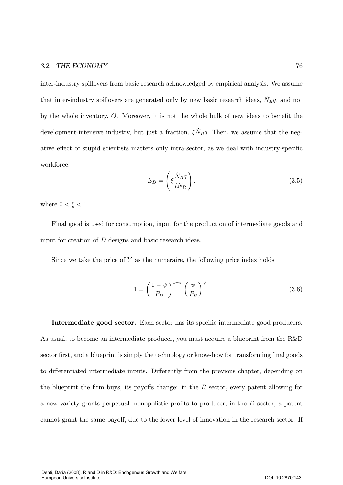inter-industry spillovers from basic research acknowledged by empirical analysis. We assume that inter-industry spillovers are generated only by new basic research ideas,  $\dot{N}_R q$ , and not by the whole inventory,  $Q$ . Moreover, it is not the whole bulk of new ideas to benefit the development-intensive industry, but just a fraction,  $\xi \dot{N}_R q$ . Then, we assume that the negative effect of stupid scientists matters only intra-sector, as we deal with industry-specific workforce:

$$
E_D = \left(\xi \frac{\dot{N}_R q}{l N_R}\right). \tag{3.5}
$$

where  $0 < \xi < 1$ .

Final good is used for consumption, input for the production of intermediate goods and input for creation of  $D$  designs and basic research ideas.

Since we take the price of  $Y$  as the numeraire, the following price index holds

$$
1 = \left(\frac{1-\psi}{P_D}\right)^{1-\psi} \left(\frac{\psi}{P_R}\right)^{\psi}.
$$
\n(3.6)

Intermediate good sector. Each sector has its specific intermediate good producers. As usual, to become an intermediate producer, you must acquire a blueprint from the R&D sector first, and a blueprint is simply the technology or know-how for transforming final goods to differentiated intermediate inputs. Differently from the previous chapter, depending on the blueprint the firm buys, its payoffs change: in the  $R$  sector, every patent allowing for a new variety grants perpetual monopolistic profits to producer; in the  $D$  sector, a patent cannot grant the same payoff, due to the lower level of innovation in the research sector: If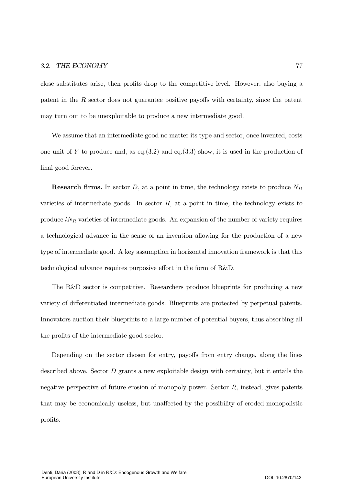close substitutes arise, then profits drop to the competitive level. However, also buying a patent in the  $R$  sector does not guarantee positive payoffs with certainty, since the patent may turn out to be unexploitable to produce a new intermediate good.

We assume that an intermediate good no matter its type and sector, once invented, costs one unit of Y to produce and, as eq.  $(3.2)$  and eq.  $(3.3)$  show, it is used in the production of final good forever.

**Research firms.** In sector D, at a point in time, the technology exists to produce  $N_D$ varieties of intermediate goods. In sector  $R$ , at a point in time, the technology exists to produce  $lN_R$  varieties of intermediate goods. An expansion of the number of variety requires a technological advance in the sense of an invention allowing for the production of a new type of intermediate good. A key assumption in horizontal innovation framework is that this technological advance requires purposive effort in the form of R&D.

The R&D sector is competitive. Researchers produce blueprints for producing a new variety of differentiated intermediate goods. Blueprints are protected by perpetual patents. Innovators auction their blueprints to a large number of potential buyers, thus absorbing all the profits of the intermediate good sector.

Depending on the sector chosen for entry, payoffs from entry change, along the lines described above. Sector  $D$  grants a new exploitable design with certainty, but it entails the negative perspective of future erosion of monopoly power. Sector  $R$ , instead, gives patents that may be economically useless, but unaffected by the possibility of eroded monopolistic profits.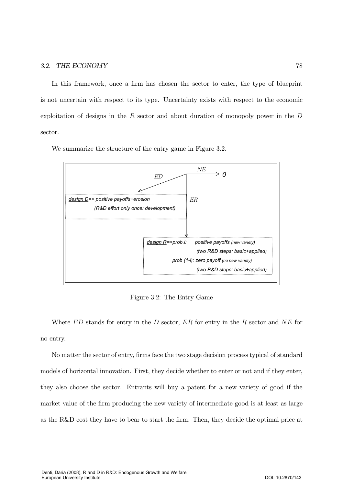In this framework, once a firm has chosen the sector to enter, the type of blueprint is not uncertain with respect to its type. Uncertainty exists with respect to the economic exploitation of designs in the  $R$  sector and about duration of monopoly power in the  $D$ sector.

We summarize the structure of the entry game in Figure 3.2.



Figure 3.2: The Entry Game

Where  $ED$  stands for entry in the D sector,  $ER$  for entry in the R sector and  $NE$  for no entry.

No matter the sector of entry, firms face the two stage decision process typical of standard models of horizontal innovation. First, they decide whether to enter or not and if they enter, they also choose the sector. Entrants will buy a patent for a new variety of good if the market value of the firm producing the new variety of intermediate good is at least as large as the R&D cost they have to bear to start the firm. Then, they decide the optimal price at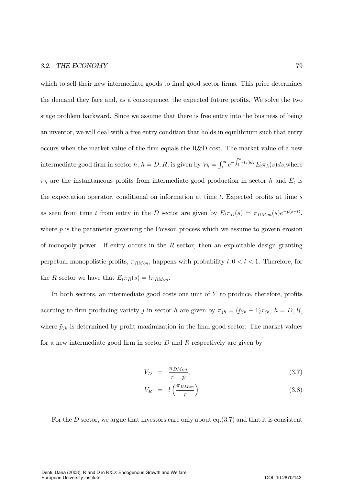which to sell their new intermediate goods to final good sector firms. This price determines the demand they face and, as a consequence, the expected future profits. We solve the two stage problem backward. Since we assume that there is free entry into the business of being an inventor, we will deal with a free entry condition that holds in equilibrium such that entry occurs when the market value of the firm equals the R&D cost. The market value of a new intermediate good firm in sector h,  $h = D, R$ , is given by  $V_h = \int_t^{\infty} e^{-\int_t^s r(\tau)d\tau} E_t \pi_h(s) ds$ , where  $\pi_h$  are the instantaneous profits from intermediate good production in sector  $h$  and  $E_t$  is the expectation operator, conditional on information at time  $t$ . Expected profits at time  $s$ as seen from time t from entry in the D sector are given by  $E_t \pi_D(s) = \pi_{DMon}(s) e^{-p(s-t)}$ , where  $p$  is the parameter governing the Poisson process which we assume to govern erosion of monopoly power. If entry occurs in the  $R$  sector, then an exploitable design granting perpetual monopolistic profits,  $\pi_{RMon}$ , happens with probability  $l, 0 < l < 1$ . Therefore, for the R sector we have that  $E_t \pi_R(s) = l \pi_{RMon}$ .

In both sectors, an intermediate good costs one unit of  $Y$  to produce, therefore, profits accruing to firm producing variety j in sector h are given by  $\pi_{jh} = (\tilde{p}_{jh} - 1)x_{jh}$ ,  $h = D, R$ , where  $\tilde{p}_{jh}$  is determined by profit maximization in the final good sector. The market values for a new intermediate good firm in sector  $D$  and  $R$  respectively are given by

$$
V_D = \frac{\pi_{DMon}}{r+p},\tag{3.7}
$$

$$
V_R = l \left( \frac{\pi_{RMon}}{r} \right) \tag{3.8}
$$

For the D sector, we argue that investors care only about eq.  $(3.7)$  and that it is consistent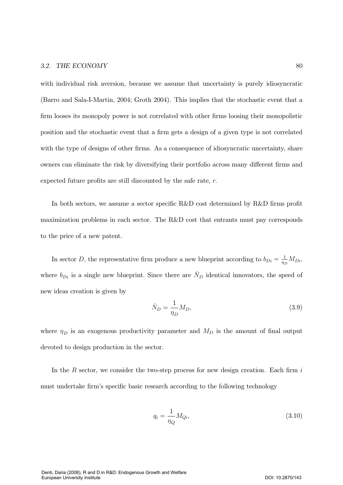with individual risk aversion, because we assume that uncertainty is purely idiosyncratic (Barro and Sala-I-Martin, 2004; Groth 2004). This implies that the stochastic event that a firm looses its monopoly power is not correlated with other firms loosing their monopolistic position and the stochastic event that a firm gets a design of a given type is not correlated with the type of designs of other firms. As a consequence of idiosyncratic uncertainty, share owners can eliminate the risk by diversifying their portfolio across many different firms and expected future profits are still discounted by the safe rate,  $r$ .

In both sectors, we assume a sector specific R&D cost determined by R&D firms profit maximization problems in each sector. The R&D cost that entrants must pay corresponds to the price of a new patent.

In sector D, the representative firm produce a new blueprint according to  $b_{Di} = \frac{1}{\eta_D} M_{Di}$ , where  $b_{Di}$  is a single new blueprint. Since there are  $N_D$  identical innovators, the speed of new ideas creation is given by

$$
\dot{N}_D = \frac{1}{\eta_D} M_D,\tag{3.9}
$$

where  $\eta_D$  is an exogenous productivity parameter and  $M_D$  is the amount of final output devoted to design production in the sector.

In the R sector, we consider the two-step process for new design creation. Each firm  $i$ must undertake firm's specific basic research according to the following technology

$$
q_i = \frac{1}{\eta_Q} M_{Qi},\tag{3.10}
$$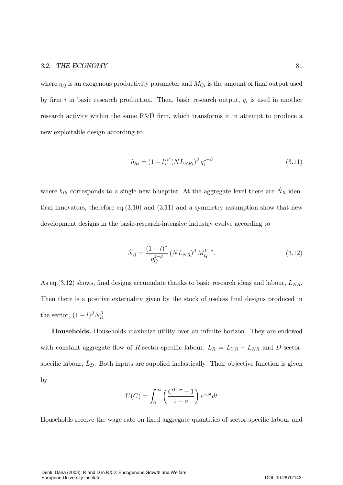where  $\eta_Q$  is an exogenous productivity parameter and  $M_{Qi}$  is the amount of final output used by firm i in basic research production. Then, basic research output,  $q_i$  is used in another research activity within the same R&D firm, which transforms it in attempt to produce a new exploitable design according to

$$
b_{Ri} = (1 - l)^{\beta} \left( NL_{N\right)}^{\beta} q_i^{1 - \beta} \tag{3.11}
$$

where  $b_{Ri}$  corresponds to a single new blueprint. At the aggregate level there are  $\dot{N}_R$  identical innovators, therefore eq.  $(3.10)$  and  $(3.11)$  and a symmetry assumption show that new development designs in the basic-research-intensive industry evolve according to

$$
\dot{N}_R = \frac{(1 - l)^{\beta}}{\eta_Q^{1 - \beta}} \left( NL_{NR} \right)^{\beta} M_Q^{1 - \beta}.
$$
\n(3.12)

As eq.  $(3.12)$  shows, final designs accumulate thanks to basic research ideas and labour,  $L_{NR}$ . Then there is a positive externality given by the stock of useless final designs produced in the sector,  $(1-l)^\beta N_R^\beta$ 

**Households.** Households maximize utility over an infinite horizon. They are endowed with constant aggregate flow of R-sector-specific labour,  $\bar{L}_R = L_{YR} + L_{NR}$  and D-sectorspecific labour,  $\bar{L}_D$ . Both inputs are supplied inelastically. Their objective function is given  $\mathbf{b}$ 

$$
U(C) = \int_0^\infty \left(\frac{C^{1-\sigma} - 1}{1 - \sigma}\right) e^{-\rho t} dt
$$

Households receive the wage rate on fixed aggregate quantities of sector-specific labour and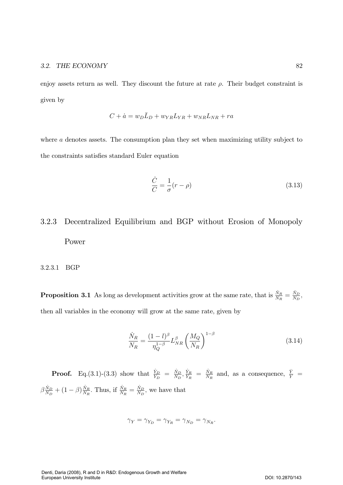enjoy assets return as well. They discount the future at rate  $\rho$ . Their budget constraint is given by

$$
C + \dot{a} = w_D L_D + w_{YR} L_{YR} + w_{NR} L_{NR} + ra
$$

where  $a$  denotes assets. The consumption plan they set when maximizing utility subject to the constraints satisfies standard Euler equation

$$
\frac{\dot{C}}{C} = \frac{1}{\sigma}(r - \rho) \tag{3.13}
$$

# Decentralized Equilibrium and BGP without Erosion of Monopoly 3.2.3 Power

# 3.2.3.1 BGP

**Proposition 3.1** As long as development activities grow at the same rate, that is  $\frac{\dot{N}_R}{N_R} = \frac{\dot{N}_D}{N_D}$ , then all variables in the economy will grow at the same rate, given by

$$
\frac{\dot{N}_R}{N_R} = \frac{(1-l)^\beta}{\eta_Q^{1-\beta}} L_{NR}^\beta \left(\frac{M_Q}{N_R}\right)^{1-\beta} \tag{3.14}
$$

**Proof.** Eq.(3.1)-(3.3) show that  $\frac{\dot{Y}_D}{Y_D} = \frac{\dot{N}_D}{N_D}, \frac{\dot{Y}_R}{Y_R} = \frac{\dot{N}_R}{N_R}$  and, as a consequence,  $\frac{\dot{Y}}{Y}$  $\beta\frac{\dot{N}_D}{N_D}+(1-\beta)\frac{\dot{N}_R}{N_R}.$  Thus, if  $\frac{\dot{N}_R}{N_R}=\frac{\dot{N}_D}{N_D},$  we have that

$$
\gamma_Y=\gamma_{Y_D}=\gamma_{Y_R}=\gamma_{N_D}=\gamma_{N_R}.
$$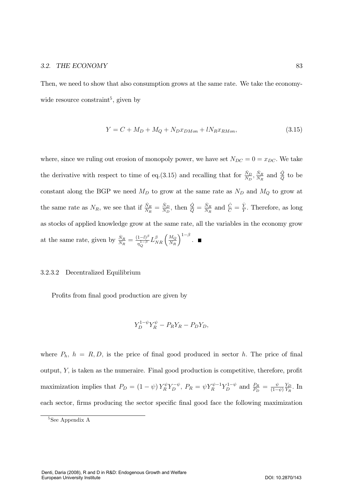Then, we need to show that also consumption grows at the same rate. We take the economywide resource constraint<sup>5</sup>, given by

$$
Y = C + M_D + M_Q + N_D x_{DMon} + l N_R x_{RMon},
$$
\n(3.15)

where, since we ruling out erosion of monopoly power, we have set  $N_{DC} = 0 = x_{DC}$ . We take the derivative with respect to time of eq.(3.15) and recalling that for  $\frac{\dot{N}_D}{N_D}$ ,  $\frac{\dot{N}_R}{N_R}$  and  $\frac{\dot{Q}}{Q}$  to be constant along the BGP we need  $M_D$  to grow at the same rate as  $N_D$  and  $M_Q$  to grow at the same rate as  $N_R$ , we see that if  $\frac{\dot{N}_R}{N_R} = \frac{\dot{N}_D}{N_D}$ , then  $\frac{\dot{Q}}{Q} = \frac{\dot{N}_R}{N_R}$  and  $\frac{\dot{C}}{C} = \frac{\dot{Y}}{Y}$ . Therefore, as long as stocks of applied knowledge grow at the same rate, all the variables in the economy grow at the same rate, given by  $\frac{\dot{N}_R}{N_R} = \frac{(1-l)^{\beta}}{\eta_{\alpha}^{1-\beta}}$  $\frac{1-l)^{\beta}}{\eta_{Q}^{1-\beta}}L_{NR}^{\beta}\left(\frac{M_{Q}}{N_{R}}\right)$  $\big)^{1-\beta}$ .

### 3.2.3.2 Decentralized Equilibrium

Profits from final good production are given by

$$
Y_D^{1-\psi}Y_R^{\psi} - P_RY_R - P_DY_D,
$$

where  $P_h$ ,  $h = R, D$ , is the price of final good produced in sector h. The price of final output,  $Y$ , is taken as the numeraire. Final good production is competitive, therefore, profit maximization implies that  $P_D = (1 - \psi) Y_R^{\psi} Y_D^{-\psi}$ ,  $P_R = \psi Y_R^{\psi-1} Y_D^{1-\psi}$  and  $\frac{P_R}{P_D} = \frac{\psi}{(1-\psi)}$  $\frac{Y_D}{Y_R}$ . In each sector, firms producing the sector specific final good face the following maximization

<sup>&</sup>lt;sup>5</sup>See Appendix A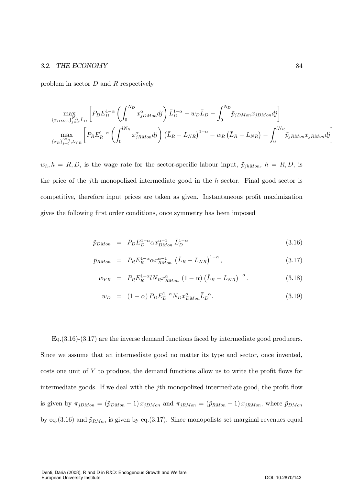problem in sector  $D$  and  $R$  respectively

$$
\max_{\{x_{DMon}\}_{j=0}^{N_D}, \bar{L}_D} \left[ P_D E_D^{1-\alpha} \left( \int_0^{N_D} x_{jDMon}^{\alpha} dj \right) \bar{L}_D^{1-\alpha} - w_D \bar{L}_D - \int_0^{N_D} \tilde{p}_{jDMon} x_{jDMon} dj \right] \n\max_{\{x_R\}_{j=0}^{N_R}, L_{YR}} \left[ P_R E_R^{1-\alpha} \left( \int_0^{lN_R} x_{jRMon}^{\alpha} dj \right) \left( \bar{L}_R - L_{NR} \right)^{1-\alpha} - w_R \left( \bar{L}_R - L_{NR} \right) - \int_0^{lN_R} \tilde{p}_{jRMon} x_{jRMon} dj \right]
$$

 $w_h$ ,  $h = R, D$ , is the wage rate for the sector-specific labour input,  $\tilde{p}_{jhMon}$ ,  $h = R, D$ , is the price of the *j*th monopolized intermediate good in the h sector. Final good sector is competitive, therefore input prices are taken as given. Instantaneous profit maximization gives the following first order conditions, once symmetry has been imposed

$$
\tilde{p}_{DMon} = P_D E_D^{1-\alpha} \alpha x_{DMon}^{\alpha-1} \bar{L}_D^{1-\alpha} \tag{3.16}
$$

$$
\tilde{p}_{RMon} = P_R E_R^{1-\alpha} \alpha x_{RMon}^{\alpha-1} (\bar{L}_R - L_{NR})^{1-\alpha}, \qquad (3.17)
$$

$$
w_{YR} = P_R E_R^{1-\alpha} l N_R x_{RMon}^{\alpha} (1-\alpha) (\bar{L}_R - L_{NR})^{-\alpha}, \qquad (3.18)
$$

$$
w_D = (1 - \alpha) P_D E_D^{1 - \alpha} N_D x_{DMon}^{\alpha} \bar{L}_D^{-\alpha}.
$$
\n(3.19)

 $Eq.(3.16)-(3.17)$  are the inverse demand functions faced by intermediate good producers. Since we assume that an intermediate good no matter its type and sector, once invented, costs one unit of  $Y$  to produce, the demand functions allow us to write the profit flows for intermediate goods. If we deal with the jth monopolized intermediate good, the profit flow is given by  $\pi_{jDMon} = (\tilde{p}_{DMon} - 1) x_{jDMon}$  and  $\pi_{jRMon} = (\tilde{p}_{RMon} - 1) x_{jRMon}$ , where  $\tilde{p}_{DMon}$ by eq.(3.16) and  $\tilde{p}_{RMon}$  is given by eq.(3.17). Since monopolists set marginal revenues equal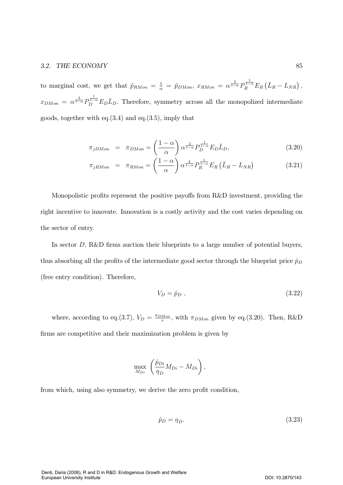to marginal cost, we get that  $\tilde{p}_{RMon} = \frac{1}{\alpha} = \tilde{p}_{DMon}$ ,  $x_{RMon} = \alpha^{\frac{2}{1-\alpha}} P_R^{\frac{1}{1-\alpha}} E_R (\bar{L}_R - L_{NR}),$  $x_{DMon} = \alpha^{\frac{2}{1-\alpha}} P_D^{\frac{1}{1-\alpha}} E_D \overline{L}_D$ . Therefore, symmetry across all the monopolized intermediate goods, together with eq. $(3.4)$  and eq. $(3.5)$ , imply that

$$
\pi_{jDMon} = \pi_{DMon} = \left(\frac{1-\alpha}{\alpha}\right) \alpha^{\frac{2}{1-\alpha}} P_D^{\frac{1}{1-\alpha}} E_D \bar{L}_D,
$$
\n(3.20)

$$
\pi_{jRMon} = \pi_{RMon} = \left(\frac{1-\alpha}{\alpha}\right) \alpha^{\frac{2}{1-\alpha}} P_R^{\frac{1}{1-\alpha}} E_R \left(\bar{L}_R - L_{NR}\right)
$$
\n(3.21)

Monopolistic profits represent the positive payoffs from R&D investment, providing the right incentive to innovate. Innovation is a costly activity and the cost varies depending on the sector of entry.

In sector  $D$ , R&D firms auction their blueprints to a large number of potential buyers, thus absorbing all the profits of the intermediate good sector through the blueprint price  $\hat{p}_D$ (free entry condition). Therefore,

$$
V_D = \hat{p}_D \tag{3.22}
$$

where, according to eq.(3.7),  $V_D = \frac{\pi_{DMon}}{r}$ , with  $\pi_{DMon}$  given by eq.(3.20). Then, R&D firms are competitive and their maximization problem is given by

$$
\max_{M_{Di}} \left( \frac{\hat{p}_{Di}}{\eta_D} M_{Di} - M_{Di} \right),\,
$$

from which, using also symmetry, we derive the zero profit condition,

$$
\hat{p}_D = \eta_D. \tag{3.23}
$$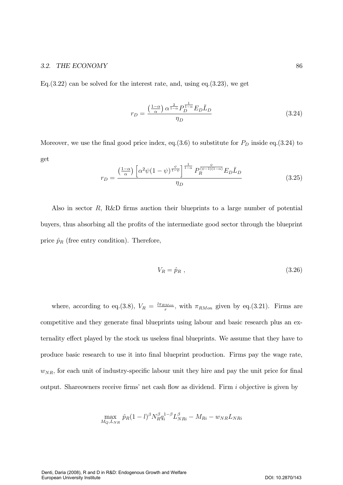Eq.  $(3.22)$  can be solved for the interest rate, and, using eq.  $(3.23)$ , we get

$$
r_D = \frac{\left(\frac{1-\alpha}{\alpha}\right)\alpha^{\frac{2}{1-\alpha}}P_D^{\frac{1}{1-\alpha}}E_D\bar{L}_D}{\eta_D} \tag{3.24}
$$

Moreover, we use the final good price index, eq.(3.6) to substitute for  $P_D$  inside eq.(3.24) to get

$$
r_D = \frac{\left(\frac{1-\alpha}{\alpha}\right) \left[\alpha^2 \psi (1-\psi)^{\frac{\psi}{1-\psi}}\right]^{\frac{1}{1-\alpha}} P_R^{\frac{\psi}{(\psi-1)(1-\alpha)}} E_D \bar{L}_D}{\eta_D} \tag{3.25}
$$

Also in sector  $R$ , R&D firms auction their blueprints to a large number of potential buyers, thus absorbing all the profits of the intermediate good sector through the blueprint price  $\hat{p}_R$  (free entry condition). Therefore,

$$
V_R = \hat{p}_R \tag{3.26}
$$

where, according to eq.(3.8),  $V_R = \frac{l \pi_{RMon}}{r}$ , with  $\pi_{RMon}$  given by eq.(3.21). Firms are competitive and they generate final blueprints using labour and basic research plus an externality effect played by the stock us useless final blueprints. We assume that they have to produce basic research to use it into final blueprint production. Firms pay the wage rate,  $w_{NR}$ , for each unit of industry-specific labour unit they hire and pay the unit price for final output. Shareowners receive firms' net cash flow as dividend. Firm  $i$  objective is given by

$$
\max_{M_Q,L_{NR}} \hat{p}_R (1-l)^\beta N_R^{\beta} q_i^{1-\beta} L_{NRi}^{\beta} - M_{Ri} - w_{NR} L_{NRi}
$$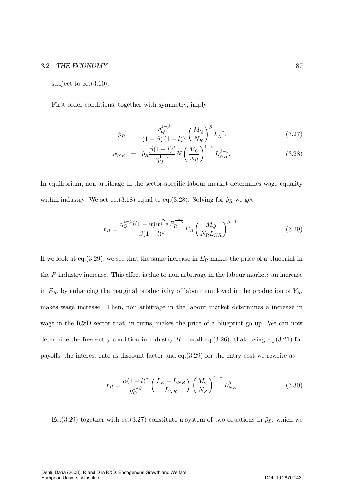subject to eq. $(3.10)$ .

First order conditions, together with symmetry, imply

$$
\hat{p}_R = \frac{\eta_Q^{1-\beta}}{(1-\beta)(1-l)^\beta} \left(\frac{M_Q}{N_R}\right)^\beta L_N^{-\beta},\tag{3.27}
$$

$$
w_{NR} = \hat{p}_R \frac{\beta (1 - l)^{\beta}}{\eta_Q^{1 - \beta}} N \left(\frac{M_Q}{N_R}\right)^{1 - \beta} L_{NR}^{\beta - 1}.
$$
 (3.28)

In equilibrium, non arbitrage in the sector-specific labour market determines wage equality within industry. We set eq.(3.18) equal to eq.(3.28). Solving for  $\hat{p}_R$  we get

$$
\hat{p}_R = \frac{\eta_Q^{1-\beta} l (1-\alpha) \alpha^{\frac{2\alpha}{1-\alpha}} P_R^{\frac{1}{1-\alpha}}}{\beta (1-l)^\beta} E_R \left( \frac{M_Q}{N_R L_{NR}} \right)^{\beta - 1}.
$$
\n(3.29)

If we look at eq.(3.29), we see that the same increase in  $E_R$  makes the price of a blueprint in the  $R$  industry increase. This effect is due to non arbitrage in the labour market: an increase in  $E_R$ , by enhancing the marginal productivity of labour employed in the production of  $Y_R$ , makes wage increase. Then, non arbitrage in the labour market determines a increase in wage in the  $R\&D$  sector that, in turns, makes the price of a blueprint go up. We can now determine the free entry condition in industry  $R$ : recall eq. (3.26), that, using eq. (3.21) for payoffs, the interest rate as discount factor and eq.  $(3.29)$  for the entry cost we rewrite as

$$
r_R = \frac{\alpha (1 - l)^{\beta}}{\eta_Q^{1 - \beta}} \left(\frac{\bar{L}_R - L_{NR}}{L_{NR}}\right) \left(\frac{M_Q}{N_R}\right)^{1 - \beta} L_{NR}^{\beta} \tag{3.30}
$$

Eq. (3.29) together with eq. (3.27) constitute a system of two equations in  $\hat{p}_R$ , which we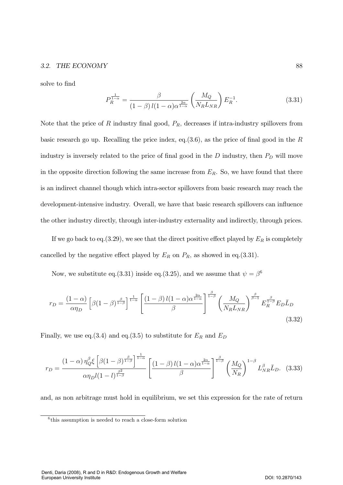solve to find

$$
P_R^{\frac{1}{1-\alpha}} = \frac{\beta}{(1-\beta)l(1-\alpha)\alpha^{\frac{2\alpha}{1-\alpha}}} \left(\frac{M_Q}{N_R L_{NR}}\right) E_R^{-1}.
$$
 (3.31)

Note that the price of R industry final good,  $P_R$ , decreases if intra-industry spillovers from basic research go up. Recalling the price index, eq.  $(3.6)$ , as the price of final good in the R industry is inversely related to the price of final good in the  $D$  industry, then  $P_D$  will move in the opposite direction following the same increase from  $E_R$ . So, we have found that there is an indirect channel though which intra-sector spillovers from basic research may reach the development-intensive industry. Overall, we have that basic research spillovers can influence the other industry directly, through inter-industry externality and indirectly, through prices.

If we go back to eq. (3.29), we see that the direct positive effect played by  $E_R$  is completely cancelled by the negative effect played by  $E_R$  on  $P_R$ , as showed in eq.(3.31).

Now, we substitute eq.(3.31) inside eq.(3.25), and we assume that  $\psi = \beta^6$ 

$$
r_D = \frac{(1-\alpha)}{\alpha \eta_D} \left[ \beta (1-\beta)^{\frac{\beta}{1-\beta}} \right]^{\frac{1}{1-\alpha}} \left[ \frac{(1-\beta) l (1-\alpha) \alpha^{\frac{2\alpha}{1-\alpha}}}{\beta} \right]^{\frac{\beta}{1-\beta}} \left( \frac{M_Q}{N_R L_{NR}} \right)^{\frac{\beta}{\beta-1}} E_R^{\frac{\beta}{1-\beta}} E_D \bar{L}_D \tag{3.32}
$$

Finally, we use eq.(3.4) and eq.(3.5) to substitute for  $E_R$  and  $E_D$ 

$$
r_D = \frac{(1-\alpha)\,\eta_Q^{\beta}\xi\left[\beta(1-\beta)^{\frac{\beta}{1-\beta}}\right]^{\frac{1}{1-\alpha}}}{\alpha\eta_D l(1-l)^{\frac{\beta^2}{1-\beta}}}\left[\frac{(1-\beta)\,l(1-\alpha)\alpha^{\frac{2\alpha}{1-\alpha}}}{\beta}\right]^{\frac{\beta}{1-\beta}}\left(\frac{M_Q}{N_R}\right)^{1-\beta}L_{NR}^{\beta}\bar{L}_D.\tag{3.33}
$$

and, as non arbitrage must hold in equilibrium, we set this expression for the rate of return

 $6$ <sup>this</sup> assumption is needed to reach a close-form solution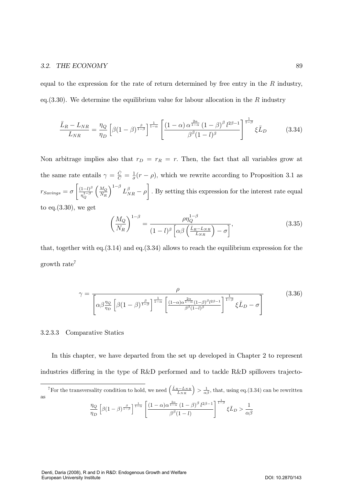equal to the expression for the rate of return determined by free entry in the  $R$  industry, eq.  $(3.30)$ . We determine the equilibrium value for labour allocation in the R industry

$$
\frac{\bar{L}_R - L_{NR}}{L_{NR}} = \frac{\eta_Q}{\eta_D} \left[ \beta (1 - \beta)^{\frac{\beta}{1 - \beta}} \right]^{\frac{1}{1 - \alpha}} \left[ \frac{(1 - \alpha) \alpha^{\frac{2\alpha}{1 - \alpha}} (1 - \beta)^{\beta} l^{2\beta - 1}}{\beta^{\beta} (1 - l)^{\beta}} \right]^{\frac{1}{1 - \beta}} \xi \bar{L}_D \tag{3.34}
$$

Non arbitrage implies also that  $r_D = r_R = r$ . Then, the fact that all variables grow at the same rate entails  $\gamma = \frac{\dot{C}}{C} = \frac{1}{\sigma}(r - \rho)$ , which we rewrite according to Proposition 3.1 as  $r_{Savings} = \sigma \left[ \frac{(1-l)^{\beta}}{n^{1-\beta}} \right]$  $\eta_Q^{1-\beta}$  $\int M_Q$  $N_R$  $\int_{1-\beta}^{1-\beta} L_{NR}^{\beta} - \rho$ . By setting this expression for the interest rate equal to eq. $(3.30)$ , we get

$$
\left(\frac{M_Q}{N_R}\right)^{1-\beta} = \frac{\rho \eta_Q^{1-\beta}}{(1-l)^\beta \left[\alpha \beta \left(\frac{\bar{L}_R - L_{NR}}{L_{NR}}\right) - \sigma\right]},\tag{3.35}
$$

that, together with eq.  $(3.14)$  and eq.  $(3.34)$  allows to reach the equilibrium expression for the growth rate<sup>7</sup>

$$
\gamma = \frac{\rho}{\left[\alpha \beta \frac{\eta_Q}{\eta_D} \left[\beta (1-\beta)^{\frac{\beta}{1-\beta}}\right]^{\frac{1}{1-\alpha}} \left[\frac{(1-\alpha)\alpha^{\frac{2\alpha}{1-\alpha}}(1-\beta)^{\beta}l^{2\beta-1}}{\beta^{\beta}(1-l)^{\beta}}\right]^{\frac{1}{1-\beta}} \xi \bar{L}_D - \sigma\right]}
$$
(3.36)

### 3.2.3.3 Comparative Statics

In this chapter, we have departed from the set up developed in Chapter 2 to represent industries differing in the type of R&D performed and to tackle R&D spillovers trajecto-

<sup>7</sup>For the transversality condition to hold, we need  $\left(\frac{\bar{L}_R - L_{NR}}{L_{NR}}\right) > \frac{1}{\alpha\beta}$ , that, using eq. (3.34) can be rewritten as

$$
\frac{\eta_Q}{\eta_D} \left[ \beta (1 - \beta)^{\frac{\beta}{1 - \beta}} \right]^{\frac{1}{1 - \alpha}} \left[ \frac{\left( 1 - \alpha \right) \alpha^{\frac{2\alpha}{1 - \alpha}} \left( 1 - \beta \right)^{\beta} l^{2\beta - 1}}{\beta^{\beta} (1 - l)} \right]^{\frac{1}{1 - \beta}} \xi L_D > \frac{1}{\alpha \beta}
$$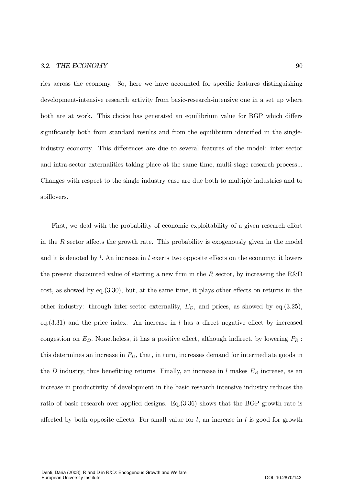ries across the economy. So, here we have accounted for specific features distinguishing development-intensive research activity from basic-research-intensive one in a set up where both are at work. This choice has generated an equilibrium value for BGP which differs significantly both from standard results and from the equilibrium identified in the singleindustry economy. This differences are due to several features of the model: inter-sector and intra-sector externalities taking place at the same time, multi-stage research process,... Changes with respect to the single industry case are due both to multiple industries and to spillovers.

First, we deal with the probability of economic exploitability of a given research effort in the  $R$  sector affects the growth rate. This probability is exogenously given in the model and it is denoted by l. An increase in l exerts two opposite effects on the economy: it lowers the present discounted value of starting a new firm in the  $R$  sector, by increasing the  $R\&D$ cost, as showed by eq.  $(3.30)$ , but, at the same time, it plays other effects on returns in the other industry: through inter-sector externality,  $E_D$ , and prices, as showed by eq.(3.25), eq.  $(3.31)$  and the price index. An increase in l has a direct negative effect by increased congestion on  $E_D$ . Nonetheless, it has a positive effect, although indirect, by lowering  $P_R$ : this determines an increase in  $P<sub>D</sub>$ , that, in turn, increases demand for intermediate goods in the D industry, thus benefitting returns. Finally, an increase in  $l$  makes  $E_R$  increase, as an increase in productivity of development in the basic-research-intensive industry reduces the ratio of basic research over applied designs. Eq.  $(3.36)$  shows that the BGP growth rate is affected by both opposite effects. For small value for  $l$ , an increase in  $l$  is good for growth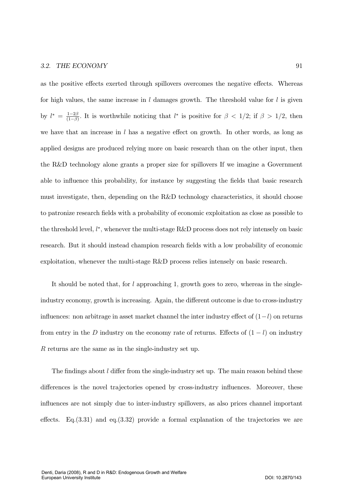as the positive effects exerted through spillovers overcomes the negative effects. Whereas for high values, the same increase in  $l$  damages growth. The threshold value for  $l$  is given by  $l^* = \frac{1-2\beta}{(1-\beta)}$  $\frac{1-2\beta}{(1-\beta)}$ . It is worthwhile noticing that  $l^*$  is positive for  $\beta < 1/2$ ; if  $\beta > 1/2$ , then we have that an increase in  $l$  has a negative effect on growth. In other words, as long as applied designs are produced relying more on basic research than on the other input, then the R&D technology alone grants a proper size for spillovers If we imagine a Government able to influence this probability, for instance by suggesting the fields that basic research must investigate, then, depending on the R&D technology characteristics, it should choose to patronize research fields with a probability of economic exploitation as close as possible to the threshold level,  $l^*$ , whenever the multi-stage R&D process does not rely intensely on basic research. But it should instead champion research fields with a low probability of economic exploitation, whenever the multi-stage R&D process relies intensely on basic research.

It should be noted that, for  $l$  approaching 1, growth goes to zero, whereas in the singleindustry economy, growth is increasing. Again, the different outcome is due to cross-industry influences: non arbitrage in asset market channel the inter industry effect of  $(1-l)$  on returns from entry in the  $D$  industry on the economy rate of returns. Effects of  $(1 - l)$  on industry  $R$  returns are the same as in the single-industry set up.

The findings about  $l$  differ from the single-industry set up. The main reason behind these differences is the novel trajectories opened by cross-industry influences. Moreover, these influences are not simply due to inter-industry spillovers, as also prices channel important effects. Eq.  $(3.31)$  and eq.  $(3.32)$  provide a formal explanation of the trajectories we are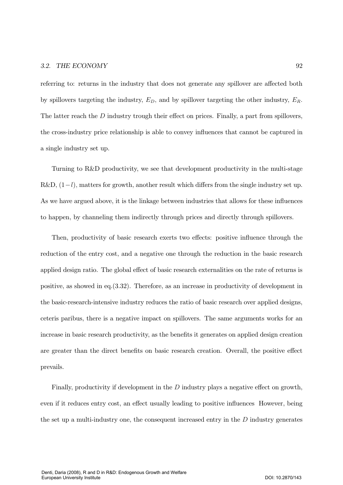referring to: returns in the industry that does not generate any spillover are affected both by spillovers targeting the industry,  $E_D$ , and by spillover targeting the other industry,  $E_R$ . The latter reach the  $D$  industry trough their effect on prices. Finally, a part from spillovers, the cross-industry price relationship is able to convey influences that cannot be captured in a single industry set up.

Turning to R&D productivity, we see that development productivity in the multi-stage  $R&D$ ,  $(1-l)$ , matters for growth, another result which differs from the single industry set up. As we have argued above, it is the linkage between industries that allows for these influences to happen, by channeling them indirectly through prices and directly through spillovers.

Then, productivity of basic research exerts two effects: positive influence through the reduction of the entry cost, and a negative one through the reduction in the basic research applied design ratio. The global effect of basic research externalities on the rate of returns is positive, as showed in eq.  $(3.32)$ . Therefore, as an increase in productivity of development in the basic-research-intensive industry reduces the ratio of basic research over applied designs, ceteris paribus, there is a negative impact on spillovers. The same arguments works for an increase in basic research productivity, as the benefits it generates on applied design creation are greater than the direct benefits on basic research creation. Overall, the positive effect prevails.

Finally, productivity if development in the  $D$  industry plays a negative effect on growth, even if it reduces entry cost, an effect usually leading to positive influences However, being the set up a multi-industry one, the consequent increased entry in the  $D$  industry generates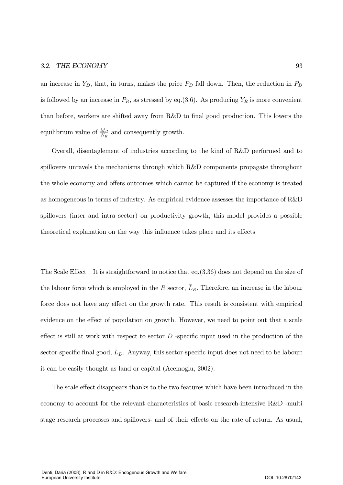an increase in  $Y_D$ , that, in turns, makes the price  $P_D$  fall down. Then, the reduction in  $P_D$ is followed by an increase in  $P_R$ , as stressed by eq.(3.6). As producing  $Y_R$  is more convenient than before, workers are shifted away from R&D to final good production. This lowers the equilibrium value of  $\frac{M_R}{N_R}$  and consequently growth.

Overall, disentaglement of industries according to the kind of R&D performed and to spillovers unravels the mechanisms through which  $R\&D$  components propagate throughout the whole economy and offers outcomes which cannot be captured if the economy is treated as homogeneous in terms of industry. As empirical evidence assesses the importance of  $R\&D$ spillovers (inter and intra sector) on productivity growth, this model provides a possible theoretical explanation on the way this influence takes place and its effects

The Scale Effect It is straightforward to notice that eq.  $(3.36)$  does not depend on the size of the labour force which is employed in the R sector,  $\bar{L}_R$ . Therefore, an increase in the labour force does not have any effect on the growth rate. This result is consistent with empirical evidence on the effect of population on growth. However, we need to point out that a scale effect is still at work with respect to sector  $D$  -specific input used in the production of the sector-specific final good,  $L<sub>D</sub>$ . Anyway, this sector-specific input does not need to be labour: it can be easily thought as land or capital (Acemoglu, 2002).

The scale effect disappears thanks to the two features which have been introduced in the economy to account for the relevant characteristics of basic research-intensive R&D -multi stage research processes and spillovers- and of their effects on the rate of return. As usual,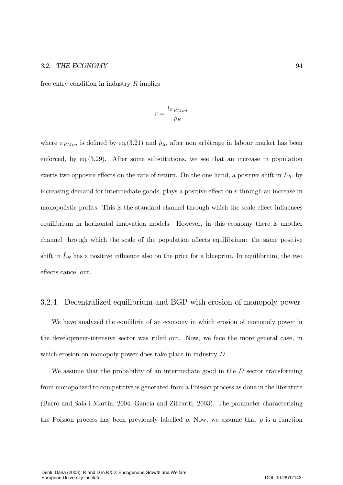free entry condition in industry  $R$  implies

$$
r=\frac{l\pi_{RMon}}{\hat{p}_R}
$$

where  $\pi_{RMon}$  is defined by eq.(3.21) and  $\hat{p}_R$ , after non arbitrage in labour market has been enforced, by eq.  $(3.29)$ . After some substitutions, we see that an increase in population exerts two opposite effects on the rate of return. On the one hand, a positive shift in  $L_R$ , by increasing demand for intermediate goods, plays a positive effect on  $r$  through an increase in monopolistic profits. This is the standard channel through which the scale effect influences equilibrium in horizontal innovation models. However, in this economy there is another channel through which the scale of the population affects equilibrium: the same positive shift in  $L_R$  has a positive influence also on the price for a blueprint. In equilibrium, the two effects cancel out.

#### 3.2.4 Decentralized equilibrium and BGP with erosion of monopoly power

We have analyzed the equilibria of an economy in which erosion of monopoly power in the development-intensive sector was ruled out. Now, we face the more general case, in which erosion on monopoly power does take place in industry  $D$ .

We assume that the probability of an intermediate good in the  $D$  sector transforming from monopolized to competitive is generated from a Poisson process as done in the literature (Barro and Sala-I-Martin, 2004; Gancia and Zilibotti, 2003). The parameter characterizing the Poisson process has been previously labelled p. Now, we assume that p is a function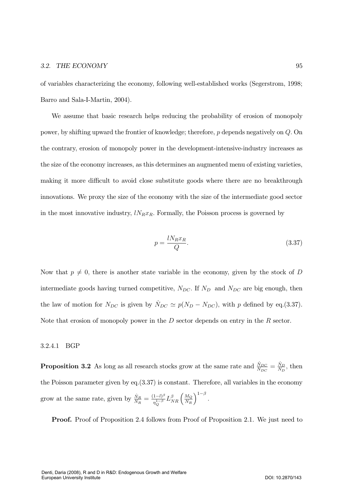of variables characterizing the economy, following well-established works (Segerstrom, 1998; Barro and Sala-I-Martin, 2004).

We assume that basic research helps reducing the probability of erosion of monopoly power, by shifting upward the frontier of knowledge; therefore,  $p$  depends negatively on  $Q$ . On the contrary, erosion of monopoly power in the development-intensive-industry increases as the size of the economy increases, as this determines an augmented menu of existing varieties, making it more difficult to avoid close substitute goods where there are no breakthrough innovations. We proxy the size of the economy with the size of the intermediate good sector in the most innovative industry,  $lN_Rx_R$ . Formally, the Poisson process is governed by

$$
p = \frac{l N_R x_R}{Q}.\tag{3.37}
$$

Now that  $p \neq 0$ , there is another state variable in the economy, given by the stock of D intermediate goods having turned competitive,  $N_{DC}$ . If  $N_D$  and  $N_{DC}$  are big enough, then the law of motion for  $N_{DC}$  is given by  $N_{DC} \simeq p(N_D - N_{DC})$ , with p defined by eq.(3.37). Note that erosion of monopoly power in the  $D$  sector depends on entry in the  $R$  sector.

#### 3.2.4.1 BGP

**Proposition 3.2** As long as all research stocks grow at the same rate and  $\frac{\dot{N}_{DC}}{N_{DC}} = \frac{\dot{N}_D}{N_D}$ , then the Poisson parameter given by eq.  $(3.37)$  is constant. Therefore, all variables in the economy grow at the same rate, given by  $\frac{\dot{N}_R}{N_R} = \frac{(1-l)^{\beta}}{\eta_O^{1-\beta}} L_{NR}^{\beta} \left(\frac{M_Q}{N_R}\right)^{1-\beta}$ .

**Proof.** Proof of Proposition 2.4 follows from Proof of Proposition 2.1. We just need to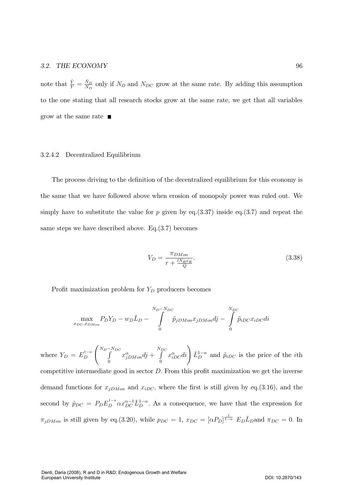note that  $\frac{\dot{Y}}{Y} = \frac{\dot{N}_D}{N_D}$  only if  $N_D$  and  $N_{DC}$  grow at the same rate. By adding this assumption to the one stating that all research stocks grow at the same rate, we get that all variables grow at the same rate  $\blacksquare$ 

#### 3.2.4.2 Decentralized Equilibrium

The process driving to the definition of the decentralized equilibrium for this economy is the same that we have followed above when erosion of monopoly power was ruled out. We simply have to substitute the value for p given by eq.  $(3.37)$  inside eq.  $(3.7)$  and repeat the same steps we have described above.  $Eq.(3.7)$  becomes

$$
V_D = \frac{\pi_{DMon}}{r + \frac{l N_R x_R}{Q}}.\tag{3.38}
$$

Profit maximization problem for  $Y_D$  producers becomes

$$
\max_{x_{DC}, x_{DMon}} P_D Y_D - w_D \bar{L}_D - \int\limits_{0}^{N_D - N_{DC}} \tilde{p}_{jDMon} x_{jDMon} dj - \int\limits_{0}^{N_{DC}} \tilde{p}_{iDC} x_{iDC} di
$$

where  $Y_D = E_D^{1-\alpha}$  $\boldsymbol{D}$  $\bigwedge N_D \int$  $N_{DC}$  $\boldsymbol{0}$  $x_{jDMon}^{\alpha}$ dj +  $\int\limits_{0}^{N_{DC}}$  $\boldsymbol{0}$  $\left(x_{iDC}^{\alpha}di\right)\bar{L}_{D}^{1-\alpha}$  and  $\tilde{p}_{iDC}$  is the price of the *i*th competitive intermediate good in sector  $D$ . From this profit maximization we get the inverse demand functions for  $x_{jDMon}$  and  $x_{iDC}$ , where the first is still given by eq.(3.16), and the second by  $\tilde{p}_{DC} = P_D E_D^{1-\alpha} \alpha x_{DC}^{\alpha-1} \bar{L}_D^{1-\alpha}$ . As a consequence, we have that the expression for  $\pi_{jDMon}$  is still given by eq.(3.20), while  $p_{DC} = 1$ ,  $x_{DC} = [\alpha P_D]^{\frac{1}{1-\alpha}} E_D \overline{L}_D$  and  $\pi_{DC} = 0$ . In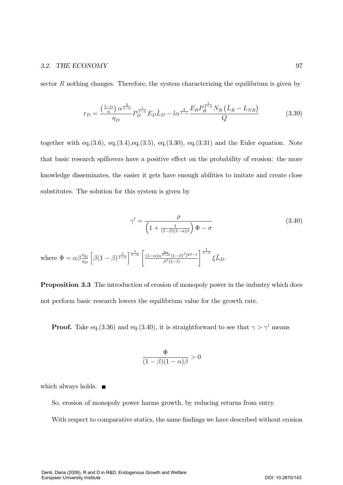sector  $R$  nothing changes. Therefore, the system characterizing the equilibrium is given by

$$
r_D = \frac{\left(\frac{1-\alpha}{\alpha}\right)\alpha^{\frac{2}{1-\alpha}}}{\eta_D} P_D^{\frac{1}{1-\alpha}} E_D \bar{L}_D - l\alpha^{\frac{2}{1-\alpha}} \frac{E_R P_R^{\frac{1}{1-\alpha}} N_R \left(\bar{L}_R - L_{NR}\right)}{Q} \tag{3.39}
$$

together with eq.  $(3.6)$ , eq.  $(3.4)$ , eq.  $(3.5)$ , eq.  $(3.30)$ , eq.  $(3.31)$  and the Euler equation. Note that basic research spillovers have a positive effect on the probability of erosion: the more knowledge disseminates, the easier it gets have enough abilities to imitate and create close substitutes. The solution for this system is given by

$$
\gamma' = \frac{\rho}{\left(1 + \frac{1}{(1-\beta)(1-\alpha)\beta}\right)\Phi - \sigma} \tag{3.40}
$$

where 
$$
\Phi = \alpha \beta \frac{\eta_Q}{\eta_D} \left[ \beta (1 - \beta)^{\frac{\beta}{1 - \beta}} \right]^{\frac{1}{1 - \alpha}} \left[ \frac{(1 - \alpha) \alpha^{\frac{2\alpha}{1 - \alpha}} (1 - \beta)^{\beta} l^{2\beta - 1}}{\beta^{\beta} (1 - l)} \right]^{\frac{1}{1 - \beta}} \xi L_D.
$$

**Proposition 3.3** The introduction of erosion of monopoly power in the industry which does not perform basic research lowers the equilibrium value for the growth rate.

**Proof.** Take eq.(3.36) and eq.(3.40), it is straightforward to see that  $\gamma > \gamma'$  means

$$
\frac{\Phi}{(1-\beta)(1-\alpha)\beta} > 0
$$

which always holds.  $\blacksquare$ 

So, erosion of monopoly power harms growth, by reducing returns from entry.

With respect to comparative statics, the same findings we have described without erosion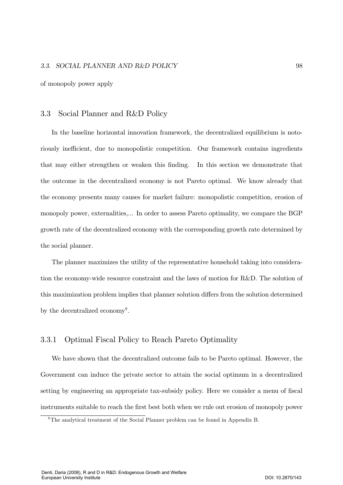of monopoly power apply

#### 3.3 Social Planner and R&D Policy

In the baseline horizontal innovation framework, the decentralized equilibrium is notoriously inefficient, due to monopolistic competition. Our framework contains ingredients that may either strengthen or weaken this finding. In this section we demonstrate that the outcome in the decentralized economy is not Pareto optimal. We know already that the economy presents many causes for market failure: monopolistic competition, erosion of monopoly power, externalities,... In order to assess Pareto optimality, we compare the BGP growth rate of the decentralized economy with the corresponding growth rate determined by the social planner.

The planner maximizes the utility of the representative household taking into consideration the economy-wide resource constraint and the laws of motion for R&D. The solution of this maximization problem implies that planner solution differs from the solution determined by the decentralized economy<sup>8</sup>.

#### 3.3.1 Optimal Fiscal Policy to Reach Pareto Optimality

We have shown that the decentralized outcome fails to be Pareto optimal. However, the Government can induce the private sector to attain the social optimum in a decentralized setting by engineering an appropriate tax-subsidy policy. Here we consider a menu of fiscal instruments suitable to reach the first best both when we rule out erosion of monopoly power

<sup>&</sup>lt;sup>8</sup>The analytical treatment of the Social Planner problem can be found in Appendix B.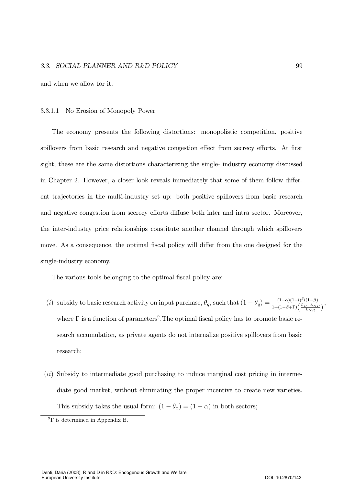and when we allow for it.

#### No Erosion of Monopoly Power 3.3.1.1

The economy presents the following distortions: monopolistic competition, positive spillovers from basic research and negative congestion effect from secrecy efforts. At first sight, these are the same distortions characterizing the single- industry economy discussed in Chapter 2. However, a closer look reveals immediately that some of them follow different trajectories in the multi-industry set up: both positive spillovers from basic research and negative congestion from secrecy efforts diffuse both inter and intra sector. Moreover, the inter-industry price relationships constitute another channel through which spillovers move. As a consequence, the optimal fiscal policy will differ from the one designed for the single-industry economy.

The various tools belonging to the optimal fiscal policy are:

- (i) subsidy to basic research activity on input purchase,  $\theta_q$ , such that  $(1 \theta_q) = \frac{(1 \alpha)(1 l)^{\beta}l(1 \beta)}{1 + (1 \beta + \Gamma)(\frac{\bar{L}_R L_{NR}}{LN_R})}$ , where  $\Gamma$  is a function of parameters<sup>9</sup>. The optimal fiscal policy has to promote basic research accumulation, as private agents do not internalize positive spillovers from basic research;
- *(ii)* Subsidy to intermediate good purchasing to induce marginal cost pricing in intermediate good market, without eliminating the proper incentive to create new varieties. This subsidy takes the usual form:  $(1 - \theta_x) = (1 - \alpha)$  in both sectors;

 ${}^{9} \Gamma$  is determined in Appendix B.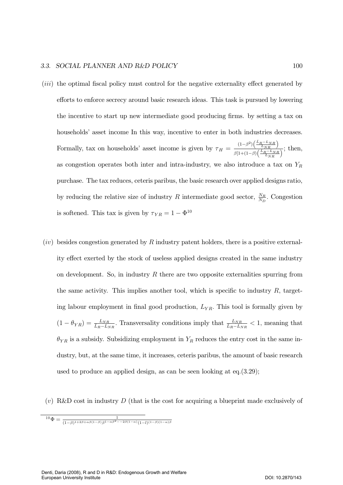#### 3.3. SOCIAL PLANNER AND R&D POLIC

- (*iii*) the optimal fiscal policy must control for the negative externality effect generated by efforts to enforce secrecy around basic research ideas. This task is pursued by lowering the incentive to start up new intermediate good producing firms. by setting a tax on households' asset income In this way, incentive to enter in both industries decreases. Formally, tax on households' asset income is given by  $\tau_H = \frac{(1-\beta^2)\left(\frac{\bar{L}_R - L_{NR}}{L_{NR}}\right)}{\frac{\beta^2 [1+(1-\beta)\left(\frac{\bar{L}_R - L_{NR}}{L_{NR}}\right)}{\beta^2 [1+(1-\beta)\left(\frac{\bar{L}_R - L_{NR}}{L_{NR}}\right)]}}$  $\frac{L_{NR}}{\beta[1+(1-\beta)\left(\frac{L_{RR}}{L_{NR}}\right)}$ ; then, as congestion operates both inter and intra-industry, we also introduce a tax on  $Y_R$ purchase. The tax reduces, ceteris paribus, the basic research over applied designs ratio, by reducing the relative size of industry R intermediate good sector,  $\frac{N_R}{N_D}$ . Congestion is softened. This tax is given by  $\tau_{YR} = 1 - \Phi^{10}$
- $(iv)$  besides congestion generated by R industry patent holders, there is a positive externality effect exerted by the stock of useless applied designs created in the same industry on development. So, in industry  $R$  there are two opposite externalities spurring from the same activity. This implies another tool, which is specific to industry  $R$ , targeting labour employment in final good production,  $L_{YR}$ . This tool is formally given by  $(1 - \theta_{YR}) = \frac{L_{NR}}{L_R - L_{NR}}$ . Transversality conditions imply that  $\frac{L_{NR}}{L_R - L_{NR}} < 1$ , meaning that  $\theta_{YR}$  is a subsidy. Subsidizing employment in  $Y_R$  reduces the entry cost in the same industry, but, at the same time, it increases, ceteris paribus, the amount of basic research used to produce an applied design, as can be seen looking at eq.  $(3.29)$ ;
- (v) R&D cost in industry D (that is the cost for acquiring a blueprint made exclusively of

 $1^{\ }0\Phi=\frac{1}{(1-\beta)^{1+2\beta+\alpha\beta(1-\beta)}\beta^{1-\alpha\beta^{2}--2\beta(1-\alpha)}(1-l)^{(1-\beta)(1-\alpha)\beta}}$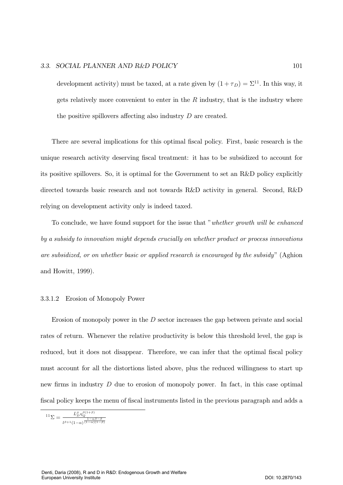#### 3.3. SOCIAL PLANNER AND R&D POLICY

development activity) must be taxed, at a rate given by  $(1 + \tau_D) = \Sigma^{11}$ . In this way, it gets relatively more convenient to enter in the  $R$  industry, that is the industry where the positive spillovers affecting also industry  $D$  are created.

There are several implications for this optimal fiscal policy. First, basic research is the unique research activity deserving fiscal treatment: it has to be subsidized to account for its positive spillovers. So, it is optimal for the Government to set an R&D policy explicitly directed towards basic research and not towards R&D activity in general. Second, R&D relying on development activity only is indeed taxed.

To conclude, we have found support for the issue that "whether growth will be enhanced by a subsidy to innovation might depends crucially on whether product or process innovations are subsidized, or on whether basic or applied research is encouraged by the subsidy" (Aghion and Howitt, 1999).

#### 3.3.1.2 Erosion of Monopoly Power

Erosion of monopoly power in the  $D$  sector increases the gap between private and social rates of return. Whenever the relative productivity is below this threshold level, the gap is reduced, but it does not disappear. Therefore, we can infer that the optimal fiscal policy must account for all the distortions listed above, plus the reduced willingness to start up new firms in industry  $D$  due to erosion of monopoly power. In fact, in this case optimal fiscal policy keeps the menu of fiscal instruments listed in the previous paragraph and adds a

$$
^{11}\Sigma = \frac{L_D^{\rho} \eta_Q^{\rho(1+\rho)}}{l^{\beta+1} (1-\alpha)^{\frac{1-\alpha\beta-\beta}{(1-\alpha)(1-\beta)}}}
$$

101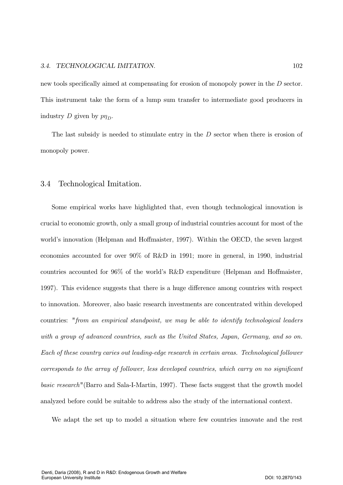### 3.4. TECHNOLOGICAL IMITATION. 102

new tools specifically aimed at compensating for erosion of monopoly power in the  $D$  sector. This instrument take the form of a lump sum transfer to intermediate good producers in industry D given by  $p\eta_D$ .

The last subsidy is needed to stimulate entry in the  $D$  sector when there is erosion of monopoly power.

### 3.4 Technological Imitation.

Some empirical works have highlighted that, even though technological innovation is crucial to economic growth, only a small group of industrial countries account for most of the world's innovation (Helpman and Hoffmaister, 1997). Within the OECD, the seven largest economies accounted for over  $90\%$  of R&D in 1991; more in general, in 1990, industrial countries accounted for 96% of the world's R&D expenditure (Helpman and Hoffmaister, 1997). This evidence suggests that there is a huge difference among countries with respect to innovation. Moreover, also basic research investments are concentrated within developed countries: "from an empirical standpoint, we may be able to identify technological leaders with a group of advanced countries, such as the United States, Japan, Germany, and so on. Each of these country caries out leading-edge research in certain areas. Technological follower  $corresponds$  to the array of follower, less developed countries, which carry on no significant basic research" (Barro and Sala-I-Martin, 1997). These facts suggest that the growth model analyzed before could be suitable to address also the study of the international context.

We adapt the set up to model a situation where few countries innovate and the rest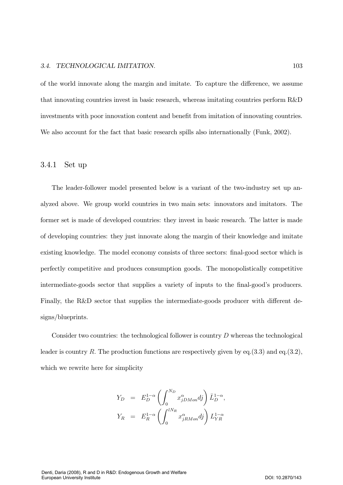### 3.4. TECHNOLOGICAL IMITATION. 103

of the world innovate along the margin and imitate. To capture the difference, we assume that innovating countries invest in basic research, whereas imitating countries perform R&D investments with poor innovation content and benefit from imitation of innovating countries. We also account for the fact that basic research spills also internationally (Funk, 2002).

## 3.4.1 Set up

The leader-follower model presented below is a variant of the two-industry set up analyzed above. We group world countries in two main sets: innovators and imitators. The former set is made of developed countries: they invest in basic research. The latter is made of developing countries: they just innovate along the margin of their knowledge and imitate existing knowledge. The model economy consists of three sectors: final-good sector which is perfectly competitive and produces consumption goods. The monopolistically competitive intermediate-goods sector that supplies a variety of inputs to the final-good's producers. Finally, the R&D sector that supplies the intermediate-goods producer with different designs/blueprints.

Consider two countries: the technological follower is country  $D$  whereas the technological leader is country R. The production functions are respectively given by eq.  $(3.3)$  and eq.  $(3.2)$ , which we rewrite here for simplicity

$$
Y_D = E_D^{1-\alpha} \left( \int_0^{N_D} x_{jDMon}^{\alpha} dj \right) \bar{L}_D^{1-\alpha},
$$
  

$$
Y_R = E_R^{1-\alpha} \left( \int_0^{lN_R} x_{jRMon}^{\alpha} dj \right) L_{YR}^{1-\alpha}
$$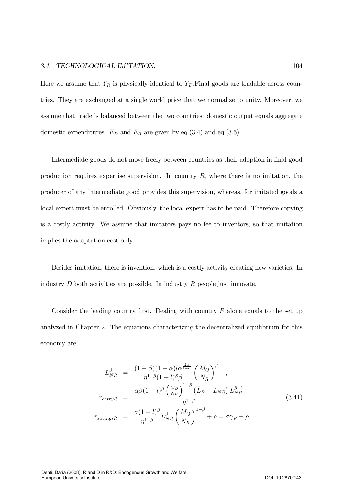Here we assume that  $Y_R$  is physically identical to  $Y_D$ . Final goods are tradable across countries. They are exchanged at a single world price that we normalize to unity. Moreover, we assume that trade is balanced between the two countries: domestic output equals aggregate domestic expenditures.  $E_D$  and  $E_R$  are given by eq.(3.4) and eq.(3.5).

Intermediate goods do not move freely between countries as their adoption in final good production requires expertise supervision. In country  $R$ , where there is no imitation, the producer of any intermediate good provides this supervision, whereas, for imitated goods a local expert must be enrolled. Obviously, the local expert has to be paid. Therefore copying is a costly activity. We assume that imitators pays no fee to inventors, so that imitation implies the adaptation cost only.

Besides imitation, there is invention, which is a costly activity creating new varieties. In industry  $D$  both activities are possible. In industry  $R$  people just innovate.

Consider the leading country first. Dealing with country  $R$  alone equals to the set up analyzed in Chapter 2. The equations characterizing the decentralized equilibrium for this economy are

$$
L_{NR}^{\beta} = \frac{(1-\beta)(1-\alpha)l\alpha^{\frac{2\alpha}{1-\alpha}}}{\eta^{1-\beta}(1-l)^{\beta}\beta} \left(\frac{M_Q}{N_R}\right)^{\beta-1},
$$
  

$$
r_{entryR} = \frac{\alpha\beta(1-l)^{\beta}\left(\frac{M_Q}{N_R}\right)^{1-\beta}\left(\bar{L}_R - L_{NR}\right)L_{NR}^{\beta-1}}{\eta^{1-\beta}}
$$
  

$$
r_{savingsR} = \frac{\sigma(1-l)^{\beta}}{\eta^{1-\beta}}L_{NR}^{\beta}\left(\frac{M_Q}{N_R}\right)^{1-\beta} + \rho = \sigma\gamma_R + \rho
$$
 (3.41)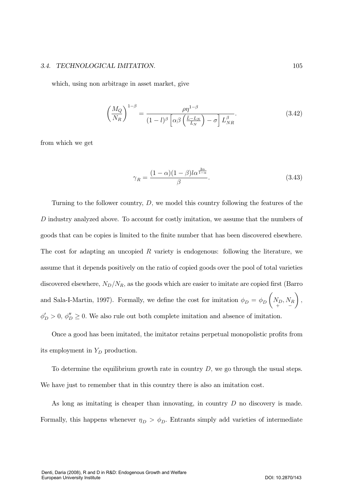#### 3.4. TECHNOLOGICAL IMITATION.

which, using non arbitrage in asset market, give

$$
\left(\frac{M_Q}{N_R}\right)^{1-\beta} = \frac{\rho \eta^{1-\beta}}{(1-l)^\beta \left[\alpha \beta \left(\frac{\bar{L}-L_N}{L_N}\right) - \sigma\right] L_{NR}^\beta}.
$$
\n(3.42)

from which we get

$$
\gamma_R = \frac{(1-\alpha)(1-\beta)l\alpha^{\frac{2\alpha}{1-\alpha}}}{\beta}.
$$
\n(3.43)

Turning to the follower country,  $D$ , we model this country following the features of the D industry analyzed above. To account for costly imitation, we assume that the numbers of goods that can be copies is limited to the finite number that has been discovered elsewhere. The cost for adapting an uncopied  $R$  variety is endogenous: following the literature, we assume that it depends positively on the ratio of copied goods over the pool of total varieties discovered elsewhere,  $N_D/N_R$ , as the goods which are easier to imitate are copied first (Barro and Sala-I-Martin, 1997). Formally, we define the cost for imitation  $\phi_D = \phi_D \left( N_D, N_R \right)$ ,  $\phi'_D > 0$ ,  $\phi''_D \ge 0$ . We also rule out both complete imitation and absence of imitation.

Once a good has been imitated, the imitator retains perpetual monopolistic profits from its employment in  $Y_D$  production.

To determine the equilibrium growth rate in country  $D$ , we go through the usual steps. We have just to remember that in this country there is also an imitation cost.

As long as imitating is cheaper than innovating, in country  $D$  no discovery is made. Formally, this happens whenever  $\eta_D > \phi_D$ . Entrants simply add varieties of intermediate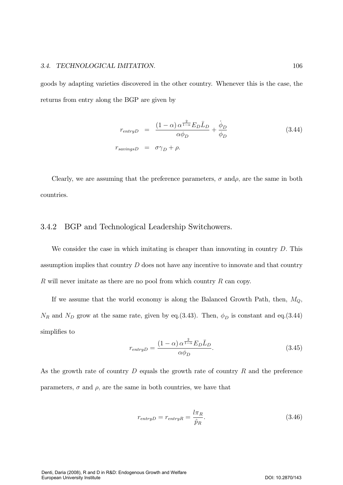### 3.4. TECHNOLOGICAL IMITATION. 106

goods by adapting varieties discovered in the other country. Whenever this is the case, the returns from entry along the BGP are given by

$$
r_{entryD} = \frac{(1 - \alpha) \alpha^{\frac{2}{1 - \alpha}} E_D \bar{L}_D}{\alpha \phi_D} + \frac{\dot{\phi}_D}{\phi_D}
$$
(3.44)  

$$
r_{savingsD} = \sigma \gamma_D + \rho.
$$

Clearly, we are assuming that the preference parameters,  $\sigma$  and  $\rho$ , are the same in both countries.

## 3.4.2 BGP and Technological Leadership Switchowers.

We consider the case in which imitating is cheaper than innovating in country  $D$ . This assumption implies that country  $D$  does not have any incentive to innovate and that country  $R$  will never imitate as there are no pool from which country  $R$  can copy.

If we assume that the world economy is along the Balanced Growth Path, then,  $M_Q$ ,  $N_R$  and  $N_D$  grow at the same rate, given by eq.(3.43). Then,  $\phi_D$  is constant and eq.(3.44) simplifies to

$$
r_{entryD} = \frac{(1 - \alpha) \alpha^{\frac{2}{1 - \alpha}} E_D \bar{L}_D}{\alpha \phi_D}.
$$
\n(3.45)

As the growth rate of country  $D$  equals the growth rate of country  $R$  and the preference parameters,  $\sigma$  and  $\rho$ , are the same in both countries, we have that

$$
r_{entryD} = r_{entryR} = \frac{l\pi_R}{\hat{p}_R}.\tag{3.46}
$$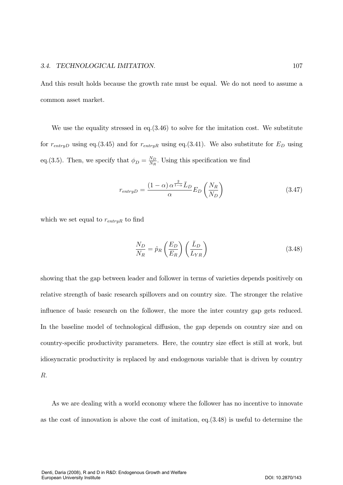And this result holds because the growth rate must be equal. We do not need to assume a common asset market.

We use the equality stressed in eq.  $(3.46)$  to solve for the imitation cost. We substitute for  $r_{entryD}$  using eq.(3.45) and for  $r_{entryR}$  using eq.(3.41). We also substitute for  $E_D$  using eq.(3.5). Then, we specify that  $\phi_D = \frac{N_D}{N_R}$ . Using this specification we find

$$
r_{entryD} = \frac{(1 - \alpha) \alpha^{\frac{2}{1 - \alpha}} L_D}{\alpha} E_D \left( \frac{N_R}{N_D} \right)
$$
(3.47)

which we set equal to  $r_{entryR}$  to find

$$
\frac{N_D}{N_R} = \hat{p}_R \left(\frac{E_D}{E_R}\right) \left(\frac{\bar{L}_D}{L_{YR}}\right) \tag{3.48}
$$

showing that the gap between leader and follower in terms of varieties depends positively on relative strength of basic research spillovers and on country size. The stronger the relative influence of basic research on the follower, the more the inter country gap gets reduced. In the baseline model of technological diffusion, the gap depends on country size and on country-specific productivity parameters. Here, the country size effect is still at work, but idiosyncratic productivity is replaced by and endogenous variable that is driven by country  $\mathbb{R}$ .

As we are dealing with a world economy where the follower has no incentive to innovate as the cost of innovation is above the cost of imitation, eq.  $(3.48)$  is useful to determine the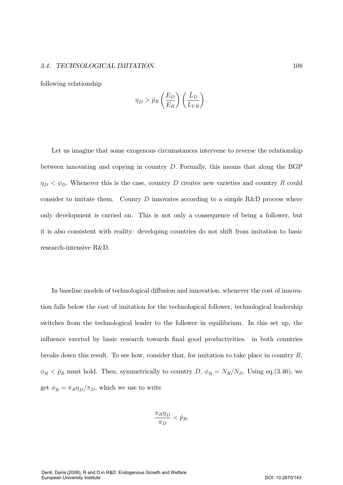### 3.4. TECHNOLOGICAL IMITATION. 108

following relationship

European University Institute

$$
\eta_D > \hat{p}_R \left(\frac{E_D}{E_R}\right) \left(\frac{\bar{L}_D}{L_{YR}}\right).
$$

Let us imagine that some exogenous circumstances intervene to reverse the relationship between innovating and copying in country  $D$ . Formally, this means that along the BGP  $\eta_D < \phi_D$ . Whenever this is the case, country D creates new varieties and country R could consider to imitate them. County  $D$  innovates according to a simple R&D process where only development is carried on. This is not only a consequence of being a follower, but it is also consistent with reality: developing countries do not shift from imitation to basic research-intensive R&D.

In baseline models of technological diffusion and innovation, whenever the cost of innovation falls below the cost of imitation for the technological follower, technological leadership switches from the technological leader to the follower in equilibrium. In this set up, the influence exerted by basic research towards final good productivities. in both countries breaks down this result. To see how, consider that, for imitation to take place in country  $R$ ,  $\phi_R < \hat{p}_R$  must hold. Then, symmetrically to country D,  $\phi_R = N_R/N_D$ . Using eq.(3.46), we get  $\phi_R = \pi_R \eta_D / \pi_D$ , which we use to write

$$
\frac{\pi_R \eta_D}{\pi_D} < \hat{p}_R.
$$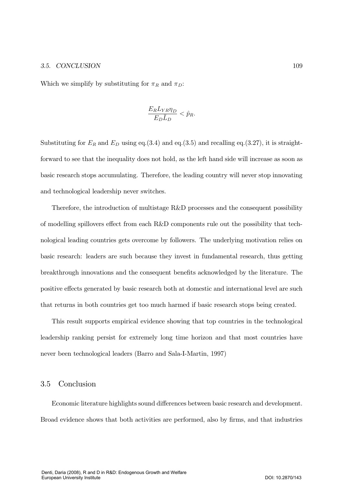#### 3.5. CONCL USION 109

Which we simplify by substituting for  $\pi_R$  and  $\pi_D$ :

$$
\frac{E_R L_{YR} \eta_D}{E_D \bar{L}_D} < \hat{p}_R.
$$

Substituting for  $E_R$  and  $E_D$  using eq.(3.4) and eq.(3.5) and recalling eq.(3.27), it is straightforward to see that the inequality does not hold, as the left hand side will increase as soon as basic research stops accumulating. Therefore, the leading country will never stop innovating and technological leadership never switches.

Therefore, the introduction of multistage  $R&D$  processes and the consequent possibility of modelling spillovers effect from each  $R\&D$  components rule out the possibility that technological leading countries gets overcome by followers. The underlying motivation relies on basic research: leaders are such because they invest in fundamental research, thus getting breakthrough innovations and the consequent benefits acknowledged by the literature. The positive effects generated by basic research both at domestic and international level are such that returns in both countries get too much harmed if basic research stops being created.

This result supports empirical evidence showing that top countries in the technological leadership ranking persist for extremely long time horizon and that most countries have never been technological leaders (Barro and Sala-I-Martin, 1997)

### 3.5 Conclusion

Economic literature highlights sound differences between basic research and development. Broad evidence shows that both activities are performed, also by firms, and that industries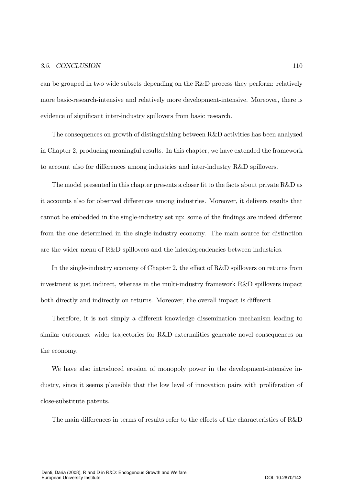#### 3.5. CONCL  $USION$  110

can be grouped in two wide subsets depending on the  $R\&D$  process they perform: relatively more basic-research-intensive and relatively more development-intensive. Moreover, there is evidence of significant inter-industry spillovers from basic research.

The consequences on growth of distinguishing between  $R\&D$  activities has been analyzed in Chapter 2, producing meaningful results. In this chapter, we have extended the framework to account also for differences among industries and inter-industry  $R&D$  spillovers.

The model presented in this chapter presents a closer fit to the facts about private  $R\&D$  as it accounts also for observed differences among industries. Moreover, it delivers results that cannot be embedded in the single-industry set up: some of the findings are indeed different from the one determined in the single-industry economy. The main source for distinction are the wider menu of  $R\&D$  spillovers and the interdependencies between industries.

In the single-industry economy of Chapter 2, the effect of  $R&D$  spillovers on returns from investment is just indirect, whereas in the multi-industry framework R&D spillovers impact both directly and indirectly on returns. Moreover, the overall impact is different.

Therefore, it is not simply a different knowledge dissemination mechanism leading to similar outcomes: wider trajectories for R&D externalities generate novel consequences on the economy.

We have also introduced erosion of monopoly power in the development-intensive industry, since it seems plausible that the low level of innovation pairs with proliferation of close-substitute patents.

The main differences in terms of results refer to the effects of the characteristics of R&D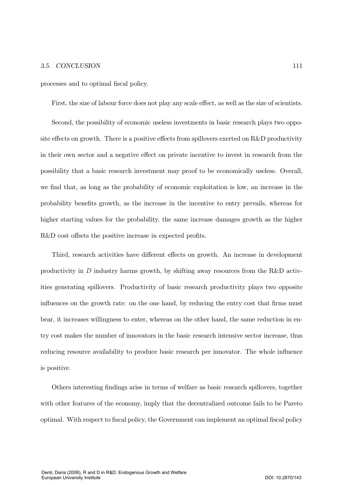#### 3.5. CONCL  $USION$  111

processes and to optimal fiscal policy.

First, the size of labour force does not play any scale effect, as well as the size of scientists.

Second, the possibility of economic useless investments in basic research plays two opposite effects on growth. There is a positive effects from spillovers exerted on  $R\&D$  productivity in their own sector and a negative effect on private incentive to invest in research from the possibility that a basic research investment may proof to be economically useless. Overall, we find that, as long as the probability of economic exploitation is low, an increase in the probability benefits growth, as the increase in the incentive to entry prevails, whereas for higher starting values for the probability, the same increase damages growth as the higher  $R&D$  cost offsets the positive increase in expected profits.

Third, research activities have different effects on growth. An increase in development productivity in  $D$  industry harms growth, by shifting away resources from the R&D activities generating spillovers. Productivity of basic research productivity plays two opposite influences on the growth rate: on the one hand, by reducing the entry cost that firms must bear, it increases willingness to enter, whereas on the other hand, the same reduction in entry cost makes the number of innovators in the basic research intensive sector increase, thus reducing resource availability to produce basic research per innovator. The whole influence is positive.

Others interesting findings arise in terms of welfare as basic research spillovers, together with other features of the economy, imply that the decentralized outcome fails to be Pareto optimal. With respect to fiscal policy, the Government can implement an optimal fiscal policy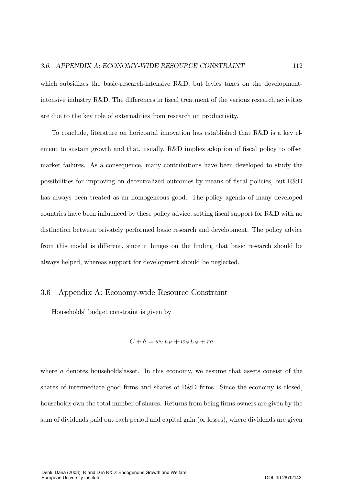which subsidizes the basic-research-intensive R&D, but levies taxes on the developmentintensive industry R&D. The differences in fiscal treatment of the various research activities are due to the key role of externalities from research on productivity.

To conclude, literature on horizontal innovation has established that R&D is a key element to sustain growth and that, usually, R&D implies adoption of fiscal policy to offset market failures. As a consequence, many contributions have been developed to study the possibilities for improving on decentralized outcomes by means of fiscal policies, but R&D has always been treated as an homogeneous good. The policy agenda of many developed countries have been influenced by these policy advice, setting fiscal support for R&D with no distinction between privately performed basic research and development. The policy advice from this model is different, since it hinges on the finding that basic research should be always helped, whereas support for development should be neglected.

# 3.6 Appendix A: Economy-wide Resource Constraint

Households' budget constraint is given by

$$
C + \dot{a} = w_Y L_Y + w_N L_N + ra
$$

where  $\alpha$  denotes households'asset. In this economy, we assume that assets consist of the shares of intermediate good firms and shares of R&D firms. Since the economy is closed, households own the total number of shares. Returns from being firms owners are given by the sum of dividends paid out each period and capital gain (or losses), where dividends are given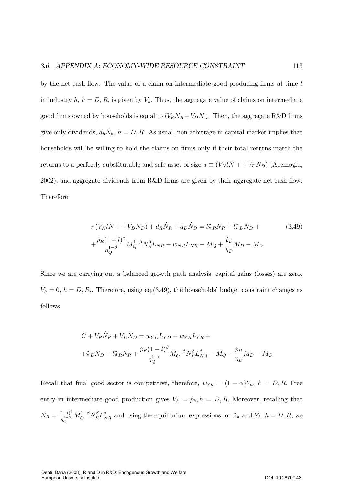by the net cash flow. The value of a claim on intermediate good producing firms at time  $t$ in industry  $h, h = D, R$ , is given by  $V_h$ . Thus, the aggregate value of claims on intermediate good firms owned by households is equal to  $lV_RN_R + V_DN_D$ . Then, the aggregate R&D firms give only dividends,  $d_h \dot{N}_h$ ,  $h = D, R$ . As usual, non arbitrage in capital market implies that households will be willing to hold the claims on firms only if their total returns match the returns to a perfectly substitutable and safe asset of size  $a \equiv (V_N l N + + V_D N_D)$  (Acemoglu,  $2002$ ), and aggregate dividends from R&D firms are given by their aggregate net cash flow. **Therefore** 

$$
r(V_N lN + +V_D N_D) + d_R \dot{N}_R + d_D \dot{N}_D = l \tilde{\pi}_R N_R + l \tilde{\pi}_D N_D +
$$
  
 
$$
+ \frac{\hat{p}_R (1 - l)^{\beta}}{\eta_Q^{1 - \beta}} M_Q^{1 - \beta} N_R^{\beta} L_{NR} - w_{NR} L_{NR} - M_Q + \frac{\hat{p}_D}{\eta_D} M_D - M_D
$$
 (3.49)

Since we are carrying out a balanced growth path analysis, capital gains (losses) are zero,  $\dot{V}_h = 0, h = D, R,$ . Therefore, using eq.(3.49), the households' budget constraint changes as follows

$$
C + V_R \dot{N}_R + V_D \dot{N}_D = w_{YD} L_{YD} + w_{YR} L_{YR} +
$$
  
+ $\tilde{\pi}_D N_D + l \tilde{\pi}_R N_R + \frac{\hat{p}_R (1 - l)^{\beta}}{\eta_Q^{1 - \beta}} M_Q^{1 - \beta} N_R^{\beta} L_{NR}^{\beta} - M_Q + \frac{\hat{p}_D}{\eta_D} M_D - M_D$ 

Recall that final good sector is competitive, therefore,  $w_{Yh} = (1 - \alpha)Y_h$ ,  $h = D, R$ . Free entry in intermediate good production gives  $V_h = \hat{p}_h, h = D, R$ . Moreover, recalling that  $\dot{N}_R = \frac{(1 - l)^{\beta}}{n^{1 - \beta}}$  $\frac{(1-l)^{\beta}}{n_Q^{1-\beta}}M_Q^{1-\beta}N_R^{\beta}L_{NR}^{\beta}$  and using the equilibrium expressions for  $\tilde{\pi}_h$  and  $Y_h$ ,  $h=D, R$ , we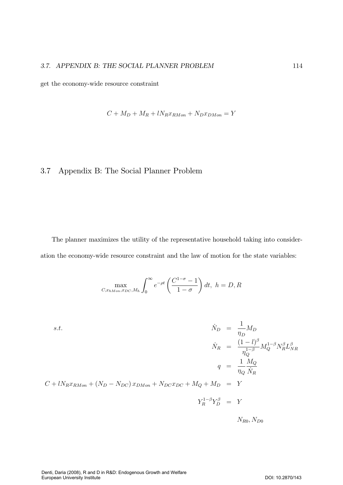get the economy-wide resource constraint

$$
C + M_D + M_R + lN_R x_{RMon} + N_D x_{DMon} = Y
$$

# 3.7 Appendix B: The Social Planner Problem

The planner maximizes the utility of the representative household taking into consideration the economy-wide resource constraint and the law of motion for the state variables:

$$
\max_{C,x_{hMon},x_{DC},M_h} \int_0^\infty e^{-\rho t} \left(\frac{C^{1-\sigma}-1}{1-\sigma}\right) dt, \ h = D, R
$$

$$
\dot{N}_D = \frac{1}{\eta_D} M_D
$$
\n
$$
\dot{N}_R = \frac{(1-l)^{\beta}}{\eta_Q^{1-\beta}} M_Q^{1-\beta} N_R^{\beta} L_{NR}^{\beta}
$$
\n
$$
q = \frac{1}{\eta_Q} \frac{M_Q}{\dot{N}_R}
$$
\n
$$
C + l N_R x_{RMon} + (N_D - N_{DC}) x_{DMon} + N_{DC} x_{DC} + M_Q + M_D = Y
$$
\n
$$
Y_R^{1-\beta} Y_D^{\beta} = Y
$$

 $N_{R0}, N_{D0}$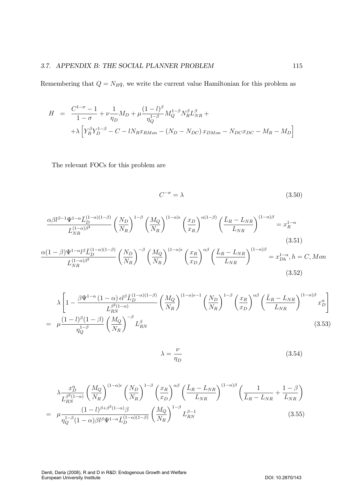Remembering that  $Q = N_R q$ , we write the current value Hamiltonian for this problem as

$$
H = \frac{C^{1-\sigma} - 1}{1 - \sigma} + \nu \frac{1}{\eta_D} M_D + \mu \frac{(1 - l)^{\beta}}{\eta_Q^{1-\beta}} M_Q^{1-\beta} N_R^{\beta} L_{NR}^{\beta} +
$$
  
+  $\lambda \left[ Y_R^{\beta} Y_D^{1-\beta} - C - l N_R x_{RMon} - (N_D - N_{DC}) x_{DMon} - N_{DC} x_{DC} - M_R - M_D \right]$ 

The relevant FOCs for this problem are

$$
C^{-\sigma} = \lambda \tag{3.50}
$$

$$
\frac{\alpha\beta l^{\beta-1}\Psi^{1-\alpha}\bar{L}_{D}^{(1-\alpha)(1-\beta)}}{L_{NR}^{(1-\alpha)\beta^{2}}}\left(\frac{N_{D}}{N_{R}}\right)^{1-\beta}\left(\frac{M_{Q}}{N_{R}}\right)^{(1-\alpha)\epsilon}\left(\frac{x_{D}}{x_{R}}\right)^{\alpha(1-\beta)}\left(\frac{\bar{L}_{R}-L_{NR}}{L_{NR}}\right)^{(1-\alpha)\beta} = x_{R}^{1-\alpha}
$$
\n
$$
\frac{\alpha(1-\beta)\Psi^{1-\alpha}l^{\beta}\bar{L}_{D}^{(1-\alpha)(1-\beta)}}{L_{NR}^{(1-\alpha)\beta^{2}}}\left(\frac{N_{D}}{N_{R}}\right)^{-\beta}\left(\frac{M_{Q}}{N_{R}}\right)^{(1-\alpha)\epsilon}\left(\frac{x_{R}}{x_{D}}\right)^{\alpha\beta}\left(\frac{\bar{L}_{R}-L_{NR}}{L_{NR}}\right)^{(1-\alpha)\beta} = x_{D_{h}}^{1-\alpha}, h = C, Mon
$$
\n(3.52)

$$
\lambda \left[ 1 - \frac{\beta \Psi^{1-\alpha} (1-\alpha) \epsilon l^{\beta} \bar{L}_{D}^{(1-\alpha)(1-\beta)}}{L_{RN}^{\beta^2 (1-\alpha)}} \left( \frac{M_Q}{N_R} \right)^{(1-\alpha)\epsilon - 1} \left( \frac{N_D}{N_R} \right)^{1-\beta} \left( \frac{x_R}{x_D} \right)^{\alpha \beta} \left( \frac{\bar{L}_R - L_{NR}}{L_{NR}} \right)^{(1-\alpha)\beta} x_D^{\alpha} \right]
$$
  
=  $\mu \frac{(1-l)^{\beta} (1-\beta)}{\eta_Q^{1-\beta}} \left( \frac{M_Q}{N_R} \right)^{-\beta} L_{RN}^{\beta}$  (3.53)

$$
\lambda = \frac{\nu}{\eta_D} \tag{3.54}
$$

$$
\lambda \frac{x_D^{\alpha}}{L_{RN}^{\beta^2(1-\alpha)}} \left(\frac{M_Q}{N_R}\right)^{(1-\alpha)\epsilon} \left(\frac{N_D}{N_R}\right)^{1-\beta} \left(\frac{x_R}{x_D}\right)^{\alpha\beta} \left(\frac{\bar{L}_R - L_{NR}}{L_{NR}}\right)^{(1-\alpha)\beta} \left(\frac{1}{\bar{L}_R - L_{NR}} + \frac{1-\beta}{L_{NR}}\right)
$$
\n
$$
= \mu \frac{(1-l)^{\beta+\beta^2(1-\alpha)}\beta}{\eta_Q^{1-\beta}(1-\alpha)\beta l^{\beta} \Psi^{1-\alpha} \bar{L}_D^{(1-\alpha)(1-\beta)}} \left(\frac{M_Q}{N_R}\right)^{1-\beta} L_{RN}^{\beta-1}
$$
\n(3.55)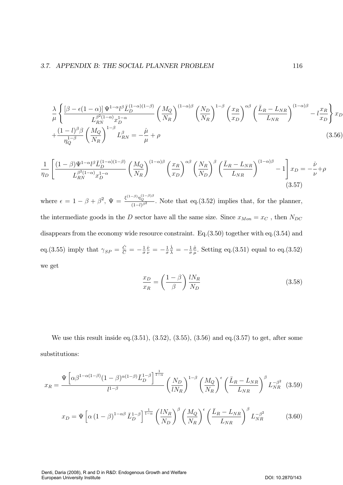$$
\frac{\lambda}{\mu} \left\{ \frac{\left[\beta - \epsilon(1-\alpha)\right] \Psi^{1-\alpha} l^{\beta} \bar{L}_{D}^{(1-\alpha)(1-\beta)}}{L_{RN}^{\beta^2(1-\alpha)} x_{D}^{1-\alpha}} \left(\frac{M_Q}{N_R}\right)^{(1-\alpha)\beta} \left(\frac{N_D}{N_R}\right)^{1-\beta} \left(\frac{x_R}{x_D}\right)^{\alpha\beta} \left(\frac{\bar{L}_R - L_{NR}}{L_{NR}}\right)^{(1-\alpha)\beta} - l \frac{x_R}{x_D} \right\} x_D + \frac{(1-l)^{\beta \beta}}{\eta_Q^{1-\beta}} \left(\frac{M_Q}{N_R}\right)^{1-\beta} L_{RN}^{\beta} = -\frac{\mu}{\mu} + \rho \tag{3.56}
$$

$$
\frac{1}{\eta_D} \left[ \frac{(1-\beta)\Psi^{1-\alpha}l^{\beta}\bar{L}_{D}^{(1-\alpha)(1-\beta)}}{L_{RN}^{\beta^2(1-\alpha)}x_D^{1-\alpha}} \left(\frac{M_Q}{N_R}\right)^{(1-\alpha)\beta} \left(\frac{x_R}{x_D}\right)^{\alpha\beta} \left(\frac{N_R}{N_D}\right)^{\beta} \left(\frac{\bar{L}_R - L_{NR}}{L_{NR}}\right)^{(1-\alpha)\beta} - 1 \right] x_D = -\frac{\dot{\nu}}{\nu} + \rho
$$
\n(3.57)

where  $\epsilon = 1 - \beta + \beta^2$ ,  $\Psi = \frac{\xi^{(1-\beta)} \eta_Q^{(1-\beta)\beta}}{(1-l)^{\beta^2}}$  $\frac{q_Q}{(1-l)^{\beta^2}}$ . Note that eq.(3.52) implies that, for the planner, the intermediate goods in the D sector have all the same size. Since  $x_{Mon} = x_C$ , then  $N_{DC}$ disappears from the economy wide resource constraint. Eq.  $(3.50)$  together with eq.  $(3.54)$  and eq.(3.55) imply that  $\gamma_{SP} = \frac{\dot{C}}{C} = -\frac{1}{\sigma}$  $\frac{\dot{\nu}}{\nu} = -\frac{1}{\sigma}$  $\frac{\dot{\lambda}}{\lambda} = -\frac{1}{\sigma}$  $\frac{\dot{\mu}}{\mu}$ . Setting eq.(3.51) equal to eq.(3.52) we get

$$
\frac{x_D}{x_R} = \left(\frac{1-\beta}{\beta}\right) \frac{lN_R}{N_D} \tag{3.58}
$$

We use this result inside eq.  $(3.51)$ ,  $(3.52)$ ,  $(3.55)$ ,  $(3.56)$  and eq.  $(3.57)$  to get, after some substitutions:

$$
x_R = \frac{\Psi \left[ \alpha \beta^{1-\alpha(1-\beta)} (1-\beta)^{\alpha(1-\beta)} \bar{L}_D^{1-\beta} \right]^{\frac{1}{1-\alpha}}}{l^{1-\beta}} \left( \frac{N_D}{l N_R} \right)^{1-\beta} \left( \frac{M_Q}{N_R} \right)^{\epsilon} \left( \frac{\bar{L}_R - L_{NR}}{L_{NR}} \right)^{\beta} L_{NR}^{-\beta^2} \tag{3.59}
$$

$$
x_D = \Psi \left[ \alpha \left( 1 - \beta \right)^{1 - \alpha \beta} \bar{L}_D^{1 - \beta} \right]^{\frac{1}{1 - \alpha}} \left( \frac{l N_R}{N_D} \right)^{\beta} \left( \frac{M_Q}{N_R} \right)^{\epsilon} \left( \frac{\bar{L}_R - L_{NR}}{L_{NR}} \right)^{\beta} L_{NR}^{-\beta^2}
$$
(3.60)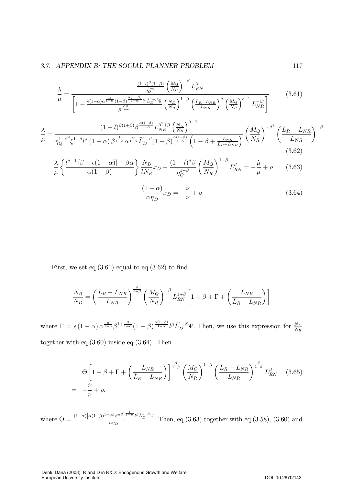$$
\frac{\lambda}{\mu} = \frac{\frac{(1-l)^{\beta}(1-\beta)}{\eta_Q^{1-\beta}} \left(\frac{M_Q}{N_R}\right)^{-\beta} L_{RN}^{\beta}}{\left[1 - \frac{\epsilon(1-\alpha)\alpha^{\frac{\alpha}{1-\alpha}}(1-\beta)^{\frac{\alpha(1-\beta)}{1-\alpha}}l^{\beta}\bar{L}_D^{1-\beta}\Psi}{\beta^{\frac{\alpha\beta}{1-\alpha}}}\left(\frac{N_D}{N_R}\right)^{1-\beta} \left(\frac{\bar{L}_R - L_{NR}}{L_{NR}}\right)^{\beta} \left(\frac{M_Q}{N_R}\right)^{\epsilon-1} L_{NR}^{-\beta^2}\right]} \tag{3.61}
$$

$$
\frac{\lambda}{\mu} = \frac{(1-l)^{\beta(1+\beta)}\beta^{\frac{\alpha(1-\beta)}{1-\alpha}}L_{NR}^{\beta+\beta}\left(\frac{N_D}{N_R}\right)^{\beta-1}}{\eta_Q^{1-\beta^2}\xi^{1-\beta}l^{\beta}\left(1-\alpha\right)\beta^{\frac{1}{1-\alpha}}\alpha^{\frac{\alpha}{1-\alpha}}\bar{L}_D^{1-\beta}(1-\beta)^{\frac{\alpha(1-\beta)}{1-\alpha}}\left(1-\beta+\frac{L_{NR}}{\bar{L}_R-L_{NR}}\right)}\left(\frac{M_Q}{N_R}\right)^{-\beta^2}\left(\frac{\bar{L}_R-L_{NR}}{L_{NR}}\right)^{-\beta}
$$
\n(3.62)

$$
\frac{\lambda}{\mu} \left\{ \frac{l^{\beta - 1} \left[ \beta - \epsilon (1 - \alpha) \right] - \beta \alpha}{\alpha (1 - \beta)} \right\} \frac{N_D}{l N_R} x_D + \frac{(1 - l)^{\beta \beta}}{\eta_Q^{1 - \beta}} \left( \frac{M_Q}{N_R} \right)^{1 - \beta} L_{RN}^{\beta} = -\frac{\mu}{\mu} + \rho \qquad (3.63)
$$

$$
\frac{(1 - \alpha)}{\alpha \eta_D} x_D = -\frac{\nu}{\nu} + \rho \qquad (3.64)
$$

First, we set eq. $(3.61)$  equal to eq. $(3.62)$  to find

$$
\frac{N_R}{N_D} = \left(\frac{\bar{L}_R - L_{NR}}{L_{NR}}\right)^{\frac{\beta}{1-\beta}} \left(\frac{M_Q}{N_R}\right)^{-\beta} L_{RN}^{1+\beta} \left[1 - \beta + \Gamma + \left(\frac{L_{NR}}{\bar{L}_R - L_{NR}}\right)\right]
$$

where  $\Gamma = \epsilon (1 - \alpha) \alpha^{\frac{\alpha}{1 - \alpha}} \beta^{1 + \frac{\beta}{1 - \alpha}} (1 - \beta)^{\frac{\alpha (1 - \beta)}{1 - \alpha}} l^{\beta} \overline{L}_{D}^{1 - \beta} \Psi$ . Then, we use this expression for  $\frac{N_{D}}{N_{R}}$ together with eq. $(3.60)$  inside eq. $(3.64)$ . Then

$$
\Theta \left[ 1 - \beta + \Gamma + \left( \frac{L_{NR}}{\bar{L}_R - L_{NR}} \right) \right]^{-\frac{\beta}{1-\beta}} \left( \frac{M_Q}{N_R} \right)^{1-\beta} \left( \frac{\bar{L}_R - L_{NR}}{L_{NR}} \right)^{\frac{\beta}{1-\beta}} L_{RN}^{\beta} \tag{3.65}
$$
\n
$$
= -\frac{\dot{\nu}}{\nu} + \rho.
$$

where  $\Theta = \frac{(1-\alpha)\left[\alpha(1-\beta)^{1-\alpha\beta}\beta^{\alpha\beta}\right]^{\frac{1}{1-\alpha}}l^{\beta}\bar{L}_{D}^{1-\beta}\Psi}{\alpha n_{D}}$  $\frac{\rho}{\alpha\eta_D}$   $\frac{1}{\alpha}$   $\frac{1}{\alpha}$ . Then, eq.(3.63) together with eq.(3.58), (3.60) and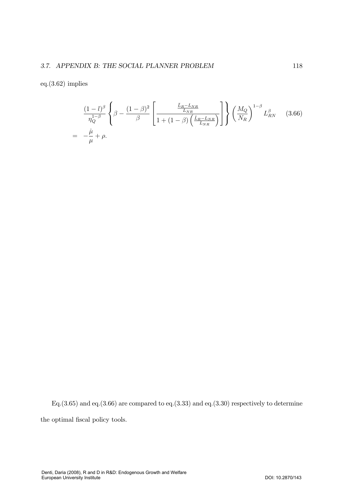$eq.(3.62)$  implies

$$
\frac{(1-l)^{\beta}}{\eta_Q^{1-\beta}} \left\{\beta - \frac{(1-\beta)^2}{\beta} \left[\frac{\frac{\bar{L}_R - L_{NR}}{L_{NR}}}{1 + (1-\beta) \left(\frac{\bar{L}_R - L_{NR}}{L_{NR}}\right)}\right]\right\} \left(\frac{M_Q}{N_R}\right)^{1-\beta} L_{RN}^{\beta} \qquad (3.66)
$$
\n
$$
= -\frac{\dot{\mu}}{\mu} + \rho.
$$

Eq.  $(3.65)$  and eq.  $(3.66)$  are compared to eq.  $(3.33)$  and eq.  $(3.30)$  respectively to determine the optimal fiscal policy tools.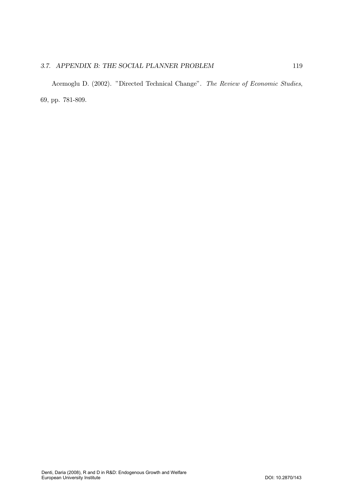#### 3.7. APPENDIX B: THE SOCIAL PLANNER PROBLEM 119

Acemoglu D. (2002). "Directed Technical Change". The Review of Economic Studies, 69, pp. 781-809.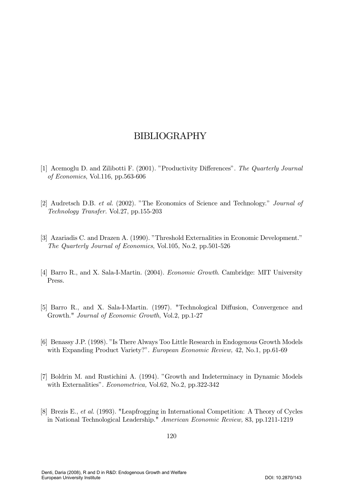- [1] Acemoglu D. and Zilibotti F. (2001). "Productivity Differences". The Quarterly Journal of Economics, Vol.116, pp.563-606
- [2] Audretsch D.B. *et al.* (2002). "The Economics of Science and Technology." *Journal of* Technology Transfer. Vol.27, pp.155-203
- [3] Azariadis C. and Drazen A. (1990). "Threshold Externalities in Economic Development." The Quarterly Journal of Economics, Vol.105, No.2, pp.501-526
- [4] Barro R., and X. Sala-I-Martin. (2004). *Economic Growth*. Cambridge: MIT University Press.
- [5] Barro R., and X. Sala-I-Martin. (1997). "Technological Diffusion, Convergence and Growth." Journal of Economic Growth, Vol.2, pp.1-27
- [6] Benassy J.P. (1998). "Is There Always Too Little Research in Endogenous Growth Models with Expanding Product Variety?". *European Economic Review*, 42, No.1, pp.61-69
- [7] Boldrin M. and Rustichini A. (1994). "Growth and Indeterminacy in Dynamic Models with Externalities". *Econometrica*, Vol.62, No.2, pp.322-342
- [8] Brezis E., *et al.* (1993). "Leapfrogging in International Competition: A Theory of Cycles in National Technological Leadership." American Economic Review, 83, pp.1211-1219

120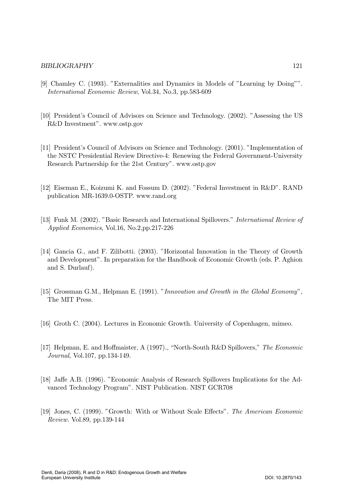- [9] Chamley C. (1993). "Externalities and Dynamics in Models of "Learning by Doing"". International Economic Review, Vol.34, No.3, pp.583-609
- [10] President's Council of Advisors on Science and Technology. (2002). "Assessing the US R&D Investment". www.ostp.gov
- [11] President's Council of Advisors on Science and Technology. (2001). "Implementation of the NSTC Presidential Review Directive-4: Renewing the Federal Government-University Research Partnership for the 21st Century". www.ostp.gov
- [12] Eiseman E., Koizumi K. and Fossum D.  $(2002)$ . "Federal Investment in R&D". RAND publication MR-1639.0-OSTP. www.rand.org
- [13] Funk M. (2002). "Basic Research and International Spillovers." *International Review of* Applied Economics, Vol.16, No.2,pp.217-226
- [14] Gancia G., and F. Zilibotti. (2003). "Horizontal Innovation in the Theory of Growth and Development". In preparation for the Handbook of Economic Growth (eds. P. Aghion and S. Durlauf).
- [15] Grossman G.M., Helpman E.  $(1991)$ . "Innovation and Growth in the Global Economy", The MIT Press.
- [16] Groth C. (2004). Lectures in Economic Growth. University of Copenhagen, mimeo.
- [17] Helpman, E. and Hoffmaister, A (1997)., "North-South R&D Spillovers," The Economic Journal, Vol.107, pp.134-149.
- [18] Jaffe A.B. (1996). "Economic Analysis of Research Spillovers Implications for the Advanced Technology Program". NIST Publication. NIST GCR708
- [19] Jones, C. (1999). "Growth: With or Without Scale Effects". The American Economic Review. Vol.89, pp.139-144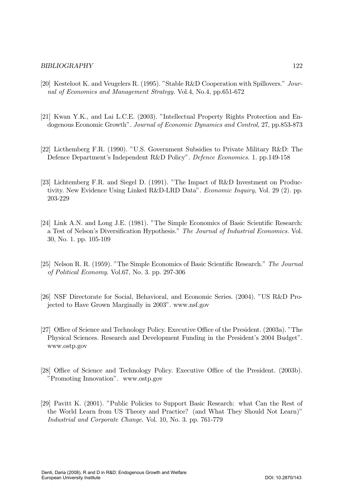- [20] Kesteloot K. and Veugelers R.  $(1995)$ . "Stable R&D Cooperation with Spillovers." Journal of Economics and Management Strategy. Vol.4, No.4, pp.651-672
- [21] Kwan Y.K., and Lai L.C.E. (2003). "Intellectual Property Rights Protection and Endogenous Economic Growth". Journal of Economic Dynamics and Control, 27, pp.853-873
- [22] Licthemberg F.R. (1990). "U.S. Government Subsidies to Private Military R&D: The Defence Department's Independent R&D Policy". *Defence Economics.* 1. pp.149-158
- [23] Lichtemberg F.R. and Siegel D.  $(1991)$ . "The Impact of R&D Investment on Productivity. New Evidence Using Linked R&D-LRD Data". *Economic Inquiry*, Vol. 29 (2). pp. 203-229
- [24] Link A.N. and Long J.E. (1981). "The Simple Economics of Basic Scientific Research: a Test of Nelson's Diversification Hypothesis." The Journal of Industrial Economics. Vol.  $30$ , No. 1. pp.  $105-109$
- [25] Nelson R. R. (1959). "The Simple Economics of Basic Scientific Research." The Journal of Political Economy. Vol.67, No. 3. pp. 297-306
- [26] NSF Directorate for Social, Behavioral, and Economic Series. (2004). "US R&D Projected to Have Grown Marginally in 2003". www.nsf.gov
- [27] Office of Science and Technology Policy. Executive Office of the President. (2003a). "The Physical Sciences. Research and Development Funding in the President's 2004 Budget". www.ostp.gov
- [28] Office of Science and Technology Policy. Executive Office of the President. (2003b). "Promoting Innovation". www.ostp.gov
- [29] Pavitt K. (2001). "Public Policies to Support Basic Research: what Can the Rest of the World Learn from US Theory and Practice? (and What They Should Not Learn)" Industrial and Corporate Change. Vol. 10, No. 3. pp. 761-779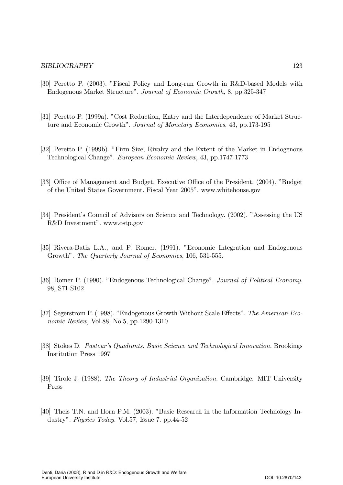- [30] Peretto P. (2003). "Fiscal Policy and Long-run Growth in R&D-based Models with Endogenous Market Structure". Journal of Economic Growth, 8, pp.325-347
- [31] Peretto P. (1999a). "Cost Reduction, Entry and the Interdependence of Market Structure and Economic Growth". Journal of Monetary Economics, 43, pp.173-195
- [32] Peretto P. (1999b). "Firm Size, Rivalry and the Extent of the Market in Endogenous Technological Change". European Economic Review, 43, pp.1747-1773
- [33] Office of Management and Budget. Executive Office of the President. (2004). "Budget of the United States Government. Fiscal Year 2005". www.whitehouse.gov
- [34] President's Council of Advisors on Science and Technology. (2002). "Assessing the US R&D Investment". www.ostp.gov
- [35] Rivera-Batiz L.A., and P. Romer. (1991). "Economic Integration and Endogenous Growth". The Quarterly Journal of Economics, 106, 531-555.
- [36] Romer P. (1990). "Endogenous Technological Change". Journal of Political Economy. 98, S71-S102
- [37] Segerstrom P. (1998). "Endogenous Growth Without Scale Effects". The American Economic Review, Vol.88, No.5, pp.1290-1310
- [38] Stokes D. Pasteur's Quadrants. Basic Science and Technological Innovation. Brookings Institution Press 1997
- [39] Tirole J. (1988). The Theory of Industrial Organization. Cambridge: MIT University Press
- [40] Theis T.N. and Horn P.M. (2003). "Basic Research in the Information Technology Industry". Physics Today. Vol.57, Issue 7. pp.44-52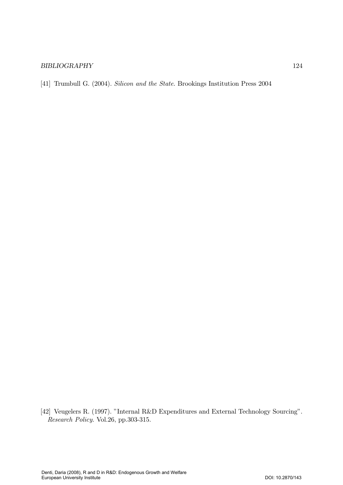[41] Trumbull G. (2004). Silicon and the State. Brookings Institution Press 2004

[42] Veugelers R. (1997). "Internal R&D Expenditures and External Technology Sourcing". Research Policy. Vol.26, pp.303-315.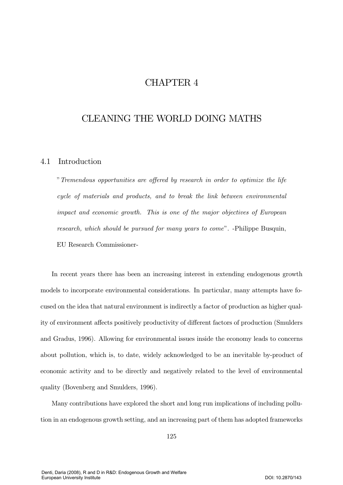# CHAPTER 4

# CLEANING THE WORLD DOING MATHS

# 4.1 Introduction

" Tremendous opportunities are offered by research in order to optimize the life cycle of materials and products, and to break the link between environmental impact and economic growth. This is one of the major objectives of European research, which should be pursued for many years to come". -Philippe Busquin, EU Research Commissioner-

In recent years there has been an increasing interest in extending endogenous growth models to incorporate environmental considerations. In particular, many attempts have focused on the idea that natural environment is indirectly a factor of production as higher quality of environment affects positively productivity of different factors of production (Smulders and Gradus, 1996). Allowing for environmental issues inside the economy leads to concerns about pollution, which is, to date, widely acknowledged to be an inevitable by-product of economic activity and to be directly and negatively related to the level of environmental quality (Bovenberg and Smulders, 1996).

Many contributions have explored the short and long run implications of including pollution in an endogenous growth setting, and an increasing part of them has adopted frameworks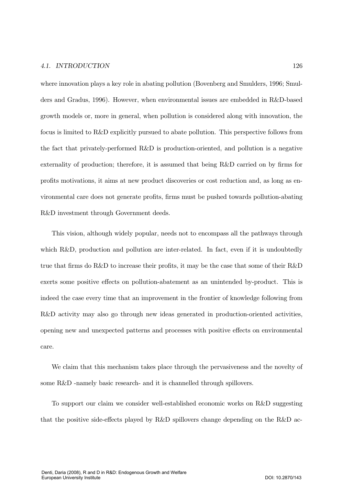#### 4.1. INTRODUCTION  $TION$  126

where innovation plays a key role in abating pollution (Bovenberg and Smulders, 1996; Smulders and Gradus, 1996). However, when environmental issues are embedded in R&D-based growth models or, more in general, when pollution is considered along with innovation, the focus is limited to  $R\&D$  explicitly pursued to abate pollution. This perspective follows from the fact that privately-performed R&D is production-oriented, and pollution is a negative externality of production; therefore, it is assumed that being  $R\&D$  carried on by firms for profits motivations, it aims at new product discoveries or cost reduction and, as long as environmental care does not generate profits, firms must be pushed towards pollution-abating R&D investment through Government deeds.

This vision, although widely popular, needs not to encompass all the pathways through which R&D, production and pollution are inter-related. In fact, even if it is undoubtedly true that firms do R&D to increase their profits, it may be the case that some of their R&D exerts some positive effects on pollution-abatement as an unintended by-product. This is indeed the case every time that an improvement in the frontier of knowledge following from R&D activity may also go through new ideas generated in production-oriented activities, opening new and unexpected patterns and processes with positive effects on environmental care.

We claim that this mechanism takes place through the pervasiveness and the novelty of some  $R&D$  -namely basic research- and it is channelled through spillovers.

To support our claim we consider well-established economic works on R&D suggesting that the positive side-effects played by R&D spillovers change depending on the R&D ac-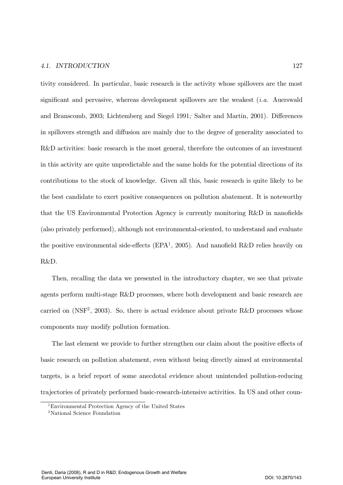tivity considered. In particular, basic research is the activity whose spillovers are the most significant and pervasive, whereas development spillovers are the weakest *(i.a.* Auerswald and Branscomb, 2003; Lichtemberg and Siegel 1991; Salter and Martin, 2001). Differences in spillovers strength and diffusion are mainly due to the degree of generality associated to R&D activities: basic research is the most general, therefore the outcomes of an investment in this activity are quite unpredictable and the same holds for the potential directions of its contributions to the stock of knowledge. Given all this, basic research is quite likely to be the best candidate to exert positive consequences on pollution abatement. It is noteworthy that the US Environmental Protection Agency is currently monitoring R&D in nanofields (also privately performed), although not environmental-oriented, to understand and evaluate the positive environmental side-effects (EPA<sup>1</sup>, 2005). And nanofield R&D relies heavily on R&D.

Then, recalling the data we presented in the introductory chapter, we see that private agents perform multi-stage R&D processes, where both development and basic research are carried on (NSF<sup>2</sup>, 2003). So, there is actual evidence about private R&D processes whose components may modify pollution formation.

The last element we provide to further strengthen our claim about the positive effects of basic research on pollution abatement, even without being directly aimed at environmental targets, is a brief report of some anecdotal evidence about unintended pollution-reducing trajectories of privately performed basic-research-intensive activities. In US and other coun-

<sup>&</sup>lt;sup>1</sup>Environmental Protection Agency of the United States

<sup>&</sup>lt;sup>2</sup>National Science Foundation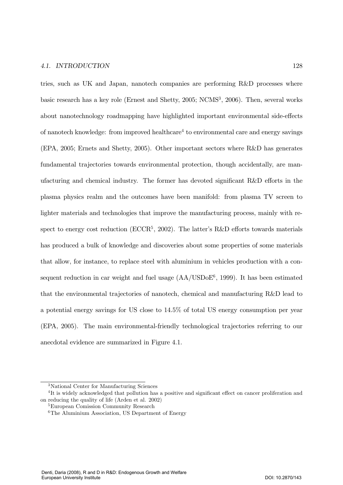#### 4.1. INTRODUCTION  $TION$  128

tries, such as UK and Japan, nanotech companies are performing R&D processes where basic research has a key role (Ernest and Shetty, 2005; NCMS<sup>3</sup>, 2006). Then, several works about nanotechnology roadmapping have highlighted important environmental side-effects of nanotech knowledge: from improved healthcare<sup>4</sup> to environmental care and energy savings (EPA, 2005; Ernets and Shetty, 2005). Other important sectors where R&D has generates fundamental trajectories towards environmental protection, though accidentally, are manufacturing and chemical industry. The former has devoted significant R&D efforts in the plasma physics realm and the outcomes have been manifold: from plasma TV screen to lighter materials and technologies that improve the manufacturing process, mainly with respect to energy cost reduction ( $\text{ECCR}^5$ , 2002). The latter's R&D efforts towards materials has produced a bulk of knowledge and discoveries about some properties of some materials that allow, for instance, to replace steel with aluminium in vehicles production with a consequent reduction in car weight and fuel usage  $(AA/USDoE^6, 1999)$ . It has been estimated that the environmental trajectories of nanotech, chemical and manufacturing R&D lead to a potential energy savings for US close to  $14.5\%$  of total US energy consumption per year (EPA, 2005). The main environmental-friendly technological trajectories referring to our anecdotal evidence are summarized in Figure 4.1.

<sup>&</sup>lt;sup>3</sup>National Center for Manufacturing Sciences

<sup>&</sup>lt;sup>4</sup>It is widely acknowledged that pollution has a positive and significant effect on cancer proliferation and on reducing the quality of life (Arden et al. 2002)

<sup>&</sup>lt;sup>5</sup>European Comission Community Research

 $6$ The Aluminium Association, US Department of Energy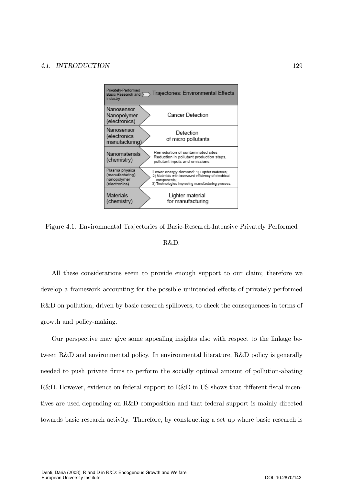

Figure 4.1. Environmental Trajectories of Basic-Research-Intensive Privately Performed R&D.

All these considerations seem to provide enough support to our claim; therefore we develop a framework accounting for the possible unintended effects of privately-performed R&D on pollution, driven by basic research spillovers, to check the consequences in terms of growth and policy-making.

Our perspective may give some appealing insights also with respect to the linkage between R&D and environmental policy. In environmental literature, R&D policy is generally needed to push private firms to perform the socially optimal amount of pollution-abating R&D. However, evidence on federal support to R&D in US shows that different fiscal incentives are used depending on R&D composition and that federal support is mainly directed towards basic research activity. Therefore, by constructing a set up where basic research is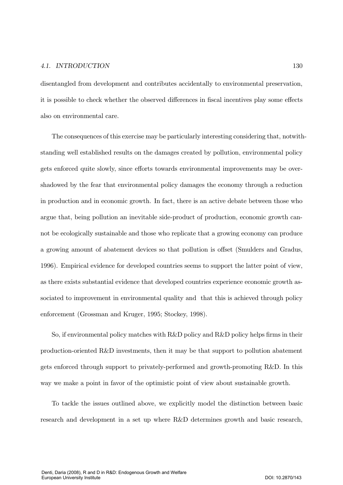disentangled from development and contributes accidentally to environmental preservation. it is possible to check whether the observed differences in fiscal incentives play some effects also on environmental care.

The consequences of this exercise may be particularly interesting considering that, not withstanding well established results on the damages created by pollution, environmental policy gets enforced quite slowly, since efforts towards environmental improvements may be overshadowed by the fear that environmental policy damages the economy through a reduction in production and in economic growth. In fact, there is an active debate between those who argue that, being pollution an inevitable side-product of production, economic growth cannot be ecologically sustainable and those who replicate that a growing economy can produce a growing amount of abatement devices so that pollution is offset (Smulders and Gradus, 1996). Empirical evidence for developed countries seems to support the latter point of view, as there exists substantial evidence that developed countries experience economic growth associated to improvement in environmental quality and that this is achieved through policy enforcement (Grossman and Kruger, 1995; Stockey, 1998).

So, if environmental policy matches with R&D policy and R&D policy helps firms in their production-oriented R&D investments, then it may be that support to pollution abatement gets enforced through support to privately-performed and growth-promoting R&D. In this way we make a point in favor of the optimistic point of view about sustainable growth.

To tackle the issues outlined above, we explicitly model the distinction between basic research and development in a set up where R&D determines growth and basic research,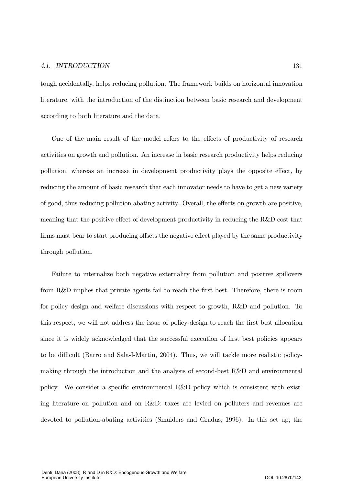tough accidentally, helps reducing pollution. The framework builds on horizontal innovation literature, with the introduction of the distinction between basic research and development according to both literature and the data.

One of the main result of the model refers to the effects of productivity of research activities on growth and pollution. An increase in basic research productivity helps reducing pollution, whereas an increase in development productivity plays the opposite effect, by reducing the amount of basic research that each innovator needs to have to get a new variety of good, thus reducing pollution abating activity. Overall, the effects on growth are positive, meaning that the positive effect of development productivity in reducing the R&D cost that firms must bear to start producing offsets the negative effect played by the same productivity through pollution.

Failure to internalize both negative externality from pollution and positive spillovers from R&D implies that private agents fail to reach the first best. Therefore, there is room for policy design and welfare discussions with respect to growth, R&D and pollution. To this respect, we will not address the issue of policy-design to reach the first best allocation since it is widely acknowledged that the successful execution of first best policies appears to be difficult (Barro and Sala-I-Martin, 2004). Thus, we will tackle more realistic policymaking through the introduction and the analysis of second-best R&D and environmental policy. We consider a specific environmental R&D policy which is consistent with existing literature on pollution and on R&D: taxes are levied on polluters and revenues are devoted to pollution-abating activities (Smulders and Gradus, 1996). In this set up, the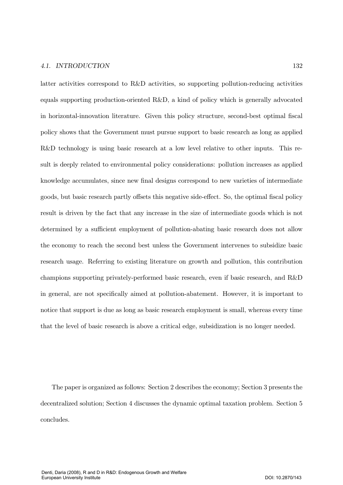#### 4.1. INTRODUCTION  $TION$  132

latter activities correspond to R&D activities, so supporting pollution-reducing activities equals supporting production-oriented  $R\&D$ , a kind of policy which is generally advocated in horizontal-innovation literature. Given this policy structure, second-best optimal fiscal policy shows that the Government must pursue support to basic research as long as applied  $R&D$  technology is using basic research at a low level relative to other inputs. This result is deeply related to environmental policy considerations: pollution increases as applied knowledge accumulates, since new final designs correspond to new varieties of intermediate goods, but basic research partly offsets this negative side-effect. So, the optimal fiscal policy result is driven by the fact that any increase in the size of intermediate goods which is not determined by a sufficient employment of pollution-abating basic research does not allow the economy to reach the second best unless the Government intervenes to subsidize basic research usage. Referring to existing literature on growth and pollution, this contribution champions supporting privately-performed basic research, even if basic research, and R&D in general, are not specifically aimed at pollution-abatement. However, it is important to notice that support is due as long as basic research employment is small, whereas every time that the level of basic research is above a critical edge, subsidization is no longer needed.

The paper is organized as follows: Section 2 describes the economy; Section 3 presents the decentralized solution; Section 4 discusses the dynamic optimal taxation problem. Section 5 concludes.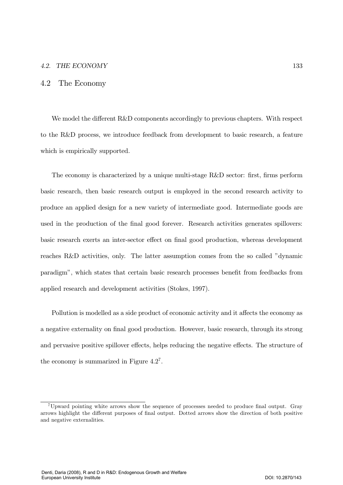#### 4.2 The Economy

We model the different R&D components accordingly to previous chapters. With respect to the R&D process, we introduce feedback from development to basic research, a feature which is empirically supported.

The economy is characterized by a unique multi-stage R&D sector: first, firms perform basic research, then basic research output is employed in the second research activity to produce an applied design for a new variety of intermediate good. Intermediate goods are used in the production of the final good forever. Research activities generates spillovers: basic research exerts an inter-sector effect on final good production, whereas development reaches R&D activities, only. The latter assumption comes from the so called "dynamic paradigm", which states that certain basic research processes benefit from feedbacks from applied research and development activities (Stokes, 1997).

Pollution is modelled as a side product of economic activity and it affects the economy as a negative externality on final good production. However, basic research, through its strong and pervasive positive spillover effects, helps reducing the negative effects. The structure of the economy is summarized in Figure  $4.2^7$ .

<sup>&</sup>lt;sup>7</sup>Upward pointing white arrows show the sequence of processes needed to produce final output. Gray arrows highlight the different purposes of final output. Dotted arrows show the direction of both positive and negative externalities.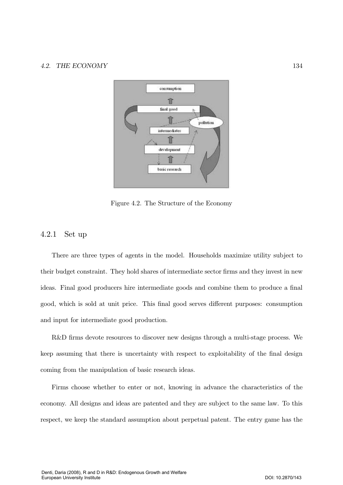

Figure 4.2. The Structure of the Economy

# $4.2.1$  Set up

There are three types of agents in the model. Households maximize utility subject to their budget constraint. They hold shares of intermediate sector firms and they invest in new ideas. Final good producers hire intermediate goods and combine them to produce a final good, which is sold at unit price. This final good serves different purposes: consumption and input for intermediate good production.

R&D firms devote resources to discover new designs through a multi-stage process. We keep assuming that there is uncertainty with respect to exploitability of the final design coming from the manipulation of basic research ideas.

Firms choose whether to enter or not, knowing in advance the characteristics of the economy. All designs and ideas are patented and they are subject to the same law. To this respect, we keep the standard assumption about perpetual patent. The entry game has the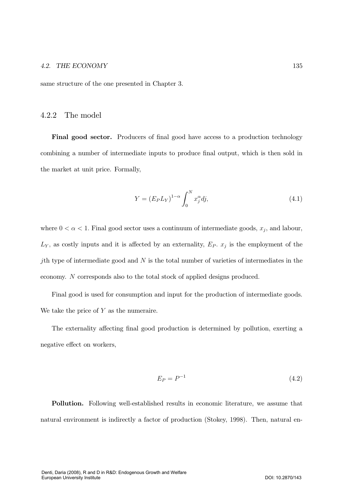same structure of the one presented in Chapter 3.

#### 4.2.2 The model

**Final good sector.** Producers of final good have access to a production technology combining a number of intermediate inputs to produce final output, which is then sold in the market at unit price. Formally,

$$
Y = \left(E_P L_Y\right)^{1-\alpha} \int_0^N x_j^{\alpha} dj,\tag{4.1}
$$

where  $0 < \alpha < 1$ . Final good sector uses a continuum of intermediate goods,  $x_j$ , and labour,  $L_Y$ , as costly inputs and it is affected by an externality,  $E_P$ .  $x_j$  is the employment of the jth type of intermediate good and  $N$  is the total number of varieties of intermediates in the economy. N corresponds also to the total stock of applied designs produced.

Final good is used for consumption and input for the production of intermediate goods. We take the price of  $Y$  as the numeraire.

The externality affecting final good production is determined by pollution, exerting a negative effect on workers,

$$
E_P = P^{-1} \tag{4.2}
$$

**Pollution.** Following well-established results in economic literature, we assume that natural environment is indirectly a factor of production (Stokey, 1998). Then, natural en-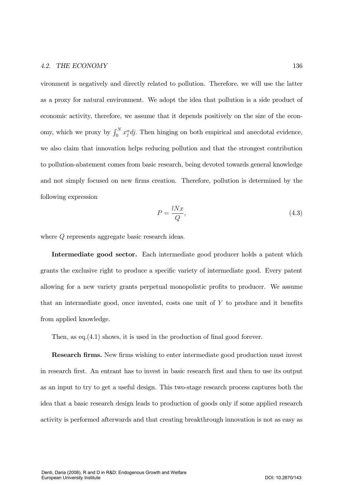vironment is negatively and directly related to pollution. Therefore, we will use the latter as a proxy for natural environment. We adopt the idea that pollution is a side product of economic activity, therefore, we assume that it depends positively on the size of the economy, which we proxy by  $\int_0^N x_j^{\alpha} dj$ . Then hinging on both empirical and anecdotal evidence, we also claim that innovation helps reducing pollution and that the strongest contribution to pollution-abatement comes from basic research, being devoted towards general knowledge and not simply focused on new firms creation. Therefore, pollution is determined by the following expression

$$
P = \frac{lNx}{Q},\tag{4.3}
$$

where  $Q$  represents aggregate basic research ideas.

Intermediate good sector. Each intermediate good producer holds a patent which grants the exclusive right to produce a specific variety of intermediate good. Every patent allowing for a new variety grants perpetual monopolistic profits to producer. We assume that an intermediate good, once invented, costs one unit of  $Y$  to produce and it benefits from applied knowledge.

Then, as eq.  $(4.1)$  shows, it is used in the production of final good forever.

**Research firms.** New firms wishing to enter intermediate good production must invest in research first. An entrant has to invest in basic research first and then to use its output as an input to try to get a useful design. This two-stage research process captures both the idea that a basic research design leads to production of goods only if some applied research activity is performed afterwards and that creating breakthrough innovation is not as easy as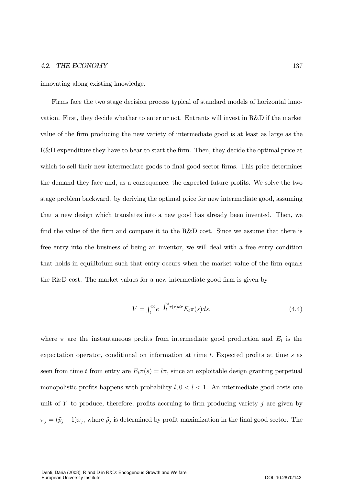innovating along existing knowledge.

Firms face the two stage decision process typical of standard models of horizontal innovation. First, they decide whether to enter or not. Entrants will invest in R&D if the market value of the firm producing the new variety of intermediate good is at least as large as the R&D expenditure they have to bear to start the firm. Then, they decide the optimal price at which to sell their new intermediate goods to final good sector firms. This price determines the demand they face and, as a consequence, the expected future profits. We solve the two stage problem backward. by deriving the optimal price for new intermediate good, assuming that a new design which translates into a new good has already been invented. Then, we find the value of the firm and compare it to the R&D cost. Since we assume that there is free entry into the business of being an inventor, we will deal with a free entry condition that holds in equilibrium such that entry occurs when the market value of the firm equals the R&D cost. The market values for a new intermediate good firm is given by

$$
V = \int_{t}^{\infty} e^{-\int_{t}^{s} r(\tau)d\tau} E_{t} \pi(s) ds,
$$
\n(4.4)

where  $\pi$  are the instantaneous profits from intermediate good production and  $E_t$  is the expectation operator, conditional on information at time  $t$ . Expected profits at time  $s$  as seen from time t from entry are  $E_t \pi(s) = l\pi$ , since an exploitable design granting perpetual monopolistic profits happens with probability  $l, 0 < l < 1$ . An intermediate good costs one unit of Y to produce, therefore, profits accruing to firm producing variety  $j$  are given by  $\pi_j = (\tilde{p}_j - 1)x_j$ , where  $\tilde{p}_j$  is determined by profit maximization in the final good sector. The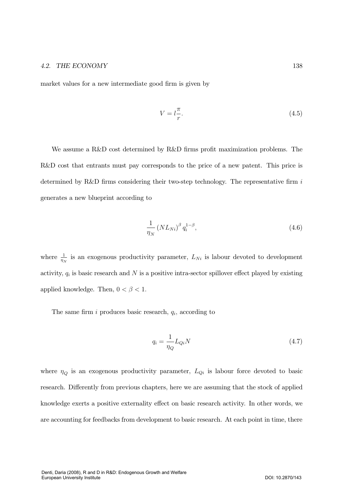market values for a new intermediate good firm is given by

$$
V = l \frac{\pi}{r}.\tag{4.5}
$$

We assume a R&D cost determined by R&D firms profit maximization problems. The R&D cost that entrants must pay corresponds to the price of a new patent. This price is determined by R&D firms considering their two-step technology. The representative firm  $i$ generates a new blueprint according to

$$
\frac{1}{\eta_N} \left( NL_{Ni} \right)^{\beta} q_i^{1-\beta},\tag{4.6}
$$

where  $\frac{1}{\eta_N}$  is an exogenous productivity parameter,  $L_{Ni}$  is labour devoted to development activity,  $q_i$  is basic research and N is a positive intra-sector spillover effect played by existing applied knowledge. Then,  $0 < \beta < 1$ .

The same firm i produces basic research,  $q_i$ , according to

$$
q_i = \frac{1}{\eta_Q} L_{Qi} N \tag{4.7}
$$

where  $\eta_Q$  is an exogenous productivity parameter,  $L_{Qi}$  is labour force devoted to basic research. Differently from previous chapters, here we are assuming that the stock of applied knowledge exerts a positive externality effect on basic research activity. In other words, we are accounting for feedbacks from development to basic research. At each point in time, there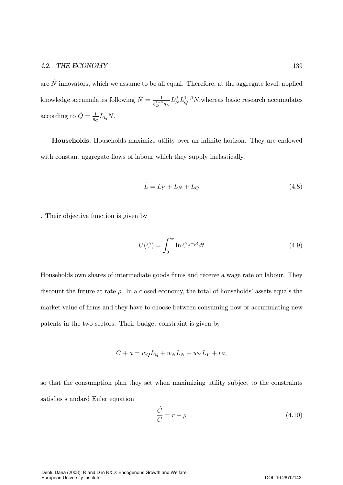are  $\dot{N}$  innovators, which we assume to be all equal. Therefore, at the aggregate level, applied knowledge accumulates following  $\dot{N} = \frac{1}{\eta_Q^{1-\beta}\eta_N}L_N^{\beta}L_Q^{1-\beta}N$ , whereas basic research accumulates according to  $\dot{Q} = \frac{1}{\eta_Q} L_Q N$ .

Households. Households maximize utility over an infinite horizon. They are endowed with constant aggregate flows of labour which they supply inelastically,

$$
\bar{L} = L_Y + L_N + L_Q \tag{4.8}
$$

. Their objective function is given by

$$
U(C) = \int_0^\infty \ln C e^{-\rho t} dt
$$
\n(4.9)

Households own shares of intermediate goods firms and receive a wage rate on labour. They discount the future at rate  $\rho$ . In a closed economy, the total of households' assets equals the market value of firms and they have to choose between consuming now or accumulating new patents in the two sectors. Their budget constraint is given by

$$
C + \dot{a} = w_Q L_Q + w_N L_N + w_Y L_Y + ra,
$$

so that the consumption plan they set when maximizing utility subject to the constraints satisfies standard Euler equation

$$
\frac{\dot{C}}{C} = r - \rho \tag{4.10}
$$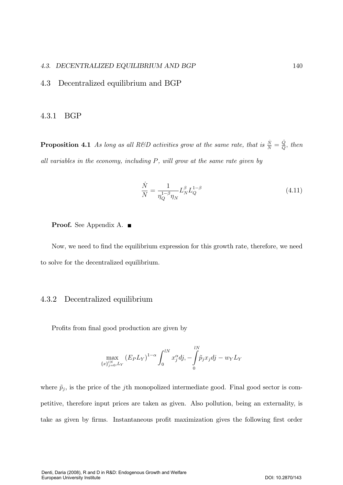# 4.3. DECENTRALIZED EQUILIBRIUM AND BGP

#### 4.3 Decentralized equilibrium and BGP

#### 4.3.1 **BGP**

**Proposition 4.1** As long as all R&D activities grow at the same rate, that is  $\frac{\dot{N}}{N} = \frac{\dot{Q}}{Q}$ , then all variables in the economy, including  $P$ , will grow at the same rate given by

$$
\frac{N}{N} = \frac{1}{\eta_Q^{1-\beta} \eta_N} L_N^{\beta} L_Q^{1-\beta} \tag{4.11}
$$

**Proof.** See Appendix A.  $\blacksquare$ 

Now, we need to find the equilibrium expression for this growth rate, therefore, we need to solve for the decentralized equilibrium.

#### 4.3.2 Decentralized equilibrium

Profits from final good production are given by

$$
\max_{\{x\}_{j=0}^{lN},L_Y} (E_P L_Y)^{1-\alpha} \int_0^{lN} x_j^{\alpha} dj, -\int_0^{lN} \tilde{p}_j x_j dj - w_Y L_Y
$$

where  $\tilde{p}_j$ , is the price of the jth monopolized intermediate good. Final good sector is competitive, therefore input prices are taken as given. Also pollution, being an externality, is take as given by firms. Instantaneous profit maximization gives the following first order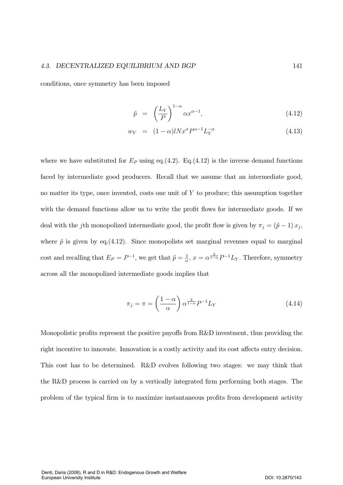conditions, once symmetry has been imposed

$$
\tilde{p} = \left(\frac{L_Y}{P}\right)^{1-\alpha} \alpha x^{\alpha-1},\tag{4.12}
$$

$$
w_Y = (1 - \alpha)l N x^{\alpha} P^{\alpha - 1} L_Y^{-\alpha}
$$
\n
$$
(4.13)
$$

where we have substituted for  $E_P$  using eq.(4.2). Eq.(4.12) is the inverse demand functions faced by intermediate good producers. Recall that we assume that an intermediate good, no matter its type, once invented, costs one unit of  $Y$  to produce; this assumption together with the demand functions allow us to write the profit flows for intermediate goods. If we deal with the jth monopolized intermediate good, the profit flow is given by  $\pi_j = (\tilde{p} - 1) x_j$ , where  $\tilde{p}$  is given by eq.(4.12). Since monopolists set marginal revenues equal to marginal cost and recalling that  $E_P = P^{-1}$ , we get that  $\tilde{p} = \frac{1}{\alpha}$ ,  $x = \alpha^{\frac{2}{1-\alpha}} P^{-1} L_Y$ . Therefore, symmetry across all the monopolized intermediate goods implies that

$$
\pi_j = \pi = \left(\frac{1-\alpha}{\alpha}\right) \alpha^{\frac{2}{1-\alpha}} P^{-1} L_Y \tag{4.14}
$$

Monopolistic profits represent the positive payoffs from R&D investment, thus providing the right incentive to innovate. Innovation is a costly activity and its cost affects entry decision. This cost has to be determined. R&D evolves following two stages: we may think that the R&D process is carried on by a vertically integrated firm performing both stages. The problem of the typical firm is to maximize instantaneous profits from development activity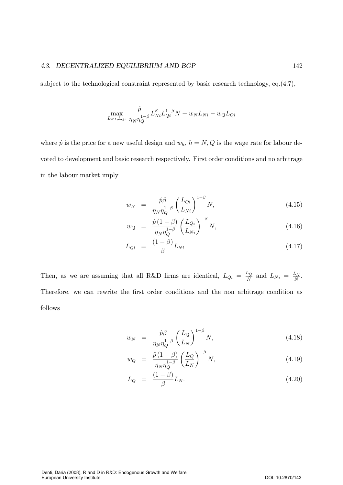subject to the technological constraint represented by basic research technology, eq. $(4.7)$ ,

$$
\max_{L_{NI},L_{Qi}} \frac{\hat{p}}{\eta_N \eta_Q^{1-\beta}} L_{Ni}^{\beta} L_{Qi}^{1-\beta} N - w_N L_{Ni} - w_Q L_{Qi}
$$

where  $\hat{p}$  is the price for a new useful design and  $w_h$ ,  $h = N, Q$  is the wage rate for labour devoted to development and basic research respectively. First order conditions and no arbitrage in the labour market imply

$$
w_N = \frac{\hat{p}\beta}{\eta_N \eta_Q^{1-\beta}} \left(\frac{L_{Qi}}{L_{Ni}}\right)^{1-\beta} N, \tag{4.15}
$$

$$
w_Q = \frac{\hat{p}(1-\beta)}{\eta_N \eta_Q^{1-\beta}} \left(\frac{L_{Qi}}{L_{Ni}}\right)^{-\beta} N, \tag{4.16}
$$

$$
L_{Qi} = \frac{(1 - \beta)}{\beta} L_{Ni}.
$$
\n(4.17)

Then, as we are assuming that all R&D firms are identical,  $L_{Qi} = \frac{L_Q}{N}$  and  $L_{Ni} = \frac{L_N}{N}$ . Therefore, we can rewrite the first order conditions and the non arbitrage condition as follows

$$
w_N = \frac{\hat{p}\beta}{\eta_N \eta_Q^{1-\beta}} \left(\frac{L_Q}{L_N}\right)^{1-\beta} N, \tag{4.18}
$$

$$
w_Q = \frac{\hat{p}(1-\beta)}{\eta_N \eta_Q^{1-\beta}} \left(\frac{L_Q}{L_N}\right)^{-\beta} N,\tag{4.19}
$$

$$
L_Q = \frac{(1-\beta)}{\beta} L_N. \tag{4.20}
$$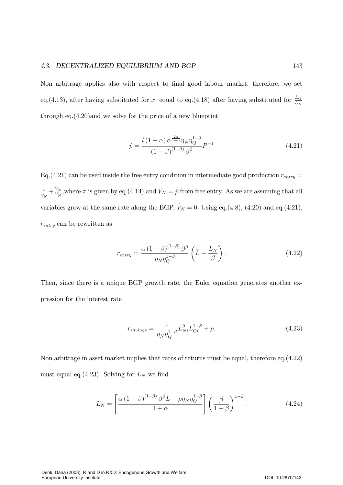Non arbitrage applies also with respect to final good labour market, therefore, we set eq.(4.13), after having substituted for x, equal to eq.(4.18) after having substituted for  $\frac{L_Q}{L_N}$ through eq. $(4.20)$  and we solve for the price of a new blueprint

$$
\hat{p} = \frac{l(1-\alpha)\,\alpha^{\frac{2\alpha}{1-\alpha}}\eta_N \eta_Q^{1-\beta}}{(1-\beta)^{(1-\beta)}\,\beta^\beta} P^{-1}
$$
\n(4.21)

Eq.  $(4.21)$  can be used inside the free entry condition in intermediate good production  $r_{entry}$  $\pi$  $\frac{\pi}{V_N} + \frac{\dot{V}_N}{V_N}$ , where  $\pi$  is given by eq.(4.14) and  $V_N = \hat{p}$  from free entry. As we are assuming that all variables grow at the same rate along the BGP,  $\dot{V}_N = 0$ . Using eq.(4.8), (4.20) and eq.(4.21),  $r_{entry}$  can be rewritten as

$$
r_{entry} = \frac{\alpha (1 - \beta)^{(1 - \beta)} \beta^{\beta}}{\eta_N \eta_Q^{1 - \beta}} \left( \bar{L} - \frac{L_N}{\beta} \right). \tag{4.22}
$$

Then, since there is a unique BGP growth rate, the Euler equation generates another expression for the interest rate

$$
r_{savings} = \frac{1}{\eta_N \eta_Q^{1-\beta}} L_{Ni}^{\beta} L_{Qi}^{1-\beta} + \rho.
$$
\n(4.23)

Non arbitrage in asset market implies that rates of returns must be equal, therefore eq. $(4.22)$ must equal eq.(4.23). Solving for  $L<sub>N</sub>$  we find

$$
L_N = \left[ \frac{\alpha \left(1 - \beta\right)^{(1-\beta)} \beta^{\beta} \bar{L} - \rho \eta_N \eta_Q^{1-\beta}}{1+\alpha} \right] \left(\frac{\beta}{1-\beta}\right)^{1-\beta}.
$$
 (4.24)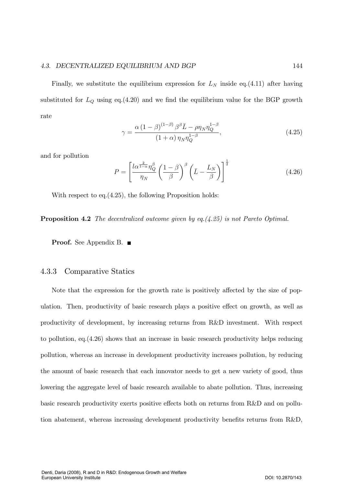Finally, we substitute the equilibrium expression for  $L<sub>N</sub>$  inside eq.(4.11) after having substituted for  $L_Q$  using eq.(4.20) and we find the equilibrium value for the BGP growth rate

$$
\gamma = \frac{\alpha \left(1 - \beta\right)^{(1-\beta)} \beta^{\beta} \bar{L} - \rho \eta_N \eta_Q^{1-\beta}}{\left(1 + \alpha\right) \eta_N \eta_Q^{1-\beta}},\tag{4.25}
$$

and for pollution

$$
P = \left[\frac{l\alpha^{\frac{2}{1-\alpha}}\eta_Q^{\beta}}{\eta_N}\left(\frac{1-\beta}{\beta}\right)^{\beta}\left(\bar{L} - \frac{L_N}{\beta}\right)\right]^{\frac{1}{2}}
$$
(4.26)

With respect to eq.  $(4.25)$ , the following Proposition holds:

**Proposition 4.2** The decentralized outcome given by eq.  $(4.25)$  is not Pareto Optimal.

**Proof.** See Appendix B.  $\blacksquare$ 

# 4.3.3 Comparative Statics

Note that the expression for the growth rate is positively affected by the size of population. Then, productivity of basic research plays a positive effect on growth, as well as productivity of development, by increasing returns from R&D investment. With respect to pollution, eq.  $(4.26)$  shows that an increase in basic research productivity helps reducing pollution, whereas an increase in development productivity increases pollution, by reducing the amount of basic research that each innovator needs to get a new variety of good, thus lowering the aggregate level of basic research available to abate pollution. Thus, increasing basic research productivity exerts positive effects both on returns from R&D and on pollution abatement, whereas increasing development productivity benefits returns from R&D,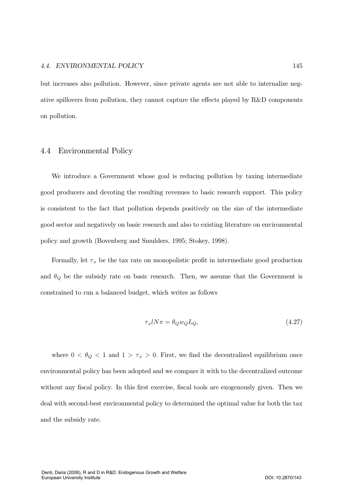# 4.4. ENVIRONMENTAL POLICY

but increases also pollution. However, since private agents are not able to internalize negative spillovers from pollution, they cannot capture the effects played by R&D components on pollution.

#### **Environmental Policy** 4.4

We introduce a Government whose goal is reducing pollution by taxing intermediate good producers and devoting the resulting revenues to basic research support. This policy is consistent to the fact that pollution depends positively on the size of the intermediate good sector and negatively on basic research and also to existing literature on environmental policy and growth (Bovenberg and Smulders, 1995; Stokey, 1998).

Formally, let  $\tau_x$  be the tax rate on monopolistic profit in intermediate good production and  $\theta_Q$  be the subsidy rate on basic research. Then, we assume that the Government is constrained to run a balanced budget, which writes as follows

$$
\tau_x l N \pi = \theta_Q w_Q L_Q,\tag{4.27}
$$

where  $0 < \theta_Q < 1$  and  $1 > \tau_x > 0$ . First, we find the decentralized equilibrium once environmental policy has been adopted and we compare it with to the decentralized outcome without any fiscal policy. In this first exercise, fiscal tools are exogenously given. Then we deal with second-best environmental policy to determined the optimal value for both the tax and the subsidy rate.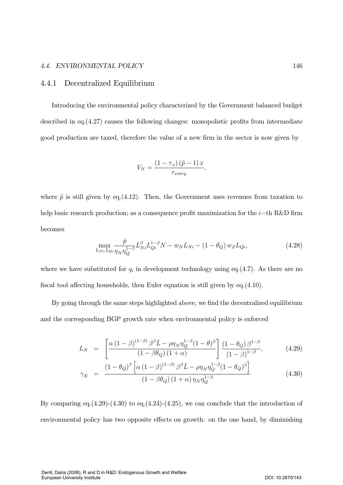# 4.4. ENVIRONMENTAL POLICY

#### Decentralized Equilibrium 4.4.1

Introducing the environmental policy characterized by the Government balanced budget described in eq.  $(4.27)$  causes the following changes: monopolistic profits from intermediate good production are taxed, therefore the value of a new firm in the sector is now given by

$$
V_N = \frac{(1 - \tau_x)(\tilde{p} - 1)x}{r_{entry}},
$$

where  $\tilde{p}$  is still given by eq.(4.12). Then, the Government uses revenues from taxation to help basic research production; as a consequence profit maximization for the  $i$ -th R&D firm becomes

$$
\max_{L_{Ni},L_{Qi}} \frac{\hat{p}}{\eta_N \eta_Q^{1-\beta}} L_{Ni}^{\beta} L_{Qi}^{1-\beta} N - w_N L_{Ni} - (1 - \theta_Q) w_Z L_{Qi},
$$
\n(4.28)

where we have substituted for  $q_i$  in development technology using eq.(4.7). As there are no fiscal tool affecting households, then Euler equation is still given by eq. $(4.10)$ .

By going through the same steps highlighted above, we find the decentralized equilibrium and the corresponding BGP growth rate when environmental policy is enforced

$$
L_N = \left[ \frac{\alpha \left(1 - \beta\right)^{(1-\beta)} \beta^{\beta} \bar{L} - \rho \eta_N \eta_Q^{1-\beta} (1-\theta)^{\beta}}{(1 - \beta \theta_Q) \left(1 + \alpha\right)} \right] \frac{\left(1 - \theta_Q\right) \beta^{1-\beta}}{\left(1 - \beta\right)^{1-\beta}}, \tag{4.29}
$$

$$
\gamma_E = \frac{(1 - \theta_Q)^{\beta} \left[ \alpha \left(1 - \beta\right)^{(1-\beta)} \beta^{\beta} \bar{L} - \rho \eta_N \eta_Q^{1-\beta} (1 - \theta_Q)^{\beta} \right]}{(1 - \beta \theta_Q) \left(1 + \alpha\right) \eta_N \eta_Q^{1-\beta}}
$$
(4.30)

By comparing eq.  $(4.29)$ - $(4.30)$  to eq.  $(4.24)$ - $(4.25)$ , we can conclude that the introduction of environmental policy has two opposite effects on growth: on the one hand, by diminishing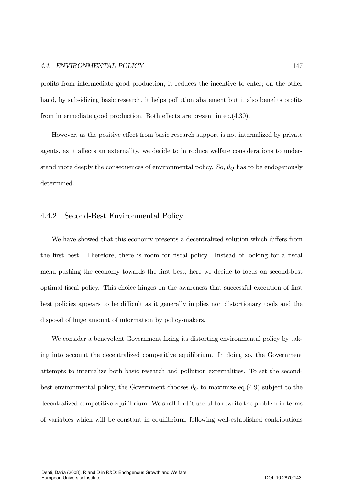# 4.4. ENVIRONMENTAL POLICY

profits from intermediate good production, it reduces the incentive to enter; on the other hand, by subsidizing basic research, it helps pollution abatement but it also benefits profits from intermediate good production. Both effects are present in eq. $(4.30)$ .

However, as the positive effect from basic research support is not internalized by private agents, as it affects an externality, we decide to introduce welfare considerations to understand more deeply the consequences of environmental policy. So,  $\theta_Q$  has to be endogenously determined.

#### 4.4.2 Second-Best Environmental Policy

We have showed that this economy presents a decentralized solution which differs from the first best. Therefore, there is room for fiscal policy. Instead of looking for a fiscal menu pushing the economy towards the first best, here we decide to focus on second-best optimal fiscal policy. This choice hinges on the awareness that successful execution of first best policies appears to be difficult as it generally implies non distortionary tools and the disposal of huge amount of information by policy-makers.

We consider a benevolent Government fixing its distorting environmental policy by taking into account the decentralized competitive equilibrium. In doing so, the Government attempts to internalize both basic research and pollution externalities. To set the secondbest environmental policy, the Government chooses  $\theta_Q$  to maximize eq.(4.9) subject to the decentralized competitive equilibrium. We shall find it useful to rewrite the problem in terms of variables which will be constant in equilibrium, following well-established contributions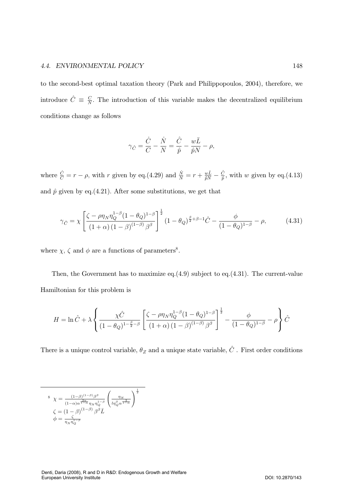### 4.4. ENVIRONMENTAL POLIC

to the second-best optimal taxation theory (Park and Philippopoulos, 2004), therefore, we introduce  $\hat{C} \equiv \frac{C}{N}$ . The introduction of this variable makes the decentralized equilibrium conditions change as follows

$$
\gamma_{\hat{C}} = \frac{\dot{C}}{C} - \frac{\dot{N}}{N} = \frac{\hat{C}}{\hat{p}} - \frac{w\bar{L}}{\hat{p}N} - \rho,
$$

where  $\frac{\dot{C}}{C} = r - \rho$ , with r given by eq.(4.29) and  $\frac{\dot{N}}{N} = r + \frac{w\bar{L}}{\hat{p}N} - \frac{\hat{C}}{\hat{p}}$ , with w given by eq.(4.13) and  $\hat{p}$  given by eq.(4.21). After some substitutions, we get that

$$
\gamma_{\hat{C}} = \chi \left[ \frac{\zeta - \rho \eta_N \eta_Q^{1-\beta} (1 - \theta_Q)^{1-\beta}}{(1 + \alpha)(1 - \beta)^{(1-\beta)} \beta^{\beta}} \right]^{\frac{1}{2}} (1 - \theta_Q)^{\frac{\beta}{2} + \beta - 1} \hat{C} - \frac{\phi}{(1 - \theta_Q)^{1-\beta}} - \rho, \tag{4.31}
$$

where  $\chi,\,\zeta$  and  $\phi$  are a functions of parameters .

Then, the Government has to maximize eq. $(4.9)$  subject to eq. $(4.31)$ . The current-value Hamiltonian for this problem is

$$
H = \ln \hat{C} + \lambda \left\{ \frac{\chi \hat{C}}{(1 - \theta_Q)^{1 - \frac{\beta}{2} - \beta}} \left[ \frac{\zeta - \rho \eta_N \eta_Q^{1 - \beta} (1 - \theta_Q)^{1 - \beta}}{(1 + \alpha)(1 - \beta)^{(1 - \beta)} \beta^{\beta}} \right]^{\frac{1}{2}} - \frac{\phi}{(1 - \theta_Q)^{1 - \beta}} - \rho \right\} \hat{C}
$$

There is a unique control variable,  $\theta_Z$  and a unique state variable,  $\hat{C}$ . First order conditions

$$
\begin{array}{ll}\n\delta & \chi = \frac{(1-\beta)^{(1-\beta)}\beta^{\beta}}{(1-\alpha)\alpha^{\frac{2\alpha}{1-\alpha}}\eta_{N}\eta_{Q}^{1-\beta}} \left(\frac{\eta_{N}}{l\eta_{Q}^{\beta}\alpha^{\frac{2}{1-\alpha}}}\right)^{\frac{1}{2}} \\
\zeta & = (1-\beta)^{(1-\beta)}\beta^{\beta}\bar{L} \\
\phi & = \frac{\zeta}{\eta_{N}\eta_{Q}^{1-\beta}}\n\end{array}
$$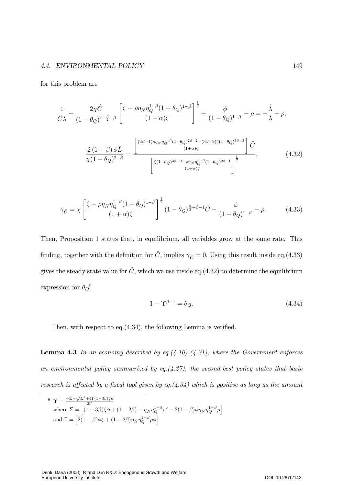### 4.4. ENVIRONMENTAL POLIC

for this problem are

$$
\frac{1}{\hat{C}\lambda} + \frac{2\chi\hat{C}}{(1-\theta_Q)^{1-\frac{\beta}{2}-\beta}} \left[ \frac{\zeta - \rho\eta_N \eta_Q^{1-\beta} (1-\theta_Q)^{1-\beta}}{(1+\alpha)\zeta} \right]^{\frac{1}{2}} - \frac{\phi}{(1-\theta_Q)^{1-\beta}} - \rho = -\frac{\lambda}{\lambda} + \rho,
$$
  

$$
\frac{2(1-\beta)\,\phi\bar{L}}{\chi(1-\theta_Q)^{2-\beta}} = \frac{\left[ \frac{(2\beta-1)\rho\eta_N \eta_Q^{1-\beta} (1-\theta_Q)^{2\beta-2} - (3\beta-2)\zeta(1-\theta_Q)^{3\beta-3}}{(1+\alpha)\zeta} \right] \hat{C}}{\left[ \frac{\zeta(1-\theta_Q)^{3\beta-2} - \rho\eta_N \eta_Q^{1-\beta} (1-\theta_Q)^{2\beta-1}}{(1+\alpha)\zeta} \right]^{\frac{1}{2}}},\tag{4.32}
$$

$$
\gamma_{\hat{C}} = \chi \left[ \frac{\zeta - \rho \eta_N \eta_Q^{1-\beta} (1 - \theta_Q)^{1-\beta}}{(1 + \alpha)\zeta} \right]^{\frac{1}{2}} (1 - \theta_Q)^{\frac{\beta}{2} + \beta - 1} \hat{C} - \frac{\phi}{(1 - \theta_Q)^{1-\beta}} - \rho.
$$
 (4.33)

Then, Proposition 1 states that, in equilibrium, all variables grow at the same rate. This finding, together with the definition for  $\hat{C}$ , implies  $\gamma_{\hat{C}} = 0$ . Using this result inside eq.(4.33) gives the steady state value for  $\hat{C}$ , which we use inside eq.(4.32) to determine the equilibrium expression for  $\theta_Q^9$ 

$$
1 - \Upsilon^{\beta - 1} = \theta_Q. \tag{4.34}
$$

Then, with respect to eq. $(4.34)$ , the following Lemma is verified.

**Lemma 4.3** In an economy described by eq.  $(4.10)-(4.21)$ , where the Government enforces an environmental policy summarized by eq. $(4.27)$ , the second-best policy states that basic research is affected by a fiscal tool given by eq. $(4.34)$  which is positive as long as the amount

$$
\begin{aligned}\n\mathbf{9} \quad & \Upsilon = \frac{-\Sigma + \sqrt{\Sigma^2 + 4\Gamma(1 - 3\beta)\zeta\rho}}{2\Gamma} \\
& \text{where } \Sigma = \left[ (1 - 3\beta)\zeta\phi + (1 - 2\beta) - \eta_N \eta_Q^{1 - \beta} \rho^2 - 2(1 - \beta)\phi\eta_N \eta_Q^{1 - \beta} \rho \right] \\
& \text{and } \Gamma = \left[ 2(1 - \beta)\phi\zeta + (1 - 2\beta)\eta_N \eta_Q^{1 - \beta} \rho\phi \right]\n\end{aligned}
$$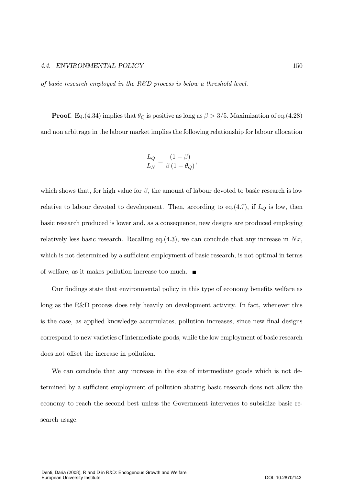### 4.4. ENVIRONMENTAL POLIC

of basic research employed in the  $R\&D$  process is below a threshold level.

**Proof.** Eq.(4.34) implies that  $\theta_Q$  is positive as long as  $\beta > 3/5$ . Maximization of eq.(4.28) and non arbitrage in the labour market implies the following relationship for labour allocation

$$
\frac{L_Q}{L_N} = \frac{(1 - \beta)}{\beta (1 - \theta_Q)},
$$

which shows that, for high value for  $\beta$ , the amount of labour devoted to basic research is low relative to labour devoted to development. Then, according to eq.(4.7), if  $L_Q$  is low, then basic research produced is lower and, as a consequence, new designs are produced employing relatively less basic research. Recalling eq.  $(4.3)$ , we can conclude that any increase in Nx, which is not determined by a sufficient employment of basic research, is not optimal in terms of welfare, as it makes pollution increase too much.  $\blacksquare$ 

Our findings state that environmental policy in this type of economy benefits welfare as long as the R&D process does rely heavily on development activity. In fact, whenever this is the case, as applied knowledge accumulates, pollution increases, since new final designs correspond to new varieties of intermediate goods, while the low employment of basic research does not offset the increase in pollution.

We can conclude that any increase in the size of intermediate goods which is not determined by a sufficient employment of pollution-abating basic research does not allow the economy to reach the second best unless the Government intervenes to subsidize basic research usage.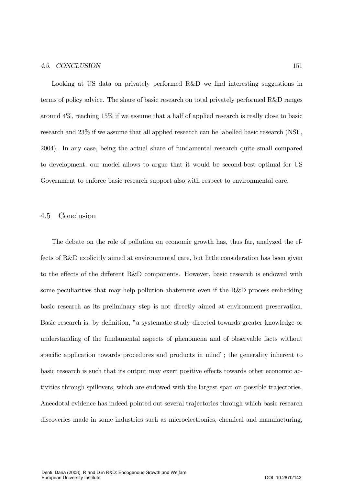Looking at US data on privately performed R&D we find interesting suggestions in terms of policy advice. The share of basic research on total privately performed R&D ranges around  $4\%$ , reaching  $15\%$  if we assume that a half of applied research is really close to basic research and 23% if we assume that all applied research can be labelled basic research (NSF, 2004). In any case, being the actual share of fundamental research quite small compared to development, our model allows to argue that it would be second-best optimal for US Government to enforce basic research support also with respect to environmental care.

#### 4.5 Conclusion

The debate on the role of pollution on economic growth has, thus far, analyzed the effects of R&D explicitly aimed at environmental care, but little consideration has been given to the effects of the different R&D components. However, basic research is endowed with some peculiarities that may help pollution-abatement even if the R&D process embedding basic research as its preliminary step is not directly aimed at environment preservation. Basic research is, by definition, "a systematic study directed towards greater knowledge or understanding of the fundamental aspects of phenomena and of observable facts without specific application towards procedures and products in mind"; the generality inherent to basic research is such that its output may exert positive effects towards other economic activities through spillovers, which are endowed with the largest span on possible trajectories. Anecdotal evidence has indeed pointed out several trajectories through which basic research discoveries made in some industries such as microelectronics, chemical and manufacturing,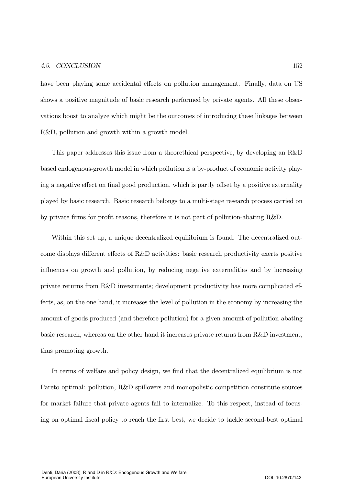have been playing some accidental effects on pollution management. Finally, data on US shows a positive magnitude of basic research performed by private agents. All these observations boost to analyze which might be the outcomes of introducing these linkages between  $R&D$ , pollution and growth within a growth model.

This paper addresses this issue from a theorethical perspective, by developing an R&D based endogenous-growth model in which pollution is a by-product of economic activity playing a negative effect on final good production, which is partly offset by a positive externality played by basic research. Basic research belongs to a multi-stage research process carried on by private firms for profit reasons, therefore it is not part of pollution-abating R&D.

Within this set up, a unique decentralized equilibrium is found. The decentralized outcome displays different effects of R&D activities: basic research productivity exerts positive influences on growth and pollution, by reducing negative externalities and by increasing private returns from R&D investments; development productivity has more complicated effects, as, on the one hand, it increases the level of pollution in the economy by increasing the amount of goods produced (and therefore pollution) for a given amount of pollution-abating basic research, whereas on the other hand it increases private returns from  $R\&D$  investment, thus promoting growth.

In terms of welfare and policy design, we find that the decentralized equilibrium is not Pareto optimal: pollution, R&D spillovers and monopolistic competition constitute sources for market failure that private agents fail to internalize. To this respect, instead of focusing on optimal fiscal policy to reach the first best, we decide to tackle second-best optimal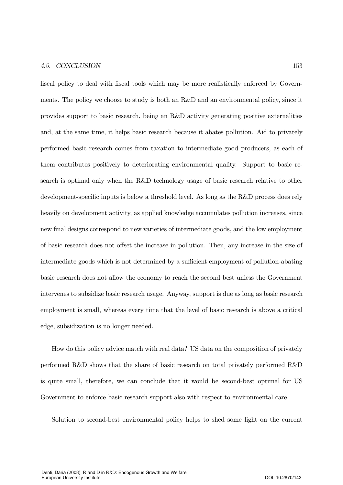fiscal policy to deal with fiscal tools which may be more realistically enforced by Governments. The policy we choose to study is both an R&D and an environmental policy, since it provides support to basic research, being an R&D activity generating positive externalities and, at the same time, it helps basic research because it abates pollution. And to privately performed basic research comes from taxation to intermediate good producers, as each of them contributes positively to deteriorating environmental quality. Support to basic research is optimal only when the  $R\&D$  technology usage of basic research relative to other development-specific inputs is below a threshold level. As long as the R&D process does rely heavily on development activity, as applied knowledge accumulates pollution increases, since new final designs correspond to new varieties of intermediate goods, and the low employment of basic research does not offset the increase in pollution. Then, any increase in the size of intermediate goods which is not determined by a sufficient employment of pollution-abating basic research does not allow the economy to reach the second best unless the Government intervenes to subsidize basic research usage. Anyway, support is due as long as basic research employment is small, whereas every time that the level of basic research is above a critical edge, subsidization is no longer needed.

How do this policy advice match with real data? US data on the composition of privately performed R&D shows that the share of basic research on total privately performed R&D is quite small, therefore, we can conclude that it would be second-best optimal for US Government to enforce basic research support also with respect to environmental care.

Solution to second-best environmental policy helps to shed some light on the current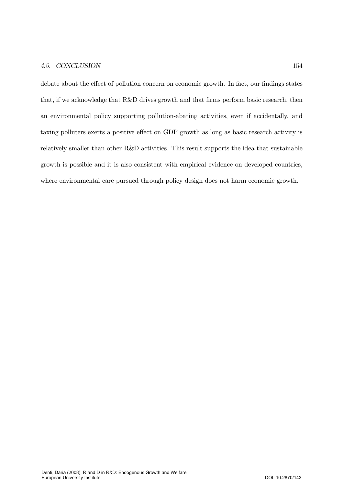debate about the effect of pollution concern on economic growth. In fact, our findings states that, if we acknowledge that R&D drives growth and that firms perform basic research, then an environmental policy supporting pollution-abating activities, even if accidentally, and taxing polluters exerts a positive effect on GDP growth as long as basic research activity is relatively smaller than other R&D activities. This result supports the idea that sustainable growth is possible and it is also consistent with empirical evidence on developed countries, where environmental care pursued through policy design does not harm economic growth.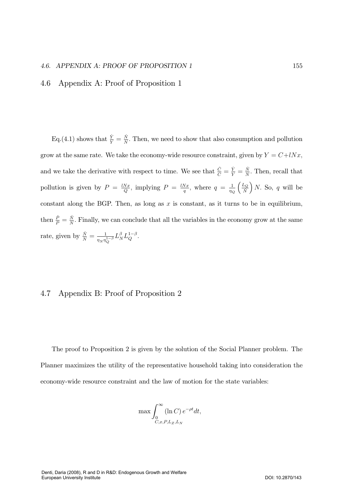# 4.6. APPENDIX A: PROOF OF PROPOSITION 1 155

# 4.6 Appendix A: Proof of Proposition 1

Eq. (4.1) shows that  $\frac{\dot{Y}}{Y} = \frac{\dot{N}}{N}$ . Then, we need to show that also consumption and pollution grow at the same rate. We take the economy-wide resource constraint, given by  $Y = C + lNx$ , and we take the derivative with respect to time. We see that  $\frac{\dot{C}}{C} = \frac{\dot{Y}}{Y} = \frac{\dot{N}}{N}$ . Then, recall that pollution is given by  $P = \frac{lNx}{Q}$ , implying  $P = \frac{lNx}{q}$ , where  $q = \frac{1}{\eta_Q}$  $\frac{L_Q}{2}$  $\overline{N}$  $N.$  So, q will be constant along the BGP. Then, as long as  $x$  is constant, as it turns to be in equilibrium, then  $\frac{\dot{P}}{P} = \frac{\dot{N}}{N}$ . Finally, we can conclude that all the variables in the economy grow at the same rate, given by  $\frac{\dot{N}}{N} = \frac{1}{\eta_N \eta_N}$  $\frac{1}{\eta_N \eta_Q^{1-\beta}} L_N^\beta L_Q^{1-\beta}.$ 

# 4.7 Appendix B: Proof of Proposition 2

The proof to Proposition 2 is given by the solution of the Social Planner problem. The Planner maximizes the utility of the representative household taking into consideration the economy-wide resource constraint and the law of motion for the state variables:

$$
\max \int_0^\infty (\ln C) e^{-\rho t} dt,
$$
  

$$
C_{,x,P,L_Z,L_N}
$$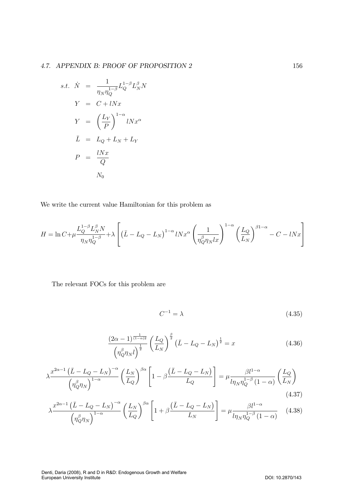$$
s.t. \quad \dot{N} = \frac{1}{\eta_N \eta_Q^{1-\beta}} L_Q^{1-\beta} L_N^{\beta} N
$$
\n
$$
Y = C + lNx
$$
\n
$$
Y = \left(\frac{L_Y}{P}\right)^{1-\alpha} lNx^{\alpha}
$$
\n
$$
\bar{L} = L_Q + L_N + L_Y
$$
\n
$$
P = \frac{lNx}{Q}
$$
\n
$$
N_0
$$

We write the current value Hamiltonian for this problem as

$$
H = \ln C + \mu \frac{L_Q^{1-\beta} L_N^{\beta} N}{\eta_N \eta_Q^{1-\beta}} + \lambda \left[ \left( \bar{L} - L_Q - L_N \right)^{1-\alpha} l N x^{\alpha} \left( \frac{1}{\eta_Q^{\beta} \eta_N l x} \right)^{1-\alpha} \left( \frac{L_Q}{L_N} \right)^{\beta 1-\alpha} - C - l N x \right]
$$

The relevant FOCs for this problem are

$$
C^{-1} = \lambda \tag{4.35}
$$

$$
\frac{(2\alpha - 1)^{\frac{1}{(1-\alpha)2}}}{\left(\eta_Q^{\beta}\eta_N l\right)^{\frac{1}{2}}} \left(\frac{L_Q}{L_N}\right)^{\frac{\beta}{2}} \left(\bar{L} - L_Q - L_N\right)^{\frac{1}{2}} = x \tag{4.36}
$$

$$
\lambda \frac{x^{2\alpha-1} \left(\bar{L} - L_Q - L_N\right)^{-\alpha}}{\left(\eta_Q^{\beta} \eta_N\right)^{1-\alpha}} \left(\frac{L_N}{L_Q}\right)^{\beta \alpha} \left[1 - \beta \frac{\left(\bar{L} - L_Q - L_N\right)}{L_Q}\right] = \mu \frac{\beta l^{1-\alpha}}{l \eta_N \eta_Q^{1-\beta} \left(1 - \alpha\right)} \left(\frac{L_Q}{L_N}\right)
$$
\n(4.37)

$$
\lambda \frac{x^{2\alpha - 1} \left( \bar{L} - L_Q - L_N \right)^{-\alpha}}{\left( \eta_Q^{\beta} \eta_N \right)^{1 - \alpha}} \left( \frac{L_N}{L_Q} \right)^{\beta \alpha} \left[ 1 + \beta \frac{\left( \bar{L} - L_Q - L_N \right)}{L_N} \right] = \mu \frac{\beta l^{1 - \alpha}}{\ln_N \eta_Q^{1 - \beta} (1 - \alpha)} \tag{4.38}
$$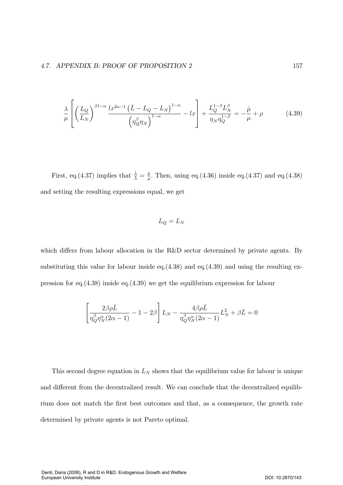$$
\frac{\lambda}{\mu} \left[ \left( \frac{L_Q}{L_N} \right)^{\beta 1 - \alpha} \frac{l x^{2\alpha - 1} \left( \bar{L} - L_Q - L_N \right)^{1 - \alpha}}{\left( \eta_Q^{\beta} \eta_N \right)^{1 - \alpha}} - l x \right] + \frac{L_Q^{1 - \beta} L_N^{\beta}}{\eta_N \eta_Q^{1 - \beta}} = -\frac{\mu}{\mu} + \rho \tag{4.39}
$$

First, eq.(4.37) implies that  $\frac{\dot{\lambda}}{\lambda} = \frac{\dot{\mu}}{\mu}$ . Then, using eq.(4.36) inside eq.(4.37) and eq.(4.38) and setting the resulting expressions equal, we get

$$
L_Q = L_N
$$

which differs from labour allocation in the R&D sector determined by private agents. By substituting this value for labour inside eq. $(4.38)$  and eq. $(4.39)$  and using the resulting expression for eq.  $(4.38)$  inside eq.  $(4.39)$  we get the equilibrium expression for labour

$$
\left[\frac{2\beta\rho\bar{L}}{\eta_Q^{\beta}\eta_N^{\alpha}(2\alpha-1)}-1-2\beta\right]L_N-\frac{4\beta\rho\bar{L}}{\eta_Q^{\beta}\eta_N^{\alpha}(2\alpha-1)}L_N^2+\beta\bar{L}=0
$$

This second degree equation in  $L_N$  shows that the equilibrium value for labour is unique and different from the decentralized result. We can conclude that the decentralized equilibrium does not match the first best outcomes and that, as a consequence, the growth rate determined by private agents is not Pareto optimal.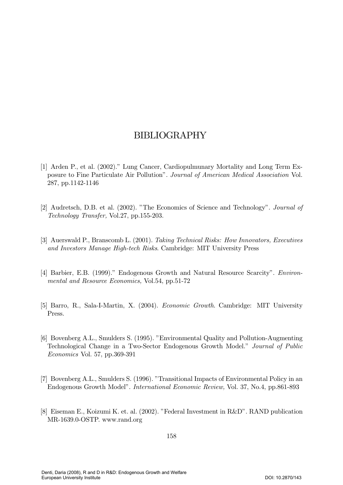# BIBLIOGRAPHY

- [1] Arden P., et al. (2002)." Lung Cancer, Cardiopulmunary Mortality and Long Term Exposure to Fine Particulate Air Pollution". Journal of American Medical Association Vol.  $287, pp.1142-1146$
- [2] Audretsch, D.B. et al. (2002). "The Economics of Science and Technology". *Journal of* Technology Transfer, Vol.27, pp.155-203.
- [3] Auerswald P., Branscomb L. (2001). Taking Technical Risks: How Innovators, Executives and Investors Manage High-tech Risks. Cambridge: MIT University Press
- [4] Barbier, E.B. (1999)." Endogenous Growth and Natural Resource Scarcity". *Environ*mental and Resource Economics, Vol.54, pp.51-72
- [5] Barro, R., Sala-I-Martin, X. (2004). *Economic Growth*. Cambridge: MIT University Press.
- [6] Bovenberg A.L., Smulders S. (1995). "Environmental Quality and Pollution-Augmenting Technological Change in a Two-Sector Endogenous Growth Model." *Journal of Public* Economics Vol. 57, pp.369-391
- [7] Bovenberg A.L., Smulders S. (1996). "Transitional Impacts of Environmental Policy in an Endogenous Growth Model". International Economic Review, Vol. 37, No.4, pp.861-893
- [8] Eiseman E., Koizumi K. et. al. (2002). "Federal Investment in R&D". RAND publication MR-1639.0-OSTP. www.rand.org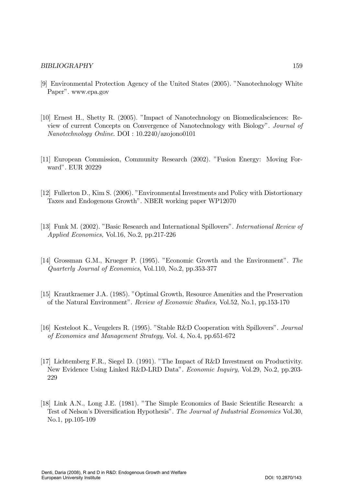# **BIBLIOGRAPHY**

- [9] Environmental Protection Agency of the United States (2005). "Nanotechnology White Paper". www.epa.gov
- [10] Ernest H., Shetty R. (2005). "Impact of Nanotechnology on Biomedical sciences: Review of current Concepts on Convergence of Nanotechnology with Biology". Journal of  $Nanotechnology$  Online.  $DOI : 10.2240/azo$ jono0101
- [11] European Commission, Community Research (2002). "Fusion Energy: Moving Forward". EUR 20229
- [12] Fullerton D., Kim S. (2006). "Environmental Investments and Policy with Distortionary Taxes and Endogenous Growth". NBER working paper WP12070
- [13] Funk M. (2002). "Basic Research and International Spillovers". International Review of Applied Economics, Vol.16, No.2, pp.217-226
- [14] Grossman G.M., Krueger P. (1995). "Economic Growth and the Environment". The Quarterly Journal of Economics, Vol.110, No.2, pp.353-377
- [15] Krautkraemer J.A. (1985). "Optimal Growth, Resource Amenities and the Preservation of the Natural Environment". Review of Economic Studies, Vol. 52, No. 1, pp. 153-170
- [16] Kesteloot K., Veugelers R. (1995). "Stable R&D Cooperation with Spillovers". Journal of Economics and Management Strategy, Vol. 4, No.4, pp.651-672
- [17] Lichtemberg F.R., Siegel D. (1991). "The Impact of R&D Investment on Productivity. New Evidence Using Linked R&D-LRD Data". Economic Inquiry, Vol.29, No.2, pp.203-229
- [18] Link A.N., Long J.E. (1981). "The Simple Economics of Basic Scientific Research: a Test of Nelson's Diversification Hypothesis". The Journal of Industrial Economics Vol.30, No.1, pp.105-109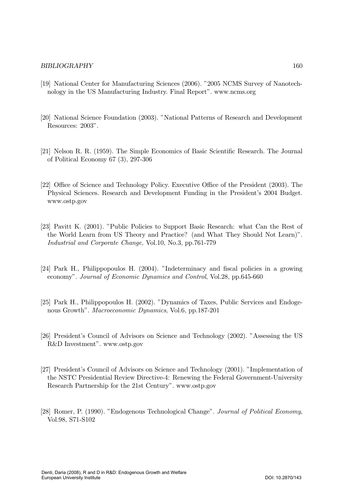# BIBLIOGRAPHY 160

- [19] National Center for Manufacturing Sciences (2006). "2005 NCMS Survey of Nanotechnology in the US Manufacturing Industry. Final Report". www.ncms.org
- [20] National Science Foundation (2003). "National Patterns of Research and Development Resources: 2003".
- [21] Nelson R. R. (1959). The Simple Economics of Basic Scientific Research. The Journal of Political Economy 67 (3), 297-306
- [22] Office of Science and Technology Policy. Executive Office of the President (2003). The Physical Sciences. Research and Development Funding in the President's 2004 Budget. www.ostp.gov
- [23] Pavitt K. (2001). "Public Policies to Support Basic Research: what Can the Rest of the World Learn from US Theory and Practice? (and What They Should Not Learn)". Industrial and Corporate Change, Vol.10, No.3, pp.761-779
- [24] Park H., Philippopoulos H. (2004). "Indeterminacy and fiscal policies in a growing economy". Journal of Economic Dynamics and Control, Vol.28, pp.645-660
- [25] Park H., Philippopoulos H. (2002). "Dynamics of Taxes, Public Services and Endogenous Growth". Macroeconomic Dynamics, Vol.6, pp.187-201
- [26] President's Council of Advisors on Science and Technology (2002). "Assessing the US R&D Investment". www.ostp.gov
- [27] President's Council of Advisors on Science and Technology (2001). "Implementation of the NSTC Presidential Review Directive-4: Renewing the Federal Government-University Research Partnership for the 21st Century". www.ostp.gov
- [28] Romer, P. (1990). "Endogenous Technological Change". Journal of Political Economy, Vol.98, S71-S102